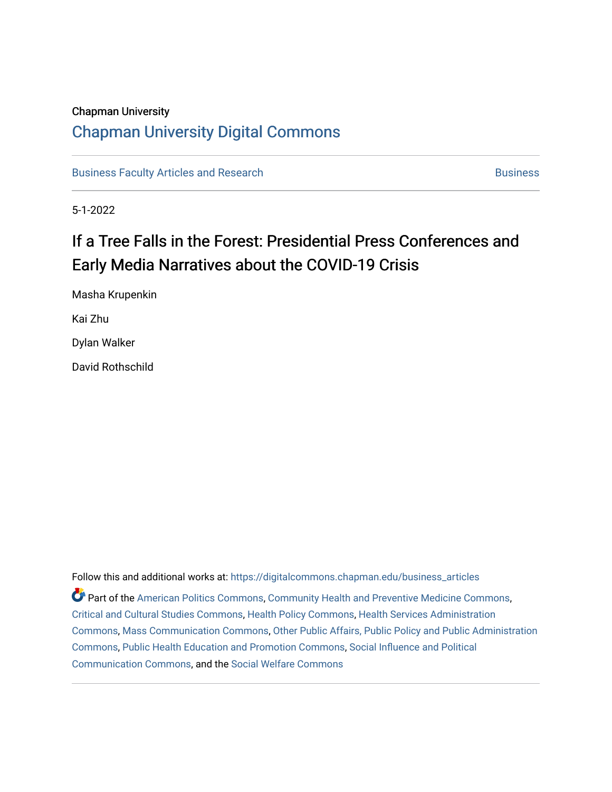### Chapman University

# [Chapman University Digital Commons](https://digitalcommons.chapman.edu/)

[Business Faculty Articles and Research](https://digitalcommons.chapman.edu/business_articles) [Business](https://digitalcommons.chapman.edu/business) **Business** Business

5-1-2022

# If a Tree Falls in the Forest: Presidential Press Conferences and Early Media Narratives about the COVID-19 Crisis

Masha Krupenkin Kai Zhu Dylan Walker David Rothschild

Follow this and additional works at: [https://digitalcommons.chapman.edu/business\\_articles](https://digitalcommons.chapman.edu/business_articles?utm_source=digitalcommons.chapman.edu%2Fbusiness_articles%2F137&utm_medium=PDF&utm_campaign=PDFCoverPages)  Part of the [American Politics Commons,](https://network.bepress.com/hgg/discipline/387?utm_source=digitalcommons.chapman.edu%2Fbusiness_articles%2F137&utm_medium=PDF&utm_campaign=PDFCoverPages) [Community Health and Preventive Medicine Commons](https://network.bepress.com/hgg/discipline/744?utm_source=digitalcommons.chapman.edu%2Fbusiness_articles%2F137&utm_medium=PDF&utm_campaign=PDFCoverPages), [Critical and Cultural Studies Commons](https://network.bepress.com/hgg/discipline/328?utm_source=digitalcommons.chapman.edu%2Fbusiness_articles%2F137&utm_medium=PDF&utm_campaign=PDFCoverPages), [Health Policy Commons,](https://network.bepress.com/hgg/discipline/395?utm_source=digitalcommons.chapman.edu%2Fbusiness_articles%2F137&utm_medium=PDF&utm_campaign=PDFCoverPages) [Health Services Administration](https://network.bepress.com/hgg/discipline/747?utm_source=digitalcommons.chapman.edu%2Fbusiness_articles%2F137&utm_medium=PDF&utm_campaign=PDFCoverPages)  [Commons](https://network.bepress.com/hgg/discipline/747?utm_source=digitalcommons.chapman.edu%2Fbusiness_articles%2F137&utm_medium=PDF&utm_campaign=PDFCoverPages), [Mass Communication Commons,](https://network.bepress.com/hgg/discipline/334?utm_source=digitalcommons.chapman.edu%2Fbusiness_articles%2F137&utm_medium=PDF&utm_campaign=PDFCoverPages) [Other Public Affairs, Public Policy and Public Administration](https://network.bepress.com/hgg/discipline/403?utm_source=digitalcommons.chapman.edu%2Fbusiness_articles%2F137&utm_medium=PDF&utm_campaign=PDFCoverPages)  [Commons](https://network.bepress.com/hgg/discipline/403?utm_source=digitalcommons.chapman.edu%2Fbusiness_articles%2F137&utm_medium=PDF&utm_campaign=PDFCoverPages), [Public Health Education and Promotion Commons](https://network.bepress.com/hgg/discipline/743?utm_source=digitalcommons.chapman.edu%2Fbusiness_articles%2F137&utm_medium=PDF&utm_campaign=PDFCoverPages), [Social Influence and Political](https://network.bepress.com/hgg/discipline/337?utm_source=digitalcommons.chapman.edu%2Fbusiness_articles%2F137&utm_medium=PDF&utm_campaign=PDFCoverPages) [Communication Commons](https://network.bepress.com/hgg/discipline/337?utm_source=digitalcommons.chapman.edu%2Fbusiness_articles%2F137&utm_medium=PDF&utm_campaign=PDFCoverPages), and the [Social Welfare Commons](https://network.bepress.com/hgg/discipline/401?utm_source=digitalcommons.chapman.edu%2Fbusiness_articles%2F137&utm_medium=PDF&utm_campaign=PDFCoverPages)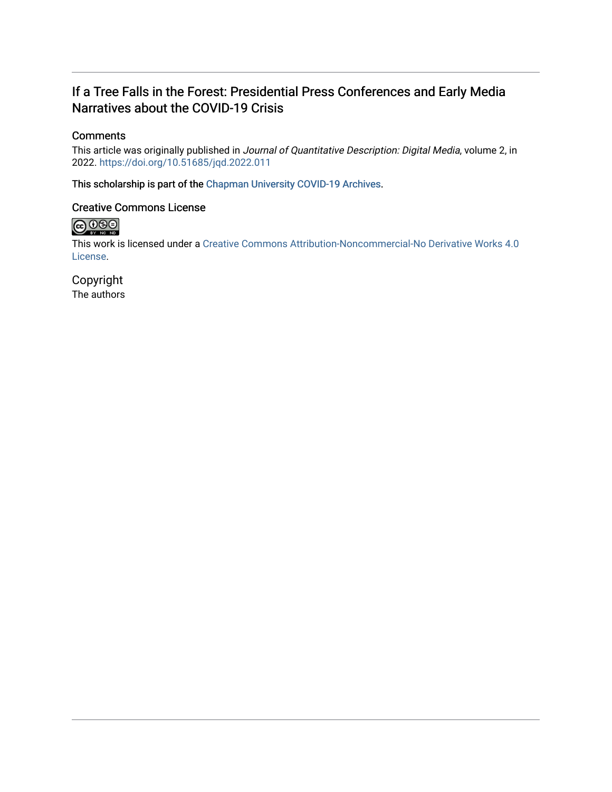# If a Tree Falls in the Forest: Presidential Press Conferences and Early Media Narratives about the COVID-19 Crisis

### **Comments**

This article was originally published in Journal of Quantitative Description: Digital Media, volume 2, in 2022. <https://doi.org/10.51685/jqd.2022.011>

This scholarship is part of the [Chapman University COVID-19 Archives](https://digitalcommons.chapman.edu/covid-19_archives/).

### Creative Commons License



This work is licensed under a [Creative Commons Attribution-Noncommercial-No Derivative Works 4.0](https://creativecommons.org/licenses/by-nc-nd/4.0/) [License](https://creativecommons.org/licenses/by-nc-nd/4.0/).

Copyright The authors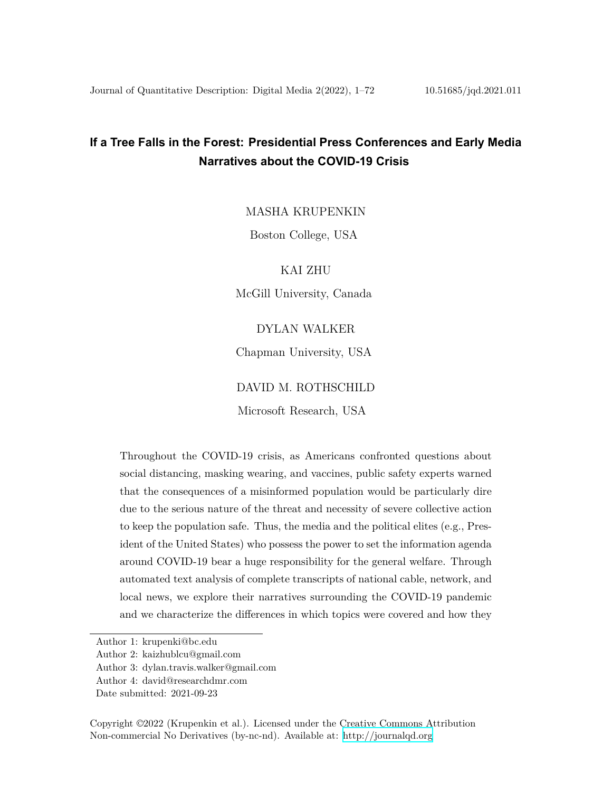# **If a Tree Falls in the Forest: Presidential Press Conferences and Early Media Narratives about the COVID-19 Crisis**

MASHA KRUPENKIN

Boston College, USA

KAI ZHU

McGill University, Canada

#### DYLAN WALKER

Chapman University, USA

#### DAVID M. ROTHSCHILD

Microsoft Research, USA

Throughout the COVID-19 crisis, as Americans confronted questions about social distancing, masking wearing, and vaccines, public safety experts warned that the consequences of a misinformed population would be particularly dire due to the serious nature of the threat and necessity of severe collective action to keep the population safe. Thus, the media and the political elites (e.g., President of the United States) who possess the power to set the information agenda around COVID-19 bear a huge responsibility for the general welfare. Through automated text analysis of complete transcripts of national cable, network, and local news, we explore their narratives surrounding the COVID-19 pandemic and we characterize the differences in which topics were covered and how they

Author 1: krupenki@bc.edu

Author 2: kaizhublcu@gmail.com

Author 3: dylan.travis.walker@gmail.com

Author 4: david@researchdmr.com

Date submitted: 2021-09-23

Copyright ©2022 (Krupenkin et al.). Licensed under the Creative Commons Attribution Non-commercial No Derivatives (by-nc-nd). Available at: <http://journalqd.org>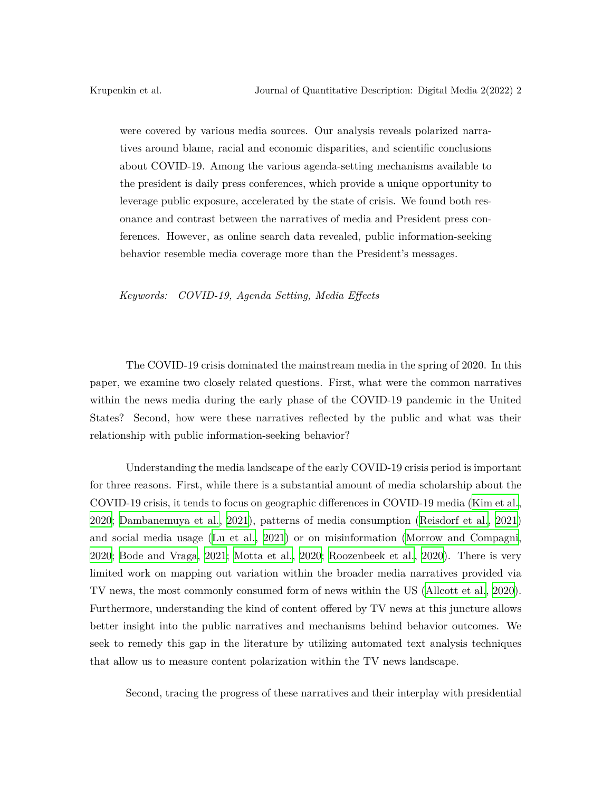were covered by various media sources. Our analysis reveals polarized narratives around blame, racial and economic disparities, and scientific conclusions about COVID-19. Among the various agenda-setting mechanisms available to the president is daily press conferences, which provide a unique opportunity to leverage public exposure, accelerated by the state of crisis. We found both resonance and contrast between the narratives of media and President press conferences. However, as online search data revealed, public information-seeking behavior resemble media coverage more than the President's messages.

*Keywords: COVID-19, Agenda Setting, Media Effects*

The COVID-19 crisis dominated the mainstream media in the spring of 2020. In this paper, we examine two closely related questions. First, what were the common narratives within the news media during the early phase of the COVID-19 pandemic in the United States? Second, how were these narratives reflected by the public and what was their relationship with public information-seeking behavior?

Understanding the media landscape of the early COVID-19 crisis period is important for three reasons. First, while there is a substantial amount of media scholarship about the COVID-19 crisis, it tends to focus on geographic differences in COVID-19 media [\(Kim et al.,](#page-28-0) [2020;](#page-28-0) [Dambanemuya et al.](#page-26-0), [2021\)](#page-26-0), patterns of media consumption ([Reisdorf et al.,](#page-29-0) [2021\)](#page-29-0) and social media usage [\(Lu et al.](#page-28-1), [2021](#page-28-1)) or on misinformation [\(Morrow and Compagni,](#page-28-2) [2020;](#page-28-2) [Bode and Vraga,](#page-26-1) [2021;](#page-26-1) [Motta et al.,](#page-28-3) [2020;](#page-28-3) [Roozenbeek et al.,](#page-29-1) [2020\)](#page-29-1). There is very limited work on mapping out variation within the broader media narratives provided via TV news, the most commonly consumed form of news within the US ([Allcott et al.](#page-26-2), [2020\)](#page-26-2). Furthermore, understanding the kind of content offered by TV news at this juncture allows better insight into the public narratives and mechanisms behind behavior outcomes. We seek to remedy this gap in the literature by utilizing automated text analysis techniques that allow us to measure content polarization within the TV news landscape.

Second, tracing the progress of these narratives and their interplay with presidential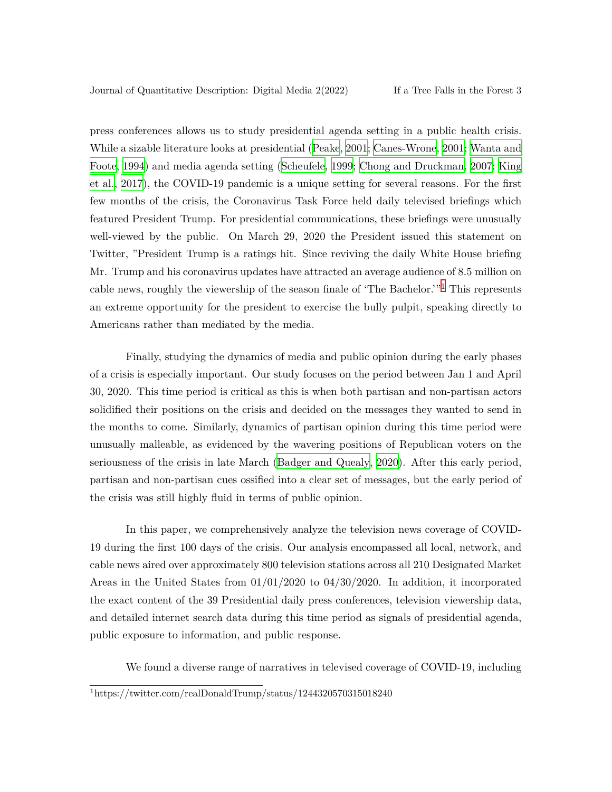press conferences allows us to study presidential agenda setting in a public health crisis. While a sizable literature looks at presidential [\(Peake](#page-28-4), [2001;](#page-28-4) [Canes-Wrone,](#page-26-3) [2001;](#page-26-3) [Wanta and](#page-29-2) [Foote,](#page-29-2) [1994\)](#page-29-2) and media agenda setting [\(Scheufele](#page-29-3), [1999](#page-29-3); [Chong and Druckman](#page-26-4), [2007;](#page-26-4) [King](#page-28-5) [et al.](#page-28-5), [2017\)](#page-28-5), the COVID-19 pandemic is a unique setting for several reasons. For the first few months of the crisis, the Coronavirus Task Force held daily televised briefings which featured President Trump. For presidential communications, these briefings were unusually well-viewed by the public. On March 29, 2020 the President issued this statement on Twitter, "President Trump is a ratings hit. Since reviving the daily White House briefing Mr. Trump and his coronavirus updates have attracted an average audience of 8.5 million on cable news, roughly the viewership of the season finale of 'The Bachelor.'"1 This represents an extreme opportunity for the president to exercise the bully pulpit, speaking directly to Americans rather than mediated by the media.

Finally, studying the dynamics of media and public opinion during the early phases of a crisis is especially important. Our study focuses on the period between Jan 1 and April 30, 2020. This time period is critical as this is when both partisan and non-partisan actors solidified their positions on the crisis and decided on the messages they wanted to send in the months to come. Similarly, dynamics of partisan opinion during this time period were unusually malleable, as evidenced by the wavering positions of Republican voters on the seriousness of the crisis in late March [\(Badger and Quealy](#page-26-5), [2020\)](#page-26-5). After this early period, partisan and non-partisan cues ossified into a clear set of messages, but the early period of the crisis was still highly fluid in terms of public opinion.

In this paper, we comprehensively analyze the television news coverage of COVID-19 during the first 100 days of the crisis. Our analysis encompassed all local, network, and cable news aired over approximately 800 television stations across all 210 Designated Market Areas in the United States from 01/01/2020 to 04/30/2020. In addition, it incorporated the exact content of the 39 Presidential daily press conferences, television viewership data, and detailed internet search data during this time period as signals of presidential agenda, public exposure to information, and public response.

We found a diverse range of narratives in televised coverage of COVID-19, including

<sup>1</sup>https://twitter.com/realDonaldTrump/status/1244320570315018240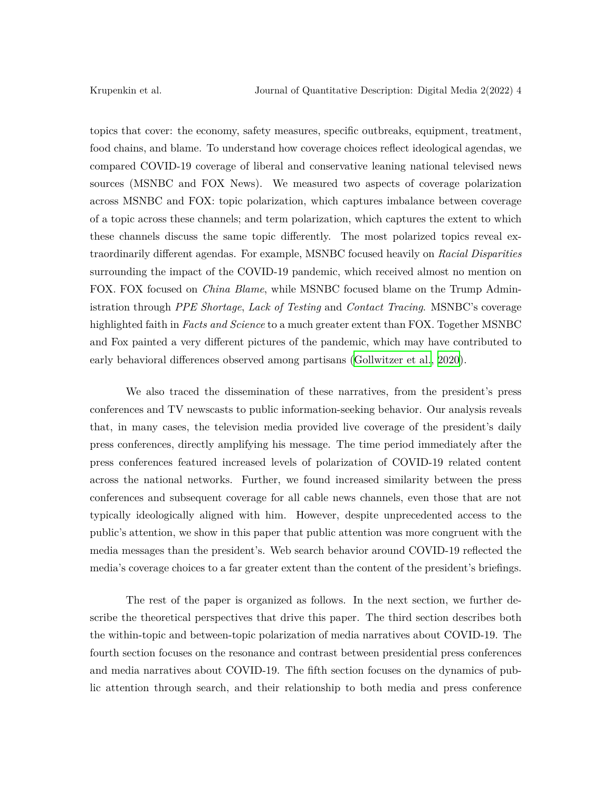topics that cover: the economy, safety measures, specific outbreaks, equipment, treatment, food chains, and blame. To understand how coverage choices reflect ideological agendas, we compared COVID-19 coverage of liberal and conservative leaning national televised news sources (MSNBC and FOX News). We measured two aspects of coverage polarization across MSNBC and FOX: topic polarization, which captures imbalance between coverage of a topic across these channels; and term polarization, which captures the extent to which these channels discuss the same topic differently. The most polarized topics reveal extraordinarily different agendas. For example, MSNBC focused heavily on *Racial Disparities* surrounding the impact of the COVID-19 pandemic, which received almost no mention on FOX. FOX focused on *China Blame*, while MSNBC focused blame on the Trump Administration through *PPE Shortage*, *Lack of Testing* and *Contact Tracing*. MSNBC's coverage highlighted faith in *Facts and Science* to a much greater extent than FOX. Together MSNBC and Fox painted a very different pictures of the pandemic, which may have contributed to early behavioral differences observed among partisans [\(Gollwitzer et al.](#page-27-0), [2020\)](#page-27-0).

We also traced the dissemination of these narratives, from the president's press conferences and TV newscasts to public information-seeking behavior. Our analysis reveals that, in many cases, the television media provided live coverage of the president's daily press conferences, directly amplifying his message. The time period immediately after the press conferences featured increased levels of polarization of COVID-19 related content across the national networks. Further, we found increased similarity between the press conferences and subsequent coverage for all cable news channels, even those that are not typically ideologically aligned with him. However, despite unprecedented access to the public's attention, we show in this paper that public attention was more congruent with the media messages than the president's. Web search behavior around COVID-19 reflected the media's coverage choices to a far greater extent than the content of the president's briefings.

The rest of the paper is organized as follows. In the next section, we further describe the theoretical perspectives that drive this paper. The third section describes both the within-topic and between-topic polarization of media narratives about COVID-19. The fourth section focuses on the resonance and contrast between presidential press conferences and media narratives about COVID-19. The fifth section focuses on the dynamics of public attention through search, and their relationship to both media and press conference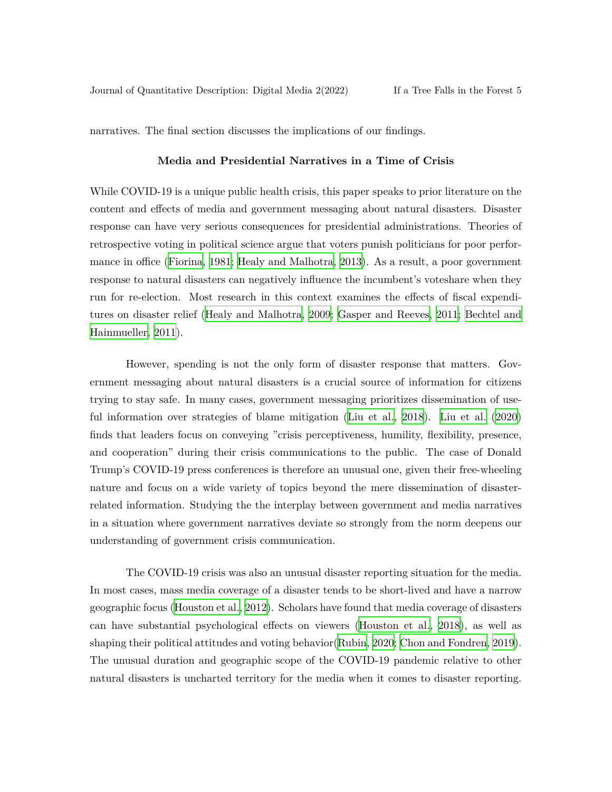narratives. The final section discusses the implications of our findings.

#### **Media and Presidential Narratives in a Time of Crisis**

While COVID-19 is a unique public health crisis, this paper speaks to prior literature on the content and effects of media and government messaging about natural disasters. Disaster response can have very serious consequences for presidential administrations. Theories of retrospective voting in political science argue that voters punish politicians for poor performance in office [\(Fiorina,](#page-27-1) [1981](#page-27-1); [Healy and Malhotra,](#page-27-2) [2013](#page-27-2)). As a result, a poor government response to natural disasters can negatively influence the incumbent's voteshare when they run for re-election. Most research in this context examines the effects of fiscal expenditures on disaster relief [\(Healy and Malhotra](#page-27-3), [2009;](#page-27-3) [Gasper and Reeves,](#page-27-4) [2011](#page-27-4); [Bechtel and](#page-26-6) [Hainmueller,](#page-26-6) [2011](#page-26-6)).

However, spending is not the only form of disaster response that matters. Government messaging about natural disasters is a crucial source of information for citizens trying to stay safe. In many cases, government messaging prioritizes dissemination of useful information over strategies of blame mitigation ([Liu et al.](#page-28-6), [2018](#page-28-6)). [Liu et al.](#page-28-7) ([2020\)](#page-28-7) finds that leaders focus on conveying "crisis perceptiveness, humility, flexibility, presence, and cooperation" during their crisis communications to the public. The case of Donald Trump's COVID-19 press conferences is therefore an unusual one, given their free-wheeling nature and focus on a wide variety of topics beyond the mere dissemination of disasterrelated information. Studying the the interplay between government and media narratives in a situation where government narratives deviate so strongly from the norm deepens our understanding of government crisis communication.

The COVID-19 crisis was also an unusual disaster reporting situation for the media. In most cases, mass media coverage of a disaster tends to be short-lived and have a narrow geographic focus [\(Houston et al.,](#page-27-5) [2012\)](#page-27-5). Scholars have found that media coverage of disasters can have substantial psychological effects on viewers [\(Houston et al.](#page-27-6), [2018](#page-27-6)), as well as shaping their political attitudes and voting behavior([Rubin,](#page-29-4) [2020](#page-29-4); [Chon and Fondren](#page-26-7), [2019\)](#page-26-7). The unusual duration and geographic scope of the COVID-19 pandemic relative to other natural disasters is uncharted territory for the media when it comes to disaster reporting.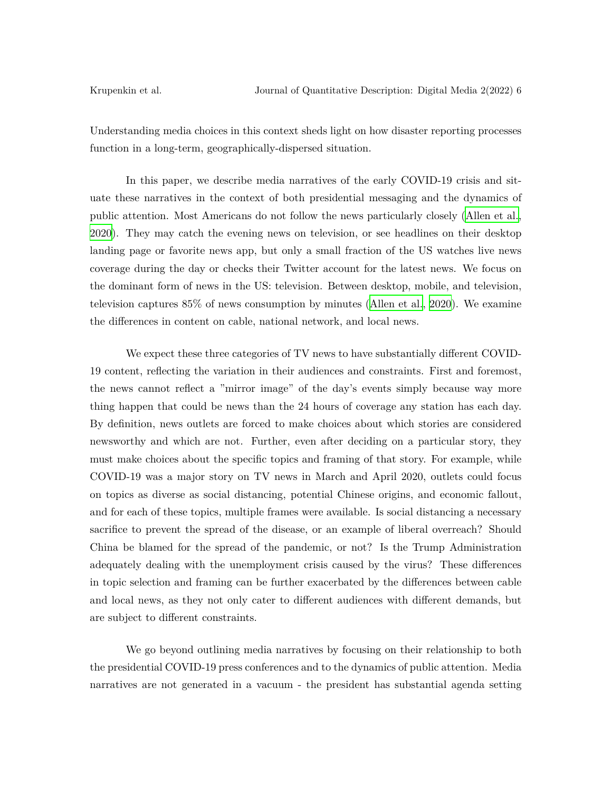Understanding media choices in this context sheds light on how disaster reporting processes function in a long-term, geographically-dispersed situation.

In this paper, we describe media narratives of the early COVID-19 crisis and situate these narratives in the context of both presidential messaging and the dynamics of public attention. Most Americans do not follow the news particularly closely ([Allen et al.,](#page-26-8) [2020\)](#page-26-8). They may catch the evening news on television, or see headlines on their desktop landing page or favorite news app, but only a small fraction of the US watches live news coverage during the day or checks their Twitter account for the latest news. We focus on the dominant form of news in the US: television. Between desktop, mobile, and television, television captures 85% of news consumption by minutes ([Allen et al.](#page-26-8), [2020\)](#page-26-8). We examine the differences in content on cable, national network, and local news.

We expect these three categories of TV news to have substantially different COVID-19 content, reflecting the variation in their audiences and constraints. First and foremost, the news cannot reflect a "mirror image" of the day's events simply because way more thing happen that could be news than the 24 hours of coverage any station has each day. By definition, news outlets are forced to make choices about which stories are considered newsworthy and which are not. Further, even after deciding on a particular story, they must make choices about the specific topics and framing of that story. For example, while COVID-19 was a major story on TV news in March and April 2020, outlets could focus on topics as diverse as social distancing, potential Chinese origins, and economic fallout, and for each of these topics, multiple frames were available. Is social distancing a necessary sacrifice to prevent the spread of the disease, or an example of liberal overreach? Should China be blamed for the spread of the pandemic, or not? Is the Trump Administration adequately dealing with the unemployment crisis caused by the virus? These differences in topic selection and framing can be further exacerbated by the differences between cable and local news, as they not only cater to different audiences with different demands, but are subject to different constraints.

We go beyond outlining media narratives by focusing on their relationship to both the presidential COVID-19 press conferences and to the dynamics of public attention. Media narratives are not generated in a vacuum - the president has substantial agenda setting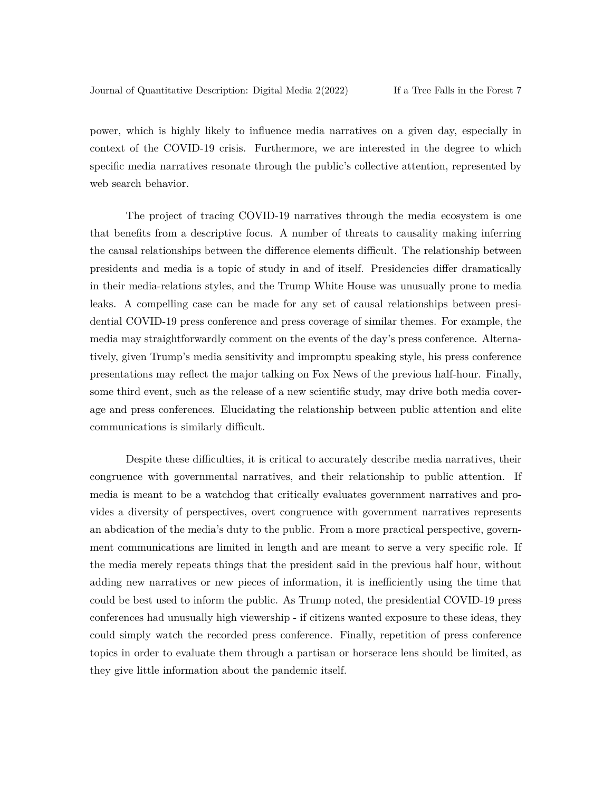power, which is highly likely to influence media narratives on a given day, especially in context of the COVID-19 crisis. Furthermore, we are interested in the degree to which specific media narratives resonate through the public's collective attention, represented by web search behavior.

The project of tracing COVID-19 narratives through the media ecosystem is one that benefits from a descriptive focus. A number of threats to causality making inferring the causal relationships between the difference elements difficult. The relationship between presidents and media is a topic of study in and of itself. Presidencies differ dramatically in their media-relations styles, and the Trump White House was unusually prone to media leaks. A compelling case can be made for any set of causal relationships between presidential COVID-19 press conference and press coverage of similar themes. For example, the media may straightforwardly comment on the events of the day's press conference. Alternatively, given Trump's media sensitivity and impromptu speaking style, his press conference presentations may reflect the major talking on Fox News of the previous half-hour. Finally, some third event, such as the release of a new scientific study, may drive both media coverage and press conferences. Elucidating the relationship between public attention and elite communications is similarly difficult.

Despite these difficulties, it is critical to accurately describe media narratives, their congruence with governmental narratives, and their relationship to public attention. If media is meant to be a watchdog that critically evaluates government narratives and provides a diversity of perspectives, overt congruence with government narratives represents an abdication of the media's duty to the public. From a more practical perspective, government communications are limited in length and are meant to serve a very specific role. If the media merely repeats things that the president said in the previous half hour, without adding new narratives or new pieces of information, it is inefficiently using the time that could be best used to inform the public. As Trump noted, the presidential COVID-19 press conferences had unusually high viewership - if citizens wanted exposure to these ideas, they could simply watch the recorded press conference. Finally, repetition of press conference topics in order to evaluate them through a partisan or horserace lens should be limited, as they give little information about the pandemic itself.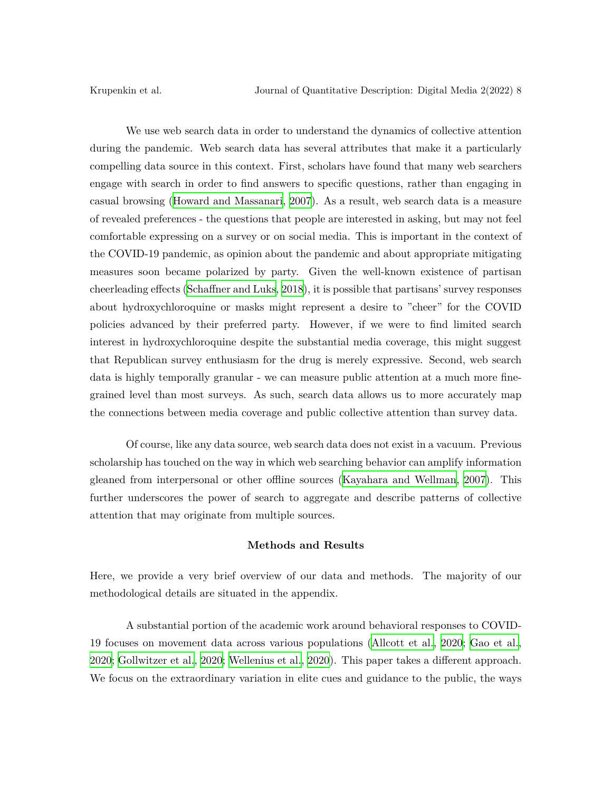We use web search data in order to understand the dynamics of collective attention during the pandemic. Web search data has several attributes that make it a particularly compelling data source in this context. First, scholars have found that many web searchers engage with search in order to find answers to specific questions, rather than engaging in casual browsing ([Howard and Massanari](#page-28-8), [2007\)](#page-28-8). As a result, web search data is a measure of revealed preferences - the questions that people are interested in asking, but may not feel comfortable expressing on a survey or on social media. This is important in the context of the COVID-19 pandemic, as opinion about the pandemic and about appropriate mitigating measures soon became polarized by party. Given the well-known existence of partisan cheerleading effects [\(Schaffner and Luks](#page-29-5), [2018\)](#page-29-5), it is possible that partisans' survey responses about hydroxychloroquine or masks might represent a desire to "cheer" for the COVID policies advanced by their preferred party. However, if we were to find limited search interest in hydroxychloroquine despite the substantial media coverage, this might suggest that Republican survey enthusiasm for the drug is merely expressive. Second, web search data is highly temporally granular - we can measure public attention at a much more finegrained level than most surveys. As such, search data allows us to more accurately map the connections between media coverage and public collective attention than survey data.

Of course, like any data source, web search data does not exist in a vacuum. Previous scholarship has touched on the way in which web searching behavior can amplify information gleaned from interpersonal or other offline sources ([Kayahara and Wellman,](#page-28-9) [2007](#page-28-9)). This further underscores the power of search to aggregate and describe patterns of collective attention that may originate from multiple sources.

#### **Methods and Results**

Here, we provide a very brief overview of our data and methods. The majority of our methodological details are situated in the appendix.

A substantial portion of the academic work around behavioral responses to COVID-19 focuses on movement data across various populations ([Allcott et al.,](#page-26-2) [2020](#page-26-2); [Gao et al.,](#page-27-7) [2020;](#page-27-7) [Gollwitzer et al.](#page-27-0), [2020;](#page-27-0) [Wellenius et al.,](#page-29-6) [2020\)](#page-29-6). This paper takes a different approach. We focus on the extraordinary variation in elite cues and guidance to the public, the ways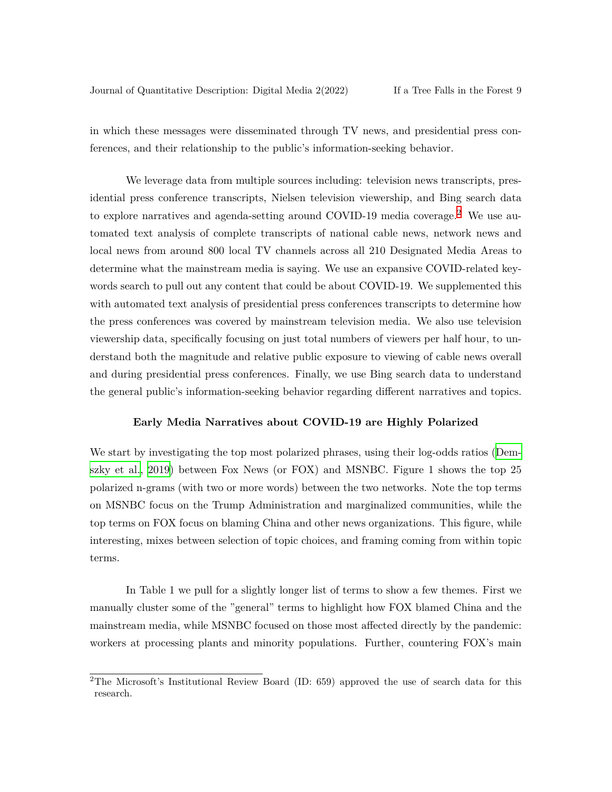in which these messages were disseminated through TV news, and presidential press conferences, and their relationship to the public's information-seeking behavior.

We leverage data from multiple sources including: television news transcripts, presidential press conference transcripts, Nielsen television viewership, and Bing search data to explore narratives and agenda-setting around COVID-19 media coverage.2 We use automated text analysis of complete transcripts of national cable news, network news and local news from around 800 local TV channels across all 210 Designated Media Areas to determine what the mainstream media is saying. We use an expansive COVID-related keywords search to pull out any content that could be about COVID-19. We supplemented this with automated text analysis of presidential press conferences transcripts to determine how the press conferences was covered by mainstream television media. We also use television viewership data, specifically focusing on just total numbers of viewers per half hour, to understand both the magnitude and relative public exposure to viewing of cable news overall and during presidential press conferences. Finally, we use Bing search data to understand the general public's information-seeking behavior regarding different narratives and topics.

#### **Early Media Narratives about COVID-19 are Highly Polarized**

We start by investigating the top most polarized phrases, using their log-odds ratios [\(Dem](#page-27-8)[szky et al.](#page-27-8), [2019\)](#page-27-8) between Fox News (or FOX) and MSNBC. Figure 1 shows the top 25 polarized n-grams (with two or more words) between the two networks. Note the top terms on MSNBC focus on the Trump Administration and marginalized communities, while the top terms on FOX focus on blaming China and other news organizations. This figure, while interesting, mixes between selection of topic choices, and framing coming from within topic terms.

In Table 1 we pull for a slightly longer list of terms to show a few themes. First we manually cluster some of the "general" terms to highlight how FOX blamed China and the mainstream media, while MSNBC focused on those most affected directly by the pandemic: workers at processing plants and minority populations. Further, countering FOX's main

<sup>2</sup>The Microsoft's Institutional Review Board (ID: 659) approved the use of search data for this research.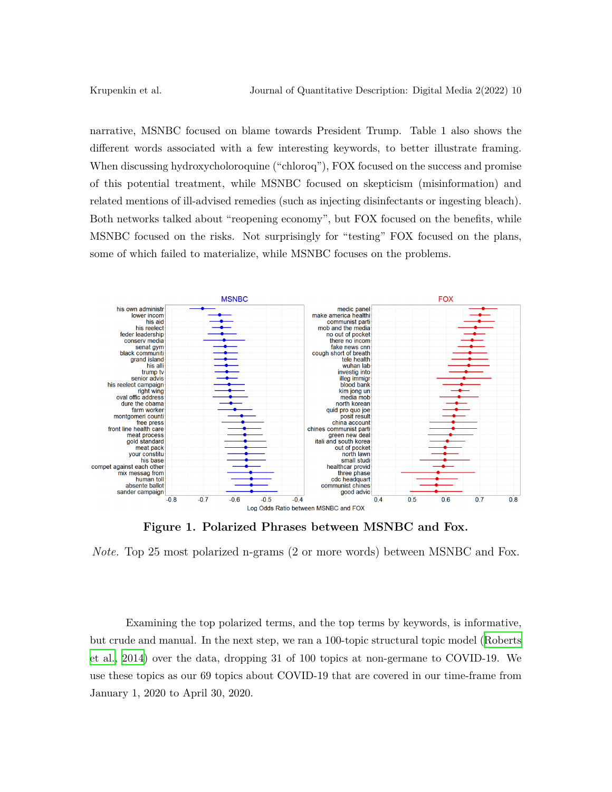narrative, MSNBC focused on blame towards President Trump. Table 1 also shows the different words associated with a few interesting keywords, to better illustrate framing. When discussing hydroxycholoroquine ("chloroq"), FOX focused on the success and promise of this potential treatment, while MSNBC focused on skepticism (misinformation) and related mentions of ill-advised remedies (such as injecting disinfectants or ingesting bleach). Both networks talked about "reopening economy", but FOX focused on the benefits, while MSNBC focused on the risks. Not surprisingly for "testing" FOX focused on the plans, some of which failed to materialize, while MSNBC focuses on the problems.



**Figure 1. Polarized Phrases between MSNBC and Fox.**

*Note.* Top 25 most polarized n-grams (2 or more words) between MSNBC and Fox.

Examining the top polarized terms, and the top terms by keywords, is informative, but crude and manual. In the next step, we ran a 100-topic structural topic model [\(Roberts](#page-29-7) [et al.,](#page-29-7) [2014](#page-29-7)) over the data, dropping 31 of 100 topics at non-germane to COVID-19. We use these topics as our 69 topics about COVID-19 that are covered in our time-frame from January 1, 2020 to April 30, 2020.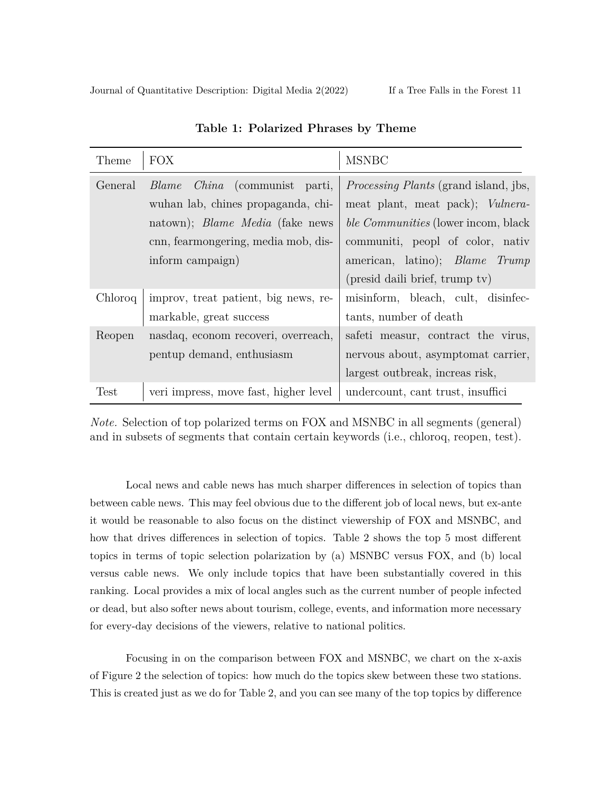Journal of Quantitative Description: Digital Media 2(2022) If a Tree Falls in the Forest 11

| Theme   | <b>FOX</b>                              | <b>MSNBC</b>                                 |
|---------|-----------------------------------------|----------------------------------------------|
| General | <i>China</i> (communist parti,<br>Blame | <i>Processing Plants</i> (grand island, jbs, |
|         | wuhan lab, chines propaganda, chi-      | meat plant, meat pack); Vulnera-             |
|         | natown); <i>Blame Media</i> (fake news  | ble Communities (lower incom, black          |
|         | cnn, fearmongering, media mob, dis-     | communiti, peopl of color, nativ             |
|         | inform campaign)                        | american, latino); <i>Blame Trump</i>        |
|         |                                         | (presid daili brief, trump tv)               |
| Chloroq | improv, treat patient, big news, re-    | misinform, bleach, cult, disinfec-           |
|         | markable, great success                 | tants, number of death                       |
| Reopen  | nasdaq, econom recoveri, overreach,     | safeti measur, contract the virus,           |
|         | pentup demand, enthusiasm               | nervous about, asymptomat carrier,           |
|         |                                         | largest outbreak, increas risk,              |
| Test    | veri impress, move fast, higher level   | undercount, cant trust, insuffici            |

**Table 1: Polarized Phrases by Theme**

*Note.* Selection of top polarized terms on FOX and MSNBC in all segments (general) and in subsets of segments that contain certain keywords (i.e., chloroq, reopen, test).

Local news and cable news has much sharper differences in selection of topics than between cable news. This may feel obvious due to the different job of local news, but ex-ante it would be reasonable to also focus on the distinct viewership of FOX and MSNBC, and how that drives differences in selection of topics. Table 2 shows the top 5 most different topics in terms of topic selection polarization by (a) MSNBC versus FOX, and (b) local versus cable news. We only include topics that have been substantially covered in this ranking. Local provides a mix of local angles such as the current number of people infected or dead, but also softer news about tourism, college, events, and information more necessary for every-day decisions of the viewers, relative to national politics.

Focusing in on the comparison between FOX and MSNBC, we chart on the x-axis of Figure 2 the selection of topics: how much do the topics skew between these two stations. This is created just as we do for Table 2, and you can see many of the top topics by difference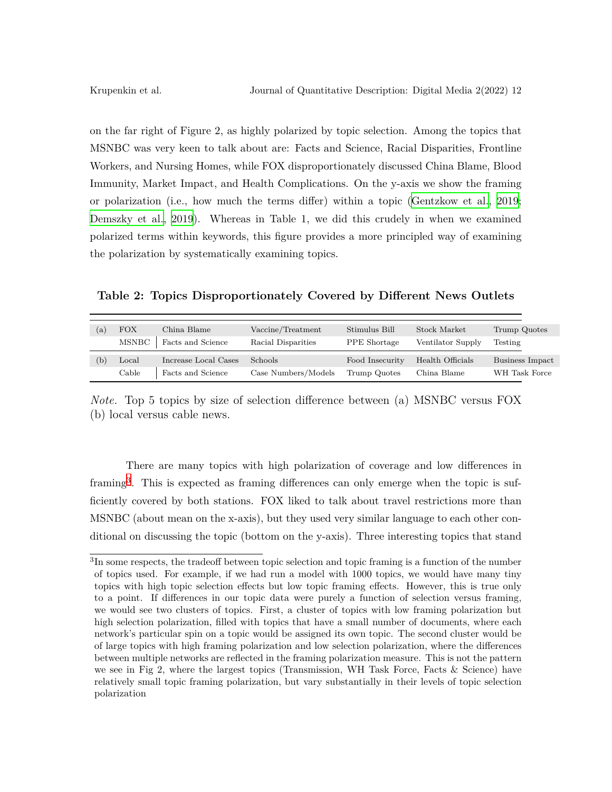on the far right of Figure 2, as highly polarized by topic selection. Among the topics that MSNBC was very keen to talk about are: Facts and Science, Racial Disparities, Frontline Workers, and Nursing Homes, while FOX disproportionately discussed China Blame, Blood Immunity, Market Impact, and Health Complications. On the y-axis we show the framing or polarization (i.e., how much the terms differ) within a topic ([Gentzkow et al.](#page-27-9), [2019;](#page-27-9) [Demszky et al.,](#page-27-8) [2019](#page-27-8)). Whereas in Table 1, we did this crudely in when we examined polarized terms within keywords, this figure provides a more principled way of examining the polarization by systematically examining topics.

**Table 2: Topics Disproportionately Covered by Different News Outlets**

| (a  | FOX   | China Blame          | Vaccine/Treatment   | Stimulus Bill       | Stock Market      | Trump Quotes    |
|-----|-------|----------------------|---------------------|---------------------|-------------------|-----------------|
|     | MSNBC | Facts and Science    | Racial Disparities  | <b>PPE</b> Shortage | Ventilator Supply | Testing         |
| (b) | Local | Increase Local Cases | Schools             | Food Insecurity     | Health Officials  | Business Impact |
|     | Cable | Facts and Science    | Case Numbers/Models | Trump Quotes        | China Blame       | WH Task Force   |

*Note.* Top 5 topics by size of selection difference between (a) MSNBC versus FOX (b) local versus cable news.

There are many topics with high polarization of coverage and low differences in framing<sup>3</sup>. This is expected as framing differences can only emerge when the topic is sufficiently covered by both stations. FOX liked to talk about travel restrictions more than MSNBC (about mean on the x-axis), but they used very similar language to each other conditional on discussing the topic (bottom on the y-axis). Three interesting topics that stand

<sup>&</sup>lt;sup>3</sup>In some respects, the tradeoff between topic selection and topic framing is a function of the number of topics used. For example, if we had run a model with 1000 topics, we would have many tiny topics with high topic selection effects but low topic framing effects. However, this is true only to a point. If differences in our topic data were purely a function of selection versus framing, we would see two clusters of topics. First, a cluster of topics with low framing polarization but high selection polarization, filled with topics that have a small number of documents, where each network's particular spin on a topic would be assigned its own topic. The second cluster would be of large topics with high framing polarization and low selection polarization, where the differences between multiple networks are reflected in the framing polarization measure. This is not the pattern we see in Fig 2, where the largest topics (Transmission, WH Task Force, Facts  $\&$  Science) have relatively small topic framing polarization, but vary substantially in their levels of topic selection polarization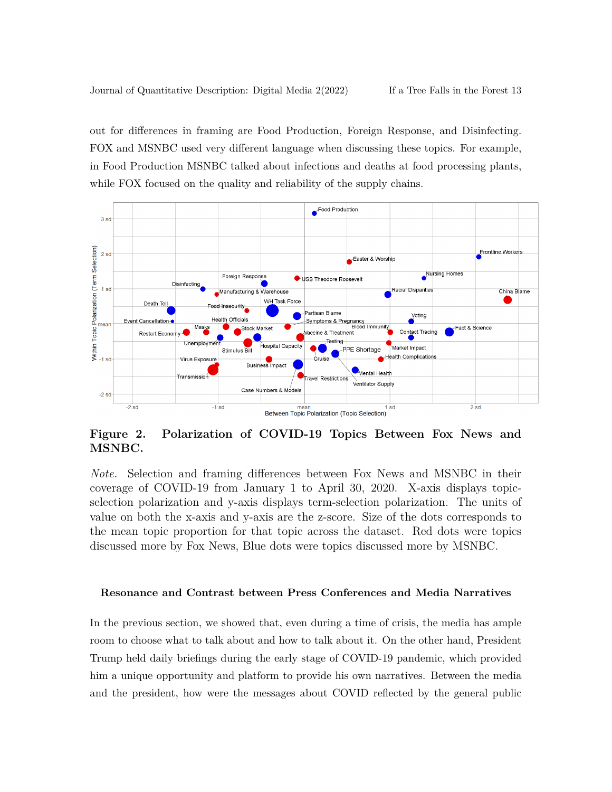out for differences in framing are Food Production, Foreign Response, and Disinfecting. FOX and MSNBC used very different language when discussing these topics. For example, in Food Production MSNBC talked about infections and deaths at food processing plants, while FOX focused on the quality and reliability of the supply chains.



**Figure 2. Polarization of COVID-19 Topics Between Fox News and MSNBC.**

*Note.* Selection and framing differences between Fox News and MSNBC in their coverage of COVID-19 from January 1 to April 30, 2020. X-axis displays topicselection polarization and y-axis displays term-selection polarization. The units of value on both the x-axis and y-axis are the z-score. Size of the dots corresponds to the mean topic proportion for that topic across the dataset. Red dots were topics discussed more by Fox News, Blue dots were topics discussed more by MSNBC.

#### **Resonance and Contrast between Press Conferences and Media Narratives**

In the previous section, we showed that, even during a time of crisis, the media has ample room to choose what to talk about and how to talk about it. On the other hand, President Trump held daily briefings during the early stage of COVID-19 pandemic, which provided him a unique opportunity and platform to provide his own narratives. Between the media and the president, how were the messages about COVID reflected by the general public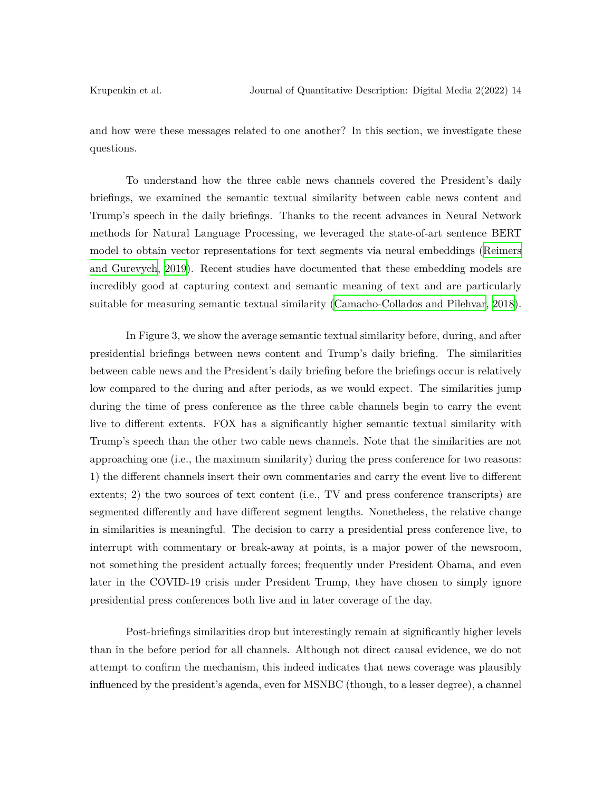and how were these messages related to one another? In this section, we investigate these questions.

To understand how the three cable news channels covered the President's daily briefings, we examined the semantic textual similarity between cable news content and Trump's speech in the daily briefings. Thanks to the recent advances in Neural Network methods for Natural Language Processing, we leveraged the state-of-art sentence BERT model to obtain vector representations for text segments via neural embeddings ([Reimers](#page-28-10) [and Gurevych,](#page-28-10) [2019\)](#page-28-10). Recent studies have documented that these embedding models are incredibly good at capturing context and semantic meaning of text and are particularly suitable for measuring semantic textual similarity [\(Camacho-Collados and Pilehvar](#page-26-9), [2018\)](#page-26-9).

In Figure 3, we show the average semantic textual similarity before, during, and after presidential briefings between news content and Trump's daily briefing. The similarities between cable news and the President's daily briefing before the briefings occur is relatively low compared to the during and after periods, as we would expect. The similarities jump during the time of press conference as the three cable channels begin to carry the event live to different extents. FOX has a significantly higher semantic textual similarity with Trump's speech than the other two cable news channels. Note that the similarities are not approaching one (i.e., the maximum similarity) during the press conference for two reasons: 1) the different channels insert their own commentaries and carry the event live to different extents; 2) the two sources of text content (i.e., TV and press conference transcripts) are segmented differently and have different segment lengths. Nonetheless, the relative change in similarities is meaningful. The decision to carry a presidential press conference live, to interrupt with commentary or break-away at points, is a major power of the newsroom, not something the president actually forces; frequently under President Obama, and even later in the COVID-19 crisis under President Trump, they have chosen to simply ignore presidential press conferences both live and in later coverage of the day.

Post-briefings similarities drop but interestingly remain at significantly higher levels than in the before period for all channels. Although not direct causal evidence, we do not attempt to confirm the mechanism, this indeed indicates that news coverage was plausibly influenced by the president's agenda, even for MSNBC (though, to a lesser degree), a channel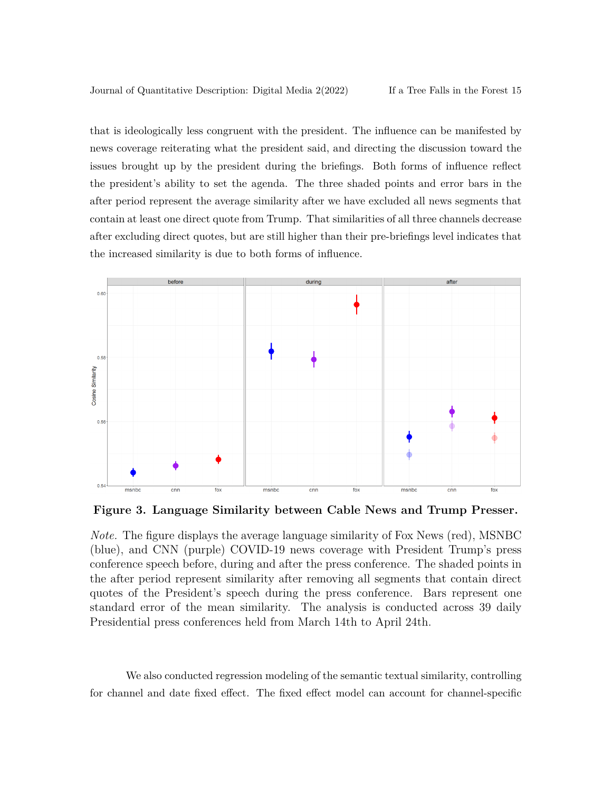that is ideologically less congruent with the president. The influence can be manifested by news coverage reiterating what the president said, and directing the discussion toward the issues brought up by the president during the briefings. Both forms of influence reflect the president's ability to set the agenda. The three shaded points and error bars in the after period represent the average similarity after we have excluded all news segments that contain at least one direct quote from Trump. That similarities of all three channels decrease after excluding direct quotes, but are still higher than their pre-briefings level indicates that the increased similarity is due to both forms of influence.



**Figure 3. Language Similarity between Cable News and Trump Presser.**

*Note.* The figure displays the average language similarity of Fox News (red), MSNBC (blue), and CNN (purple) COVID-19 news coverage with President Trump's press conference speech before, during and after the press conference. The shaded points in the after period represent similarity after removing all segments that contain direct quotes of the President's speech during the press conference. Bars represent one standard error of the mean similarity. The analysis is conducted across 39 daily Presidential press conferences held from March 14th to April 24th.

We also conducted regression modeling of the semantic textual similarity, controlling for channel and date fixed effect. The fixed effect model can account for channel-specific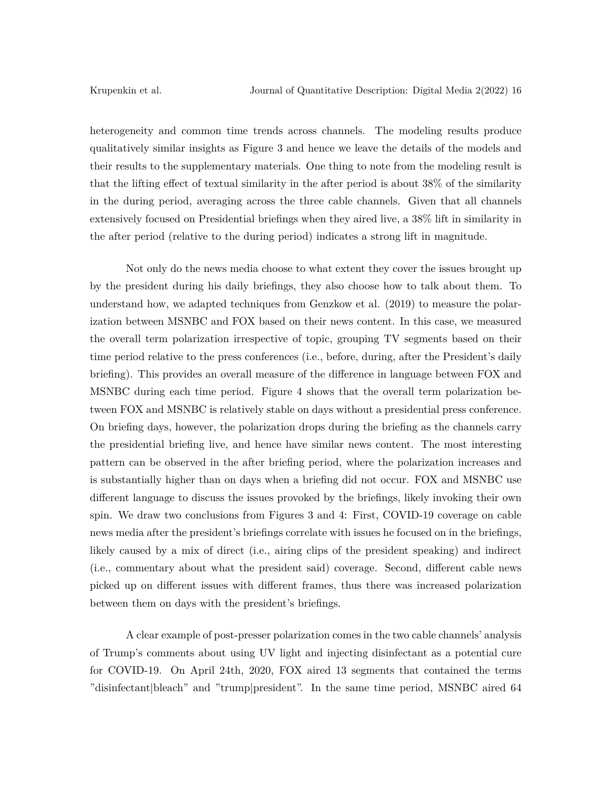heterogeneity and common time trends across channels. The modeling results produce qualitatively similar insights as Figure 3 and hence we leave the details of the models and their results to the supplementary materials. One thing to note from the modeling result is that the lifting effect of textual similarity in the after period is about 38% of the similarity in the during period, averaging across the three cable channels. Given that all channels extensively focused on Presidential briefings when they aired live, a 38% lift in similarity in the after period (relative to the during period) indicates a strong lift in magnitude.

Not only do the news media choose to what extent they cover the issues brought up by the president during his daily briefings, they also choose how to talk about them. To understand how, we adapted techniques from Genzkow et al. (2019) to measure the polarization between MSNBC and FOX based on their news content. In this case, we measured the overall term polarization irrespective of topic, grouping TV segments based on their time period relative to the press conferences (i.e., before, during, after the President's daily briefing). This provides an overall measure of the difference in language between FOX and MSNBC during each time period. Figure 4 shows that the overall term polarization between FOX and MSNBC is relatively stable on days without a presidential press conference. On briefing days, however, the polarization drops during the briefing as the channels carry the presidential briefing live, and hence have similar news content. The most interesting pattern can be observed in the after briefing period, where the polarization increases and is substantially higher than on days when a briefing did not occur. FOX and MSNBC use different language to discuss the issues provoked by the briefings, likely invoking their own spin. We draw two conclusions from Figures 3 and 4: First, COVID-19 coverage on cable news media after the president's briefings correlate with issues he focused on in the briefings, likely caused by a mix of direct (i.e., airing clips of the president speaking) and indirect (i.e., commentary about what the president said) coverage. Second, different cable news picked up on different issues with different frames, thus there was increased polarization between them on days with the president's briefings.

A clear example of post-presser polarization comes in the two cable channels' analysis of Trump's comments about using UV light and injecting disinfectant as a potential cure for COVID-19. On April 24th, 2020, FOX aired 13 segments that contained the terms "disinfectant|bleach" and "trump|president". In the same time period, MSNBC aired 64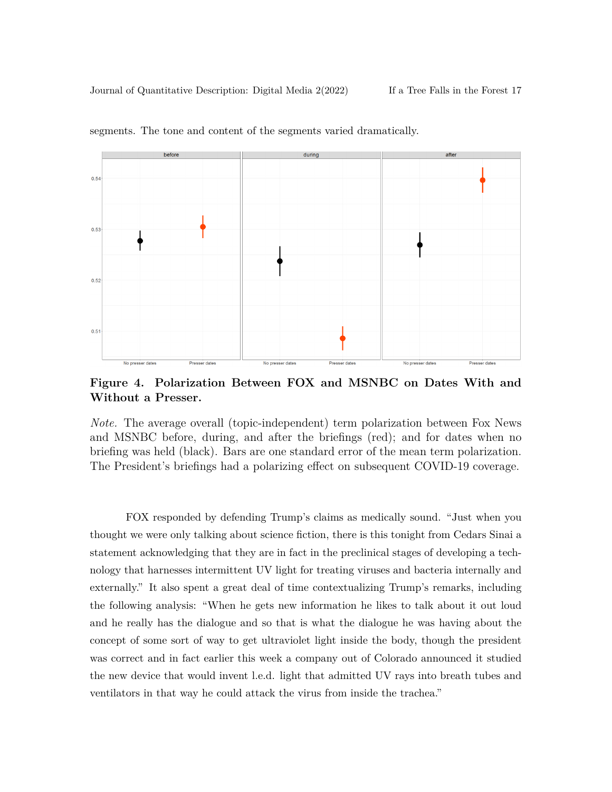Journal of Quantitative Description: Digital Media 2(2022) If a Tree Falls in the Forest 17



segments. The tone and content of the segments varied dramatically.

**Figure 4. Polarization Between FOX and MSNBC on Dates With and Without a Presser.**

*Note.* The average overall (topic-independent) term polarization between Fox News and MSNBC before, during, and after the briefings (red); and for dates when no briefing was held (black). Bars are one standard error of the mean term polarization. The President's briefings had a polarizing effect on subsequent COVID-19 coverage.

FOX responded by defending Trump's claims as medically sound. "Just when you thought we were only talking about science fiction, there is this tonight from Cedars Sinai a statement acknowledging that they are in fact in the preclinical stages of developing a technology that harnesses intermittent UV light for treating viruses and bacteria internally and externally." It also spent a great deal of time contextualizing Trump's remarks, including the following analysis: "When he gets new information he likes to talk about it out loud and he really has the dialogue and so that is what the dialogue he was having about the concept of some sort of way to get ultraviolet light inside the body, though the president was correct and in fact earlier this week a company out of Colorado announced it studied the new device that would invent l.e.d. light that admitted UV rays into breath tubes and ventilators in that way he could attack the virus from inside the trachea."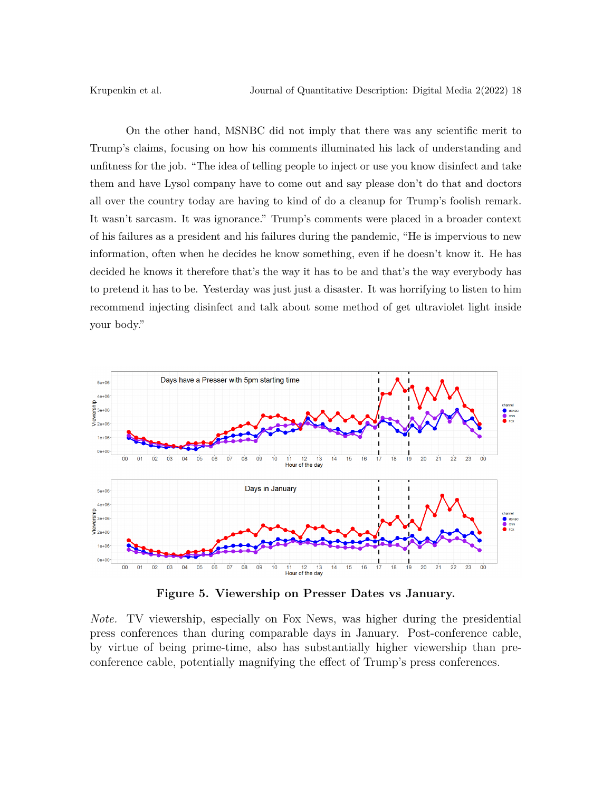On the other hand, MSNBC did not imply that there was any scientific merit to Trump's claims, focusing on how his comments illuminated his lack of understanding and unfitness for the job. "The idea of telling people to inject or use you know disinfect and take them and have Lysol company have to come out and say please don't do that and doctors all over the country today are having to kind of do a cleanup for Trump's foolish remark. It wasn't sarcasm. It was ignorance." Trump's comments were placed in a broader context of his failures as a president and his failures during the pandemic, "He is impervious to new information, often when he decides he know something, even if he doesn't know it. He has decided he knows it therefore that's the way it has to be and that's the way everybody has to pretend it has to be. Yesterday was just just a disaster. It was horrifying to listen to him recommend injecting disinfect and talk about some method of get ultraviolet light inside your body."



**Figure 5. Viewership on Presser Dates vs January.**

*Note.* TV viewership, especially on Fox News, was higher during the presidential press conferences than during comparable days in January. Post-conference cable, by virtue of being prime-time, also has substantially higher viewership than preconference cable, potentially magnifying the effect of Trump's press conferences.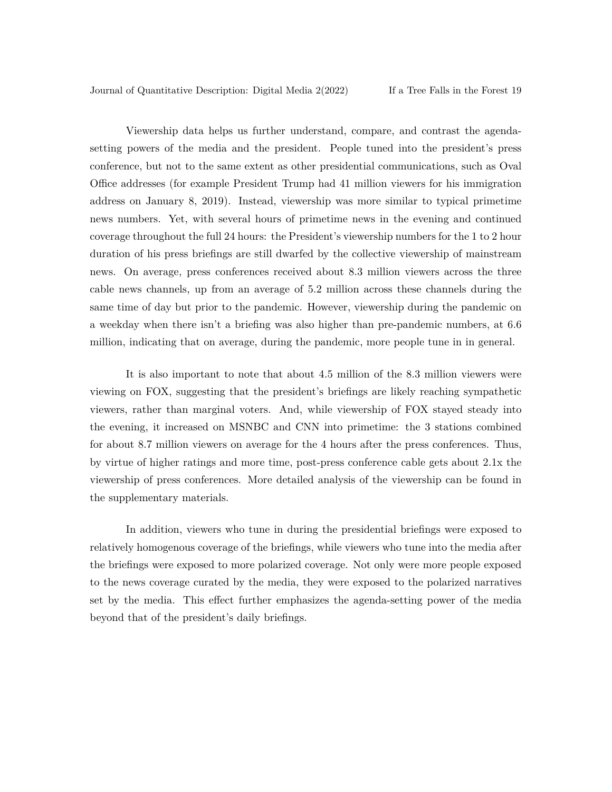Viewership data helps us further understand, compare, and contrast the agendasetting powers of the media and the president. People tuned into the president's press conference, but not to the same extent as other presidential communications, such as Oval Office addresses (for example President Trump had 41 million viewers for his immigration address on January 8, 2019). Instead, viewership was more similar to typical primetime news numbers. Yet, with several hours of primetime news in the evening and continued coverage throughout the full 24 hours: the President's viewership numbers for the 1 to 2 hour duration of his press briefings are still dwarfed by the collective viewership of mainstream news. On average, press conferences received about 8.3 million viewers across the three cable news channels, up from an average of 5.2 million across these channels during the same time of day but prior to the pandemic. However, viewership during the pandemic on a weekday when there isn't a briefing was also higher than pre-pandemic numbers, at 6.6 million, indicating that on average, during the pandemic, more people tune in in general.

It is also important to note that about 4.5 million of the 8.3 million viewers were viewing on FOX, suggesting that the president's briefings are likely reaching sympathetic viewers, rather than marginal voters. And, while viewership of FOX stayed steady into the evening, it increased on MSNBC and CNN into primetime: the 3 stations combined for about 8.7 million viewers on average for the 4 hours after the press conferences. Thus, by virtue of higher ratings and more time, post-press conference cable gets about 2.1x the viewership of press conferences. More detailed analysis of the viewership can be found in the supplementary materials.

In addition, viewers who tune in during the presidential briefings were exposed to relatively homogenous coverage of the briefings, while viewers who tune into the media after the briefings were exposed to more polarized coverage. Not only were more people exposed to the news coverage curated by the media, they were exposed to the polarized narratives set by the media. This effect further emphasizes the agenda-setting power of the media beyond that of the president's daily briefings.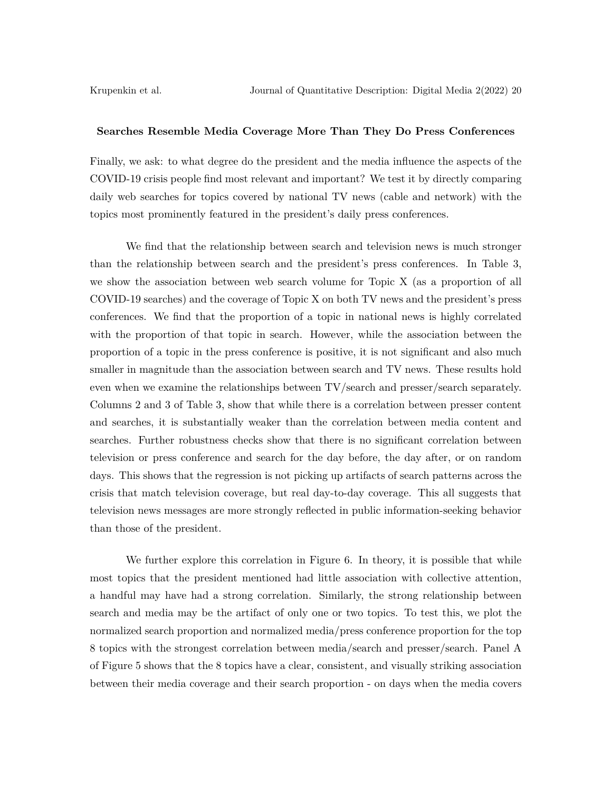#### **Searches Resemble Media Coverage More Than They Do Press Conferences**

Finally, we ask: to what degree do the president and the media influence the aspects of the COVID-19 crisis people find most relevant and important? We test it by directly comparing daily web searches for topics covered by national TV news (cable and network) with the topics most prominently featured in the president's daily press conferences.

We find that the relationship between search and television news is much stronger than the relationship between search and the president's press conferences. In Table 3, we show the association between web search volume for Topic X (as a proportion of all COVID-19 searches) and the coverage of Topic X on both TV news and the president's press conferences. We find that the proportion of a topic in national news is highly correlated with the proportion of that topic in search. However, while the association between the proportion of a topic in the press conference is positive, it is not significant and also much smaller in magnitude than the association between search and TV news. These results hold even when we examine the relationships between TV/search and presser/search separately. Columns 2 and 3 of Table 3, show that while there is a correlation between presser content and searches, it is substantially weaker than the correlation between media content and searches. Further robustness checks show that there is no significant correlation between television or press conference and search for the day before, the day after, or on random days. This shows that the regression is not picking up artifacts of search patterns across the crisis that match television coverage, but real day-to-day coverage. This all suggests that television news messages are more strongly reflected in public information-seeking behavior than those of the president.

We further explore this correlation in Figure 6. In theory, it is possible that while most topics that the president mentioned had little association with collective attention, a handful may have had a strong correlation. Similarly, the strong relationship between search and media may be the artifact of only one or two topics. To test this, we plot the normalized search proportion and normalized media/press conference proportion for the top 8 topics with the strongest correlation between media/search and presser/search. Panel A of Figure 5 shows that the 8 topics have a clear, consistent, and visually striking association between their media coverage and their search proportion - on days when the media covers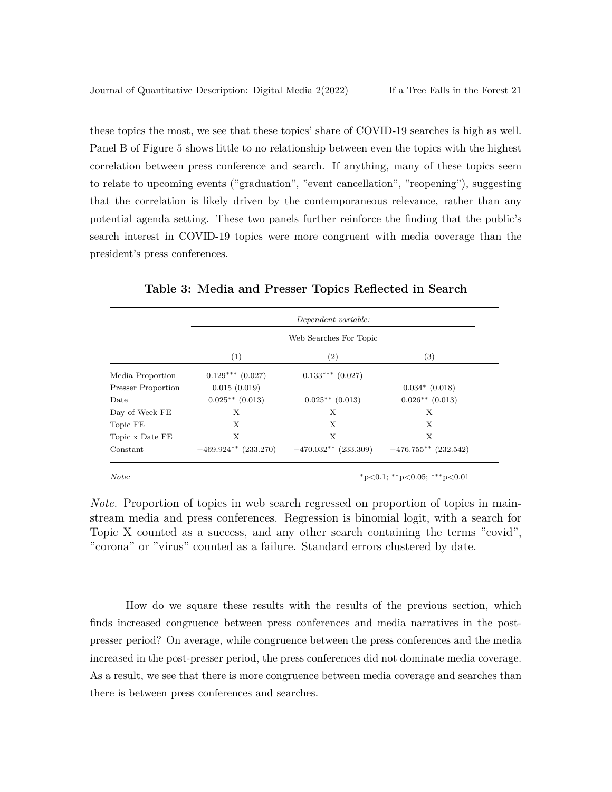these topics the most, we see that these topics' share of COVID-19 searches is high as well. Panel B of Figure 5 shows little to no relationship between even the topics with the highest correlation between press conference and search. If anything, many of these topics seem to relate to upcoming events ("graduation", "event cancellation", "reopening"), suggesting that the correlation is likely driven by the contemporaneous relevance, rather than any potential agenda setting. These two panels further reinforce the finding that the public's search interest in COVID-19 topics were more congruent with media coverage than the president's press conferences.

|                           |                        | Dependent variable:    |                        |  |
|---------------------------|------------------------|------------------------|------------------------|--|
|                           | Web Searches For Topic |                        |                        |  |
|                           | $\left(1\right)$       | (2)                    | (3)                    |  |
| Media Proportion          | $0.129***$ $(0.027)$   | $0.133***$ $(0.027)$   |                        |  |
| <b>Presser Proportion</b> | 0.015(0.019)           |                        | $0.034*$ $(0.018)$     |  |
| Date                      | $0.025**$ (0.013)      | $0.025**$ (0.013)      | $0.026**$ (0.013)      |  |
| Day of Week FE            | X                      | X                      | X                      |  |
| Topic FE                  | X                      | X                      | X                      |  |
| Topic x Date FE           | X                      | X                      | X                      |  |
| Constant                  | $-469.924**$ (233.270) | $-470.032**$ (233.309) | $-476.755**$ (232.542) |  |

**Table 3: Media and Presser Topics Reflected in Search**

*Note.* Proportion of topics in web search regressed on proportion of topics in mainstream media and press conferences. Regression is binomial logit, with a search for Topic X counted as a success, and any other search containing the terms "covid", "corona" or "virus" counted as a failure. Standard errors clustered by date.

How do we square these results with the results of the previous section, which finds increased congruence between press conferences and media narratives in the postpresser period? On average, while congruence between the press conferences and the media increased in the post-presser period, the press conferences did not dominate media coverage. As a result, we see that there is more congruence between media coverage and searches than there is between press conferences and searches.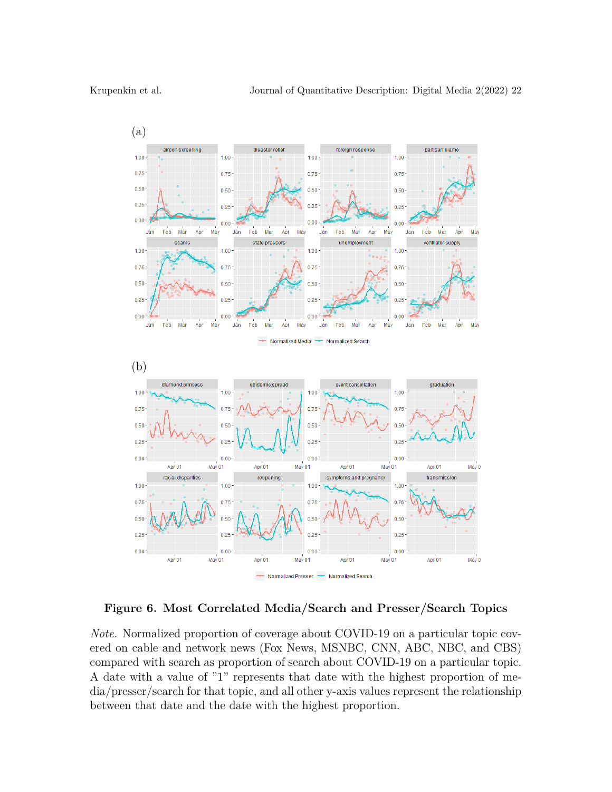

**Figure 6. Most Correlated Media/Search and Presser/Search Topics**

*Note.* Normalized proportion of coverage about COVID-19 on a particular topic covered on cable and network news (Fox News, MSNBC, CNN, ABC, NBC, and CBS) compared with search as proportion of search about COVID-19 on a particular topic. A date with a value of "1" represents that date with the highest proportion of media/presser/search for that topic, and all other y-axis values represent the relationship between that date and the date with the highest proportion.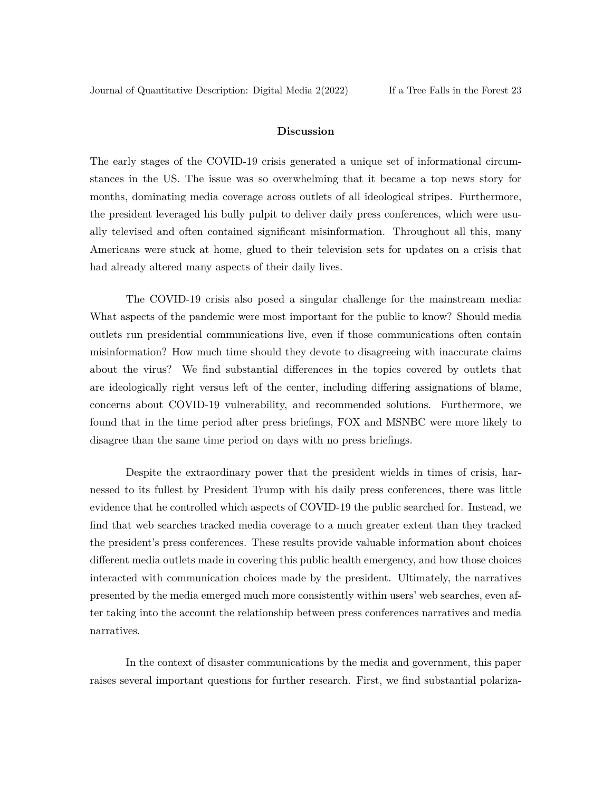#### **Discussion**

The early stages of the COVID-19 crisis generated a unique set of informational circumstances in the US. The issue was so overwhelming that it became a top news story for months, dominating media coverage across outlets of all ideological stripes. Furthermore, the president leveraged his bully pulpit to deliver daily press conferences, which were usually televised and often contained significant misinformation. Throughout all this, many Americans were stuck at home, glued to their television sets for updates on a crisis that had already altered many aspects of their daily lives.

The COVID-19 crisis also posed a singular challenge for the mainstream media: What aspects of the pandemic were most important for the public to know? Should media outlets run presidential communications live, even if those communications often contain misinformation? How much time should they devote to disagreeing with inaccurate claims about the virus? We find substantial differences in the topics covered by outlets that are ideologically right versus left of the center, including differing assignations of blame, concerns about COVID-19 vulnerability, and recommended solutions. Furthermore, we found that in the time period after press briefings, FOX and MSNBC were more likely to disagree than the same time period on days with no press briefings.

Despite the extraordinary power that the president wields in times of crisis, harnessed to its fullest by President Trump with his daily press conferences, there was little evidence that he controlled which aspects of COVID-19 the public searched for. Instead, we find that web searches tracked media coverage to a much greater extent than they tracked the president's press conferences. These results provide valuable information about choices different media outlets made in covering this public health emergency, and how those choices interacted with communication choices made by the president. Ultimately, the narratives presented by the media emerged much more consistently within users' web searches, even after taking into the account the relationship between press conferences narratives and media narratives.

In the context of disaster communications by the media and government, this paper raises several important questions for further research. First, we find substantial polariza-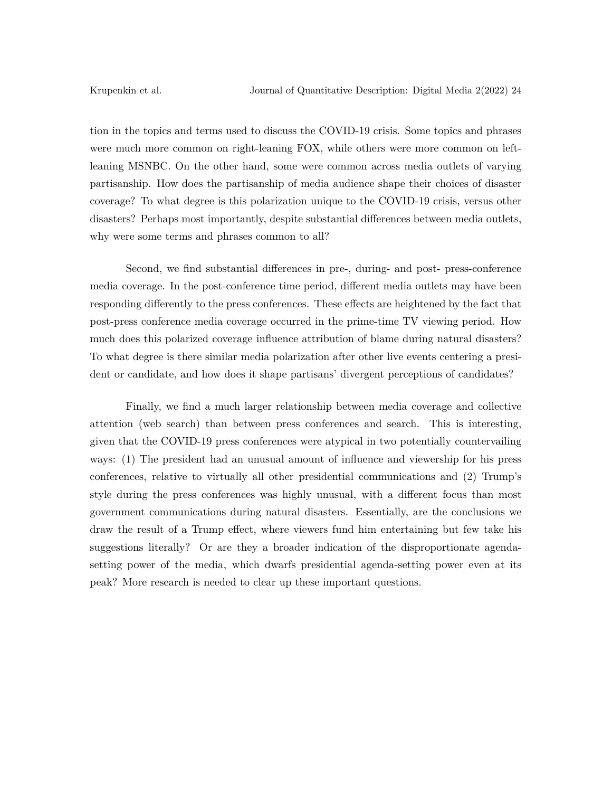tion in the topics and terms used to discuss the COVID-19 crisis. Some topics and phrases were much more common on right-leaning FOX, while others were more common on leftleaning MSNBC. On the other hand, some were common across media outlets of varying partisanship. How does the partisanship of media audience shape their choices of disaster coverage? To what degree is this polarization unique to the COVID-19 crisis, versus other disasters? Perhaps most importantly, despite substantial differences between media outlets, why were some terms and phrases common to all?

Second, we find substantial differences in pre-, during- and post- press-conference media coverage. In the post-conference time period, different media outlets may have been responding differently to the press conferences. These effects are heightened by the fact that post-press conference media coverage occurred in the prime-time TV viewing period. How much does this polarized coverage influence attribution of blame during natural disasters? To what degree is there similar media polarization after other live events centering a president or candidate, and how does it shape partisans' divergent perceptions of candidates?

Finally, we find a much larger relationship between media coverage and collective attention (web search) than between press conferences and search. This is interesting, given that the COVID-19 press conferences were atypical in two potentially countervailing ways: (1) The president had an unusual amount of influence and viewership for his press conferences, relative to virtually all other presidential communications and (2) Trump's style during the press conferences was highly unusual, with a different focus than most government communications during natural disasters. Essentially, are the conclusions we draw the result of a Trump effect, where viewers fund him entertaining but few take his suggestions literally? Or are they a broader indication of the disproportionate agendasetting power of the media, which dwarfs presidential agenda-setting power even at its peak? More research is needed to clear up these important questions.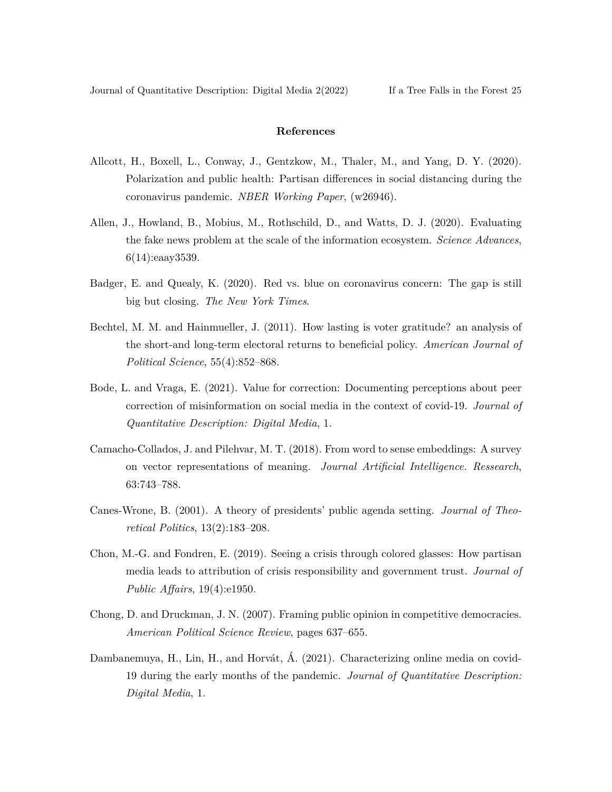#### **References**

- <span id="page-26-2"></span>Allcott, H., Boxell, L., Conway, J., Gentzkow, M., Thaler, M., and Yang, D. Y. (2020). Polarization and public health: Partisan differences in social distancing during the coronavirus pandemic. *NBER Working Paper*, (w26946).
- <span id="page-26-8"></span>Allen, J., Howland, B., Mobius, M., Rothschild, D., and Watts, D. J. (2020). Evaluating the fake news problem at the scale of the information ecosystem. *Science Advances*, 6(14):eaay3539.
- <span id="page-26-5"></span>Badger, E. and Quealy, K. (2020). Red vs. blue on coronavirus concern: The gap is still big but closing. *The New York Times*.
- <span id="page-26-6"></span>Bechtel, M. M. and Hainmueller, J. (2011). How lasting is voter gratitude? an analysis of the short-and long-term electoral returns to beneficial policy. *American Journal of Political Science*, 55(4):852–868.
- <span id="page-26-1"></span>Bode, L. and Vraga, E. (2021). Value for correction: Documenting perceptions about peer correction of misinformation on social media in the context of covid-19. *Journal of Quantitative Description: Digital Media*, 1.
- <span id="page-26-9"></span>Camacho-Collados, J. and Pilehvar, M. T. (2018). From word to sense embeddings: A survey on vector representations of meaning. *Journal Artificial Intelligence. Ressearch*, 63:743–788.
- <span id="page-26-3"></span>Canes-Wrone, B. (2001). A theory of presidents' public agenda setting. *Journal of Theoretical Politics*, 13(2):183–208.
- <span id="page-26-7"></span>Chon, M.-G. and Fondren, E. (2019). Seeing a crisis through colored glasses: How partisan media leads to attribution of crisis responsibility and government trust. *Journal of Public Affairs*, 19(4):e1950.
- <span id="page-26-4"></span>Chong, D. and Druckman, J. N. (2007). Framing public opinion in competitive democracies. *American Political Science Review*, pages 637–655.
- <span id="page-26-0"></span>Dambanemuya, H., Lin, H., and Horvát, Á. (2021). Characterizing online media on covid-19 during the early months of the pandemic. *Journal of Quantitative Description: Digital Media*, 1.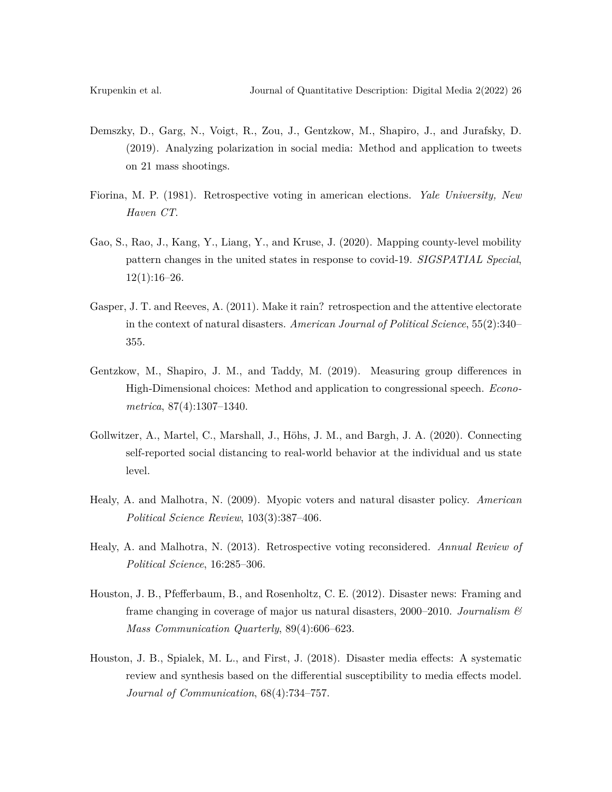- <span id="page-27-8"></span>Demszky, D., Garg, N., Voigt, R., Zou, J., Gentzkow, M., Shapiro, J., and Jurafsky, D. (2019). Analyzing polarization in social media: Method and application to tweets on 21 mass shootings.
- <span id="page-27-1"></span>Fiorina, M. P. (1981). Retrospective voting in american elections. *Yale University, New Haven CT*.
- <span id="page-27-7"></span>Gao, S., Rao, J., Kang, Y., Liang, Y., and Kruse, J. (2020). Mapping county-level mobility pattern changes in the united states in response to covid-19. *SIGSPATIAL Special*,  $12(1):16-26.$
- <span id="page-27-4"></span>Gasper, J. T. and Reeves, A. (2011). Make it rain? retrospection and the attentive electorate in the context of natural disasters. *American Journal of Political Science*, 55(2):340– 355.
- <span id="page-27-9"></span>Gentzkow, M., Shapiro, J. M., and Taddy, M. (2019). Measuring group differences in High‐Dimensional choices: Method and application to congressional speech. *Econometrica*, 87(4):1307–1340.
- <span id="page-27-0"></span>Gollwitzer, A., Martel, C., Marshall, J., Höhs, J. M., and Bargh, J. A. (2020). Connecting self-reported social distancing to real-world behavior at the individual and us state level.
- <span id="page-27-3"></span>Healy, A. and Malhotra, N. (2009). Myopic voters and natural disaster policy. *American Political Science Review*, 103(3):387–406.
- <span id="page-27-2"></span>Healy, A. and Malhotra, N. (2013). Retrospective voting reconsidered. *Annual Review of Political Science*, 16:285–306.
- <span id="page-27-5"></span>Houston, J. B., Pfefferbaum, B., and Rosenholtz, C. E. (2012). Disaster news: Framing and frame changing in coverage of major us natural disasters, 2000–2010. *Journalism & Mass Communication Quarterly*, 89(4):606–623.
- <span id="page-27-6"></span>Houston, J. B., Spialek, M. L., and First, J. (2018). Disaster media effects: A systematic review and synthesis based on the differential susceptibility to media effects model. *Journal of Communication*, 68(4):734–757.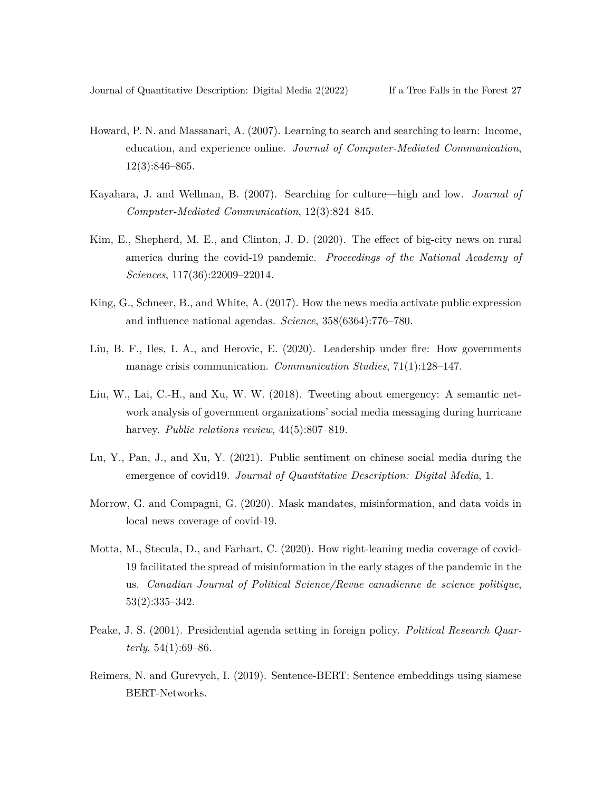- <span id="page-28-8"></span>Howard, P. N. and Massanari, A. (2007). Learning to search and searching to learn: Income, education, and experience online. *Journal of Computer-Mediated Communication*, 12(3):846–865.
- <span id="page-28-9"></span>Kayahara, J. and Wellman, B. (2007). Searching for culture—high and low. *Journal of Computer-Mediated Communication*, 12(3):824–845.
- <span id="page-28-0"></span>Kim, E., Shepherd, M. E., and Clinton, J. D. (2020). The effect of big-city news on rural america during the covid-19 pandemic. *Proceedings of the National Academy of Sciences*, 117(36):22009–22014.
- <span id="page-28-5"></span>King, G., Schneer, B., and White, A. (2017). How the news media activate public expression and influence national agendas. *Science*, 358(6364):776–780.
- <span id="page-28-7"></span>Liu, B. F., Iles, I. A., and Herovic, E. (2020). Leadership under fire: How governments manage crisis communication. *Communication Studies*, 71(1):128–147.
- <span id="page-28-6"></span>Liu, W., Lai, C.-H., and Xu, W. W. (2018). Tweeting about emergency: A semantic network analysis of government organizations' social media messaging during hurricane harvey. *Public relations review*,  $44(5):807-819$ .
- <span id="page-28-1"></span>Lu, Y., Pan, J., and Xu, Y. (2021). Public sentiment on chinese social media during the emergence of covid19. *Journal of Quantitative Description: Digital Media*, 1.
- <span id="page-28-2"></span>Morrow, G. and Compagni, G. (2020). Mask mandates, misinformation, and data voids in local news coverage of covid-19.
- <span id="page-28-3"></span>Motta, M., Stecula, D., and Farhart, C. (2020). How right-leaning media coverage of covid-19 facilitated the spread of misinformation in the early stages of the pandemic in the us. *Canadian Journal of Political Science/Revue canadienne de science politique*, 53(2):335–342.
- <span id="page-28-4"></span>Peake, J. S. (2001). Presidential agenda setting in foreign policy. *Political Research Quarterly*, 54(1):69–86.
- <span id="page-28-10"></span>Reimers, N. and Gurevych, I. (2019). Sentence-BERT: Sentence embeddings using siamese BERT-Networks.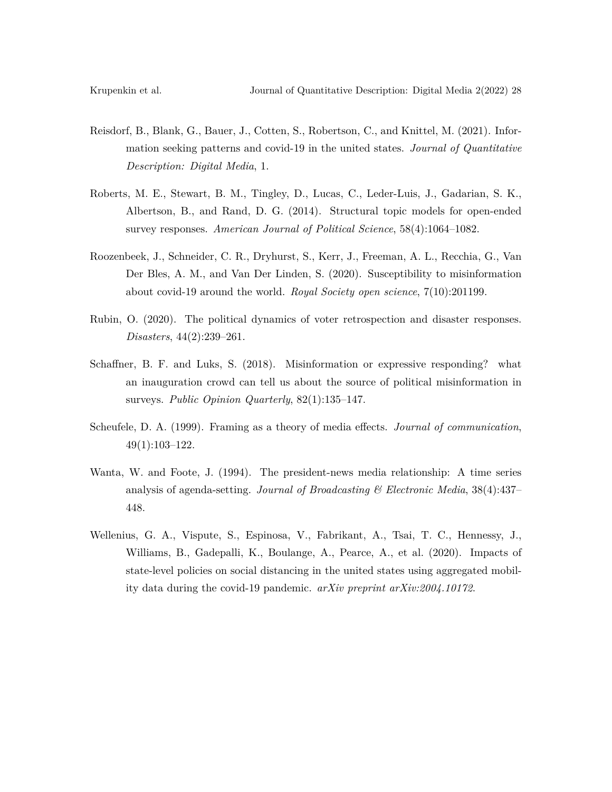- <span id="page-29-0"></span>Reisdorf, B., Blank, G., Bauer, J., Cotten, S., Robertson, C., and Knittel, M. (2021). Information seeking patterns and covid-19 in the united states. *Journal of Quantitative Description: Digital Media*, 1.
- <span id="page-29-7"></span>Roberts, M. E., Stewart, B. M., Tingley, D., Lucas, C., Leder-Luis, J., Gadarian, S. K., Albertson, B., and Rand, D. G. (2014). Structural topic models for open-ended survey responses. *American Journal of Political Science*, 58(4):1064–1082.
- <span id="page-29-1"></span>Roozenbeek, J., Schneider, C. R., Dryhurst, S., Kerr, J., Freeman, A. L., Recchia, G., Van Der Bles, A. M., and Van Der Linden, S. (2020). Susceptibility to misinformation about covid-19 around the world. *Royal Society open science*, 7(10):201199.
- <span id="page-29-4"></span>Rubin, O. (2020). The political dynamics of voter retrospection and disaster responses. *Disasters*, 44(2):239–261.
- <span id="page-29-5"></span>Schaffner, B. F. and Luks, S. (2018). Misinformation or expressive responding? what an inauguration crowd can tell us about the source of political misinformation in surveys. *Public Opinion Quarterly*, 82(1):135–147.
- <span id="page-29-3"></span>Scheufele, D. A. (1999). Framing as a theory of media effects. *Journal of communication*, 49(1):103–122.
- <span id="page-29-2"></span>Wanta, W. and Foote, J. (1994). The president-news media relationship: A time series analysis of agenda-setting. *Journal of Broadcasting & Electronic Media*, 38(4):437– 448.
- <span id="page-29-6"></span>Wellenius, G. A., Vispute, S., Espinosa, V., Fabrikant, A., Tsai, T. C., Hennessy, J., Williams, B., Gadepalli, K., Boulange, A., Pearce, A., et al. (2020). Impacts of state-level policies on social distancing in the united states using aggregated mobility data during the covid-19 pandemic. *arXiv preprint arXiv:2004.10172*.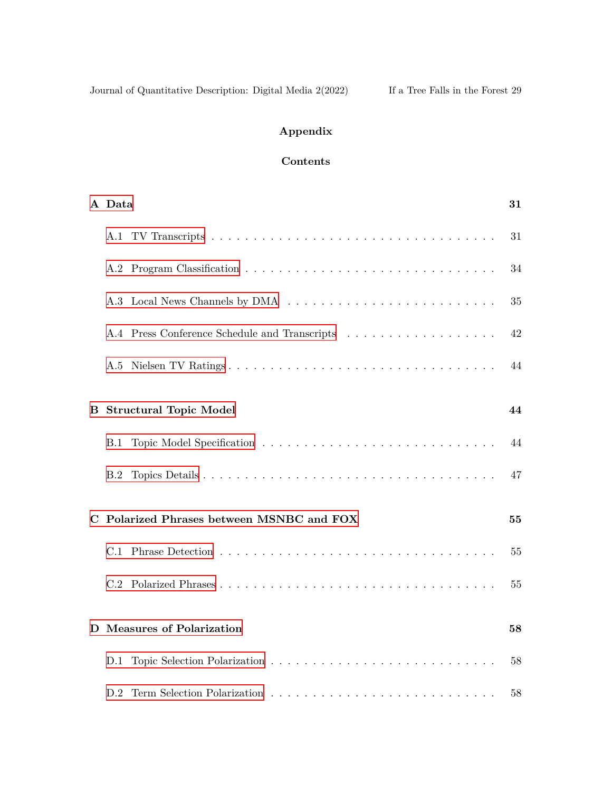# **Appendix**

# **Contents**

|   | A Data                                    |  | 31 |
|---|-------------------------------------------|--|----|
|   |                                           |  | 31 |
|   |                                           |  | 34 |
|   |                                           |  | 35 |
|   |                                           |  | 42 |
|   |                                           |  | 44 |
|   | <b>B</b> Structural Topic Model           |  | 44 |
|   | <b>B.1</b>                                |  | 44 |
|   | B.2                                       |  | 47 |
|   | C Polarized Phrases between MSNBC and FOX |  | 55 |
|   |                                           |  | 55 |
|   |                                           |  | 55 |
| D | <b>Measures of Polarization</b>           |  | 58 |
|   |                                           |  | 58 |
|   |                                           |  | 58 |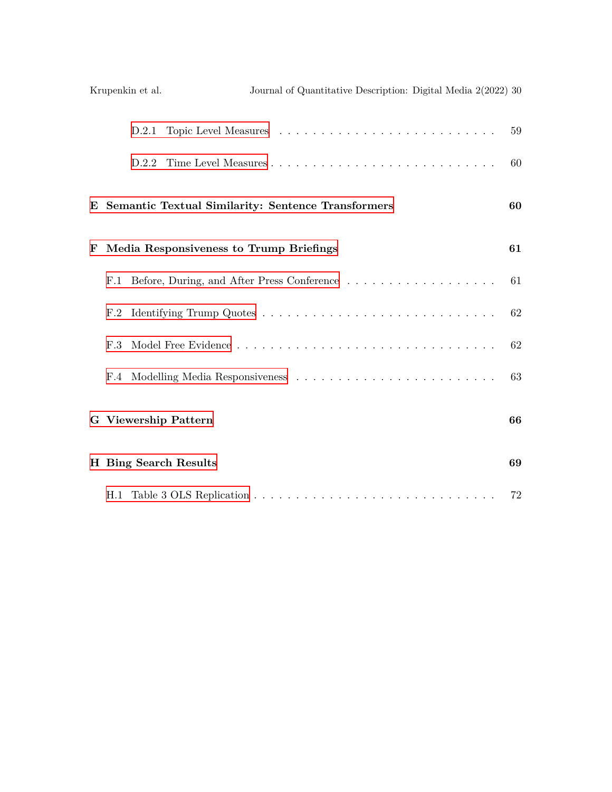|   |            | Krupenkin et al. | Journal of Quantitative Description: Digital Media 2(2022) 30 |    |
|---|------------|------------------|---------------------------------------------------------------|----|
|   |            | D.2.1            |                                                               | 59 |
|   |            |                  |                                                               | 60 |
|   |            |                  | E Semantic Textual Similarity: Sentence Transformers          | 60 |
| F |            |                  | Media Responsiveness to Trump Briefings                       | 61 |
|   | F.1        |                  |                                                               | 61 |
|   | F.2        |                  |                                                               | 62 |
|   | F.3        |                  |                                                               | 62 |
|   | $\rm{F.4}$ |                  |                                                               | 63 |
|   |            |                  | <b>G</b> Viewership Pattern                                   | 66 |
|   |            |                  | H Bing Search Results                                         | 69 |
|   |            |                  |                                                               | 72 |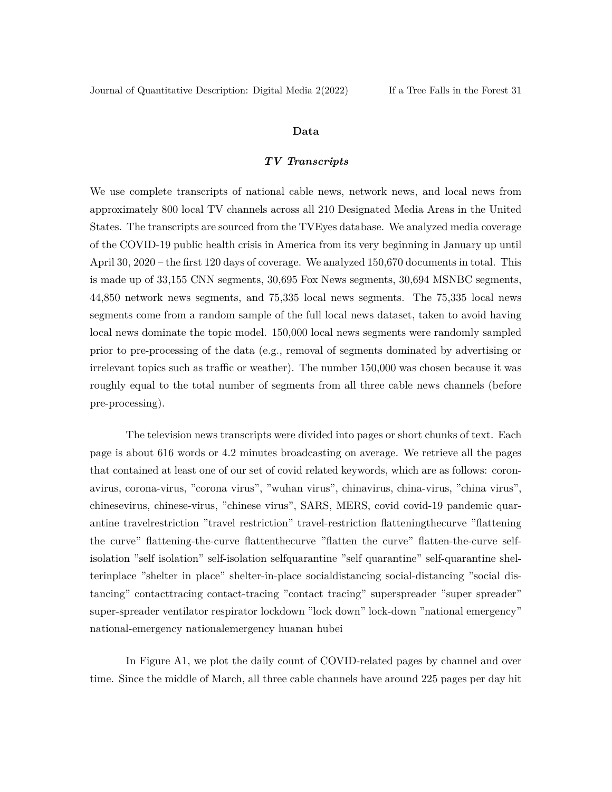#### **Data**

#### *TV Transcripts*

<span id="page-32-1"></span><span id="page-32-0"></span>We use complete transcripts of national cable news, network news, and local news from approximately 800 local TV channels across all 210 Designated Media Areas in the United States. The transcripts are sourced from the TVEyes database. We analyzed media coverage of the COVID-19 public health crisis in America from its very beginning in January up until April 30, 2020 – the first 120 days of coverage. We analyzed 150,670 documents in total. This is made up of 33,155 CNN segments, 30,695 Fox News segments, 30,694 MSNBC segments, 44,850 network news segments, and 75,335 local news segments. The 75,335 local news segments come from a random sample of the full local news dataset, taken to avoid having local news dominate the topic model. 150,000 local news segments were randomly sampled prior to pre-processing of the data (e.g., removal of segments dominated by advertising or irrelevant topics such as traffic or weather). The number 150,000 was chosen because it was roughly equal to the total number of segments from all three cable news channels (before pre-processing).

The television news transcripts were divided into pages or short chunks of text. Each page is about 616 words or 4.2 minutes broadcasting on average. We retrieve all the pages that contained at least one of our set of covid related keywords, which are as follows: coronavirus, corona-virus, "corona virus", "wuhan virus", chinavirus, china-virus, "china virus", chinesevirus, chinese-virus, "chinese virus", SARS, MERS, covid covid-19 pandemic quarantine travelrestriction "travel restriction" travel-restriction flatteningthecurve "flattening the curve" flattening-the-curve flattenthecurve "flatten the curve" flatten-the-curve selfisolation "self isolation" self-isolation selfquarantine "self quarantine" self-quarantine shelterinplace "shelter in place" shelter-in-place socialdistancing social-distancing "social distancing" contacttracing contact-tracing "contact tracing" superspreader "super spreader" super-spreader ventilator respirator lockdown "lock down" lock-down "national emergency" national-emergency nationalemergency huanan hubei

In Figure A1, we plot the daily count of COVID-related pages by channel and over time. Since the middle of March, all three cable channels have around 225 pages per day hit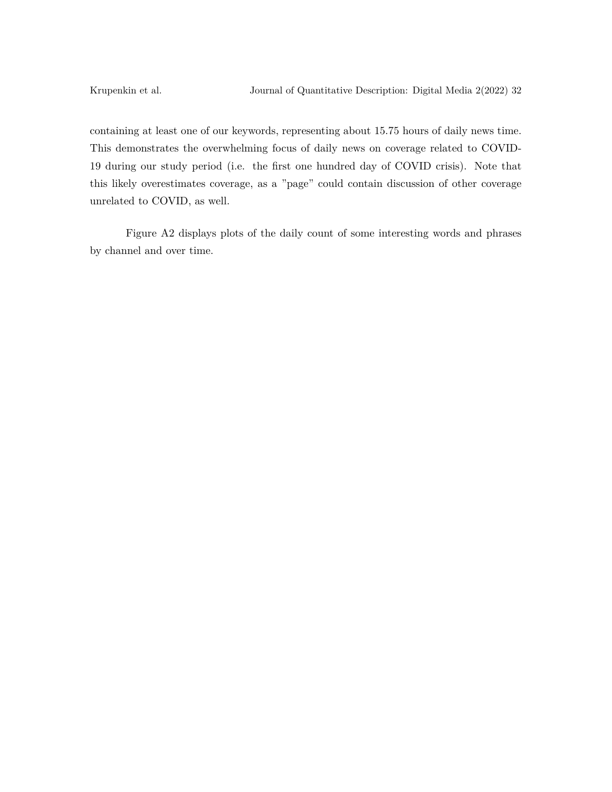containing at least one of our keywords, representing about 15.75 hours of daily news time. This demonstrates the overwhelming focus of daily news on coverage related to COVID-19 during our study period (i.e. the first one hundred day of COVID crisis). Note that this likely overestimates coverage, as a "page" could contain discussion of other coverage unrelated to COVID, as well.

Figure A2 displays plots of the daily count of some interesting words and phrases by channel and over time.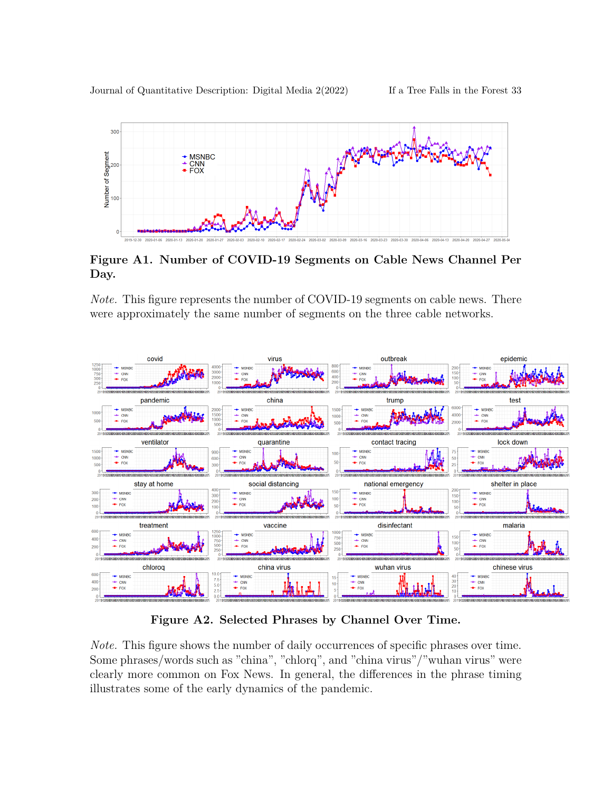Journal of Quantitative Description: Digital Media 2(2022) If a Tree Falls in the Forest 33



**Figure A1. Number of COVID-19 Segments on Cable News Channel Per Day.**

*Note.* This figure represents the number of COVID-19 segments on cable news. There were approximately the same number of segments on the three cable networks.



**Figure A2. Selected Phrases by Channel Over Time.**

<span id="page-34-0"></span>*Note.* This figure shows the number of daily occurrences of specific phrases over time. Some phrases/words such as "china", "chlorq", and "china virus"/"wuhan virus" were clearly more common on Fox News. In general, the differences in the phrase timing illustrates some of the early dynamics of the pandemic.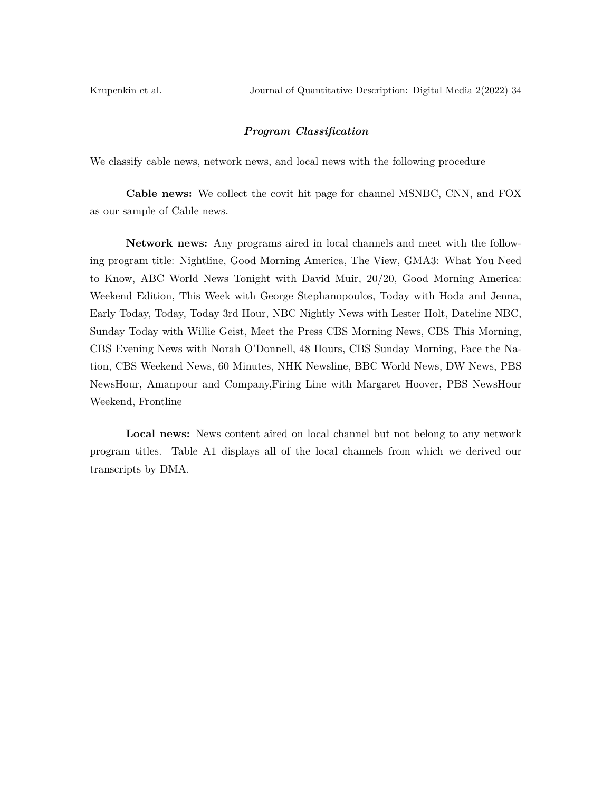Krupenkin et al. Journal of Quantitative Description: Digital Media 2(2022) 34

#### *Program Classification*

We classify cable news, network news, and local news with the following procedure

**Cable news:** We collect the covit hit page for channel MSNBC, CNN, and FOX as our sample of Cable news.

**Network news:** Any programs aired in local channels and meet with the following program title: Nightline, Good Morning America, The View, GMA3: What You Need to Know, ABC World News Tonight with David Muir, 20/20, Good Morning America: Weekend Edition, This Week with George Stephanopoulos, Today with Hoda and Jenna, Early Today, Today, Today 3rd Hour, NBC Nightly News with Lester Holt, Dateline NBC, Sunday Today with Willie Geist, Meet the Press CBS Morning News, CBS This Morning, CBS Evening News with Norah O'Donnell, 48 Hours, CBS Sunday Morning, Face the Nation, CBS Weekend News, 60 Minutes, NHK Newsline, BBC World News, DW News, PBS NewsHour, Amanpour and Company,Firing Line with Margaret Hoover, PBS NewsHour Weekend, Frontline

**Local news:** News content aired on local channel but not belong to any network program titles. Table A1 displays all of the local channels from which we derived our transcripts by DMA.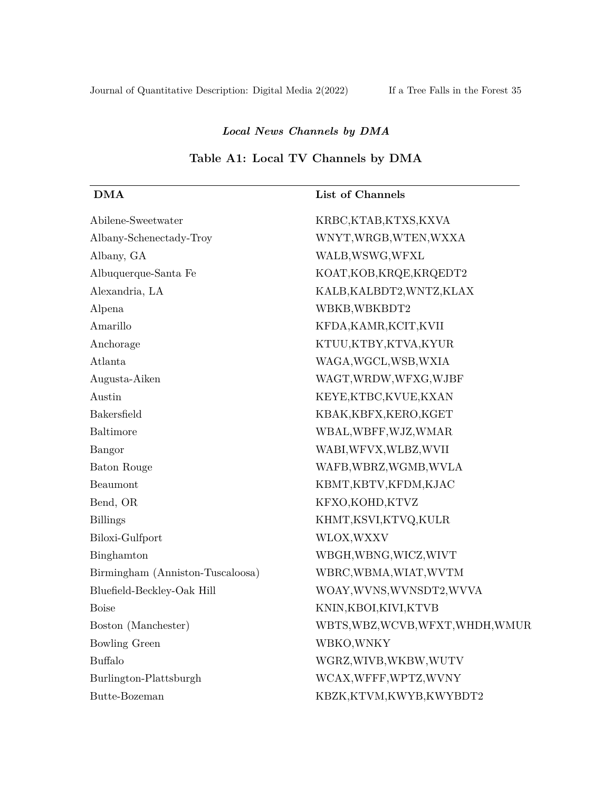# *Local News Channels by DMA*

# **Table A1: Local TV Channels by DMA**

| <b>DMA</b>                       | List of Channels                  |
|----------------------------------|-----------------------------------|
| Abilene-Sweetwater               | KRBC,KTAB,KTXS,KXVA               |
| Albany-Schenectady-Troy          | WNYT, WRGB, WTEN, WXXA            |
| Albany, GA                       | WALB, WSWG, WFXL                  |
| Albuquerque-Santa $\rm Fe$       | KOAT, KOB, KRQE, KRQEDT2          |
| Alexandria, LA                   | KALB, KALBDT2, WNTZ, KLAX         |
| Alpena                           | WBKB, WBKBDT2                     |
| Amarillo                         | KFDA, KAMR, KCIT, KVII            |
| Anchorage                        | KTUU,KTBY,KTVA,KYUR               |
| Atlanta                          | WAGA, WGCL, WSB, WXIA             |
| Augusta-Aiken                    | WAGT, WRDW, WFXG, WJBF            |
| Austin                           | KEYE,KTBC,KVUE,KXAN               |
| Bakersfield                      | KBAK, KBFX, KERO, KGET            |
| Baltimore                        | WBAL, WBFF, WJZ, WMAR             |
| Bangor                           | WABI, WFVX, WLBZ, WVII            |
| Baton Rouge                      | WAFB, WBRZ, WGMB, WVLA            |
| Beaumont                         | KBMT, KBTV, KFDM, KJAC            |
| Bend, OR                         | KFXO, KOHD, KTVZ                  |
| <b>Billings</b>                  | KHMT, KSVI, KTVQ, KULR            |
| Biloxi-Gulfport                  | WLOX, WXXV                        |
| Binghamton                       | WBGH, WBNG, WICZ, WIVT            |
| Birmingham (Anniston-Tuscaloosa) | WBRC, WBMA, WIAT, WVTM            |
| Bluefield-Beckley-Oak Hill       | WOAY, WVNS, WVNSDT2, WVVA         |
| <b>Boise</b>                     | KNIN, KBOI, KIVI, KTVB            |
| Boston (Manchester)              | WBTS, WBZ, WCVB, WFXT, WHDH, WMUR |
| <b>Bowling Green</b>             | WBKO, WNKY                        |
| <b>Buffalo</b>                   | WGRZ, WIVB, WKBW, WUTV            |
| Burlington-Plattsburgh           | WCAX, WFFF, WPTZ, WVNY            |
| Butte-Bozeman                    | KBZK, KTVM, KWYB, KWYBDT2         |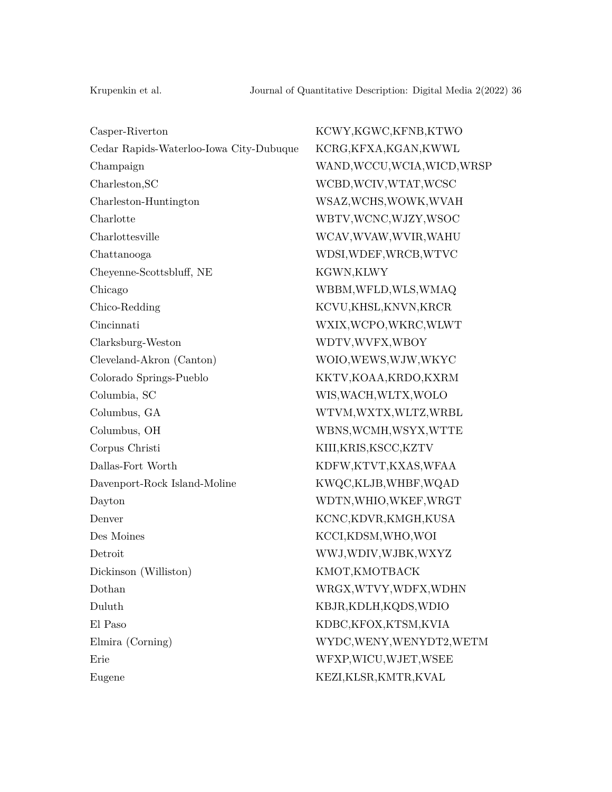| Casper-Riverton                        |
|----------------------------------------|
| Cedar Rapids-Waterloo-Iowa City-Dubuqu |
| Champaign                              |
| Charleston, SC                         |
| Charleston-Huntington                  |
| Charlotte                              |
| Charlottesville                        |
| Chattanooga                            |
| Cheyenne-Scottsbluff, NE               |
| Chicago                                |
| Chico-Redding                          |
| Cincinnati                             |
| Clarksburg-Weston                      |
| Cleveland-Akron (Canton)               |
| Colorado Springs-Pueblo                |
| Columbia, SC                           |
| Columbus, GA                           |
| Columbus, OH                           |
| Corpus Christi                         |
| Dallas-Fort Worth                      |
| Davenport-Rock Island-Moline           |
| Dayton                                 |
| Denver                                 |
| Des Moines                             |
| Detroit                                |
| Dickinson (Williston)                  |
| Dothan                                 |
| Duluth                                 |
| El Paso                                |
| Elmira (Corning)                       |
| Erie                                   |
| Eugene                                 |
|                                        |

KCWY,KGWC,KFNB,KTWO ue KCRG,KFXA,KGAN,KWWL WAND, WCCU, WCIA, WICD, WRSP WCBD, WCIV, WTAT, WCSC WSAZ, WCHS, WOWK, WVAH WBTV,WCNC,WJZY,WSOC WCAV,WVAW,WVIR,WAHU WDSI,WDEF,WRCB,WTVC KGWN, KLWY WBBM,WFLD,WLS,WMAQ KCVU,KHSL,KNVN,KRCR WXIX, WCPO, WKRC, WLWT WDTV,WVFX,WBOY WOIO,WEWS,WJW,WKYC KKTV,KOAA,KRDO,KXRM WIS, WACH, WLTX, WOLO WTVM,WXTX,WLTZ,WRBL WBNS, WCMH, WSYX, WTTE KIII,KRIS,KSCC,KZTV KDFW,KTVT,KXAS,WFAA KWQC,KLJB,WHBF,WQAD WDTN, WHIO, WKEF, WRGT KCNC,KDVR,KMGH,KUSA KCCI,KDSM,WHO,WOI WWJ,WDIV,WJBK,WXYZ KMOT,KMOTBACK WRGX,WTVY,WDFX,WDHN KBJR,KDLH,KQDS,WDIO KDBC,KFOX,KTSM,KVIA WYDC,WENY,WENYDT2,WETM Erie WFXP,WICU,WJET,WSEE KEZI,KLSR,KMTR,KVAL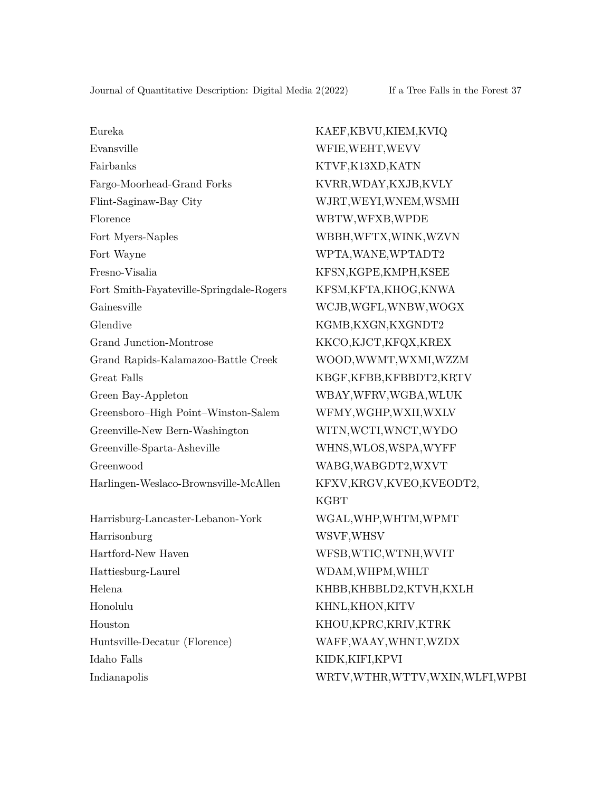Eureka KAEF,KBVU,KIEM,KVIQ Evansville WFIE,WEHT,WEVV Fairbanks KTVF,K13XD,KATN Fargo-Moorhead-Grand Forks KVRR,WDAY,KXJB,KVLY Flint-Saginaw-Bay City WJRT,WEYI,WNEM,WSMH Florence WBTW,WFXB,WPDE Fort Myers-Naples WBBH,WFTX,WINK,WZVN Fort Wayne WPTA, WANE, WPTADT2 Fresno-Visalia KFSN,KGPE,KMPH,KSEE Fort Smith-Fayateville-Springdale-Rogers KFSM,KFTA,KHOG,KNWA Gainesville WCJB,WGFL,WNBW,WOGX Glendive KGMB,KXGN,KXGNDT2 Grand Junction-Montrose KKCO,KJCT,KFQX,KREX Grand Rapids-Kalamazoo-Battle Creek WOOD,WWMT,WXMI,WZZM Great Falls KBGF,KFBB,KFBBDT2,KRTV Green Bay-Appleton WBAY,WFRV,WGBA,WLUK Greensboro–High Point–Winston-Salem WFMY,WGHP,WXII,WXLV Greenville-New Bern-Washington WITN,WCTI,WNCT,WYDO Greenville-Sparta-Asheville WHNS,WLOS,WSPA,WYFF Greenwood WABG,WABGDT2,WXVT Harlingen-Weslaco-Brownsville-McAllen KFXV,KRGV,KVEO,KVEODT2, Harrisburg-Lancaster-Lebanon-York WGAL,WHP,WHTM,WPMT Harrisonburg WSVF,WHSV Hartford-New Haven WFSB,WTIC,WTNH,WVIT Hattiesburg-Laurel WDAM,WHPM,WHLT Helena KHBB,KHBBLD2,KTVH,KXLH Honolulu KHNL,KHON,KITV Houston KHOU,KPRC,KRIV,KTRK Huntsville-Decatur (Florence) WAFF,WAAY,WHNT,WZDX Idaho Falls KIDK,KIFI,KPVI

KGBT Indianapolis WRTV,WTHR,WTTV,WXIN,WLFI,WPBI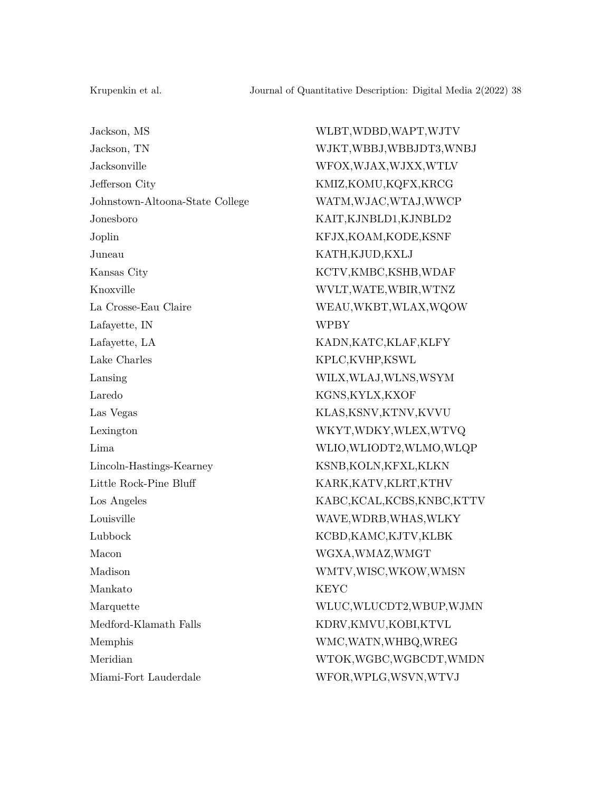Jackson, MS WLBT,WDBD,WAPT,WJTV Jackson, TN WJKT,WBBJ,WBBJDT3,WNBJ Jacksonville WFOX,WJAX,WJXX,WTLV Jefferson City KMIZ,KOMU,KQFX,KRCG Johnstown-Altoona-State College WATM,WJAC,WTAJ,WWCP Jonesboro KAIT,KJNBLD1,KJNBLD2 Joplin KFJX,KOAM,KODE,KSNF Juneau KATH,KJUD,KXLJ Kansas City **KCTV,KMBC,KSHB,WDAF** Knoxville WVLT,WATE,WBIR,WTNZ La Crosse-Eau Claire WEAU,WKBT,WLAX,WQOW Lafayette, IN WPBY Lafayette, LA KADN,KATC,KLAF,KLFY Lake Charles KPLC,KVHP,KSWL Lansing WILX,WLAJ,WLNS,WSYM Laredo KGNS,KYLX,KXOF Las Vegas KLAS,KSNV,KTNV,KVVU Lexington WKYT,WDKY,WLEX,WTVQ Lincoln-Hastings-Kearney KSNB,KOLN,KFXL,KLKN Little Rock-Pine Bluff KARK,KATV,KLRT,KTHV Louisville WAVE,WDRB,WHAS,WLKY Lubbock KCBD,KAMC,KJTV,KLBK Macon WGXA,WMAZ,WMGT Madison WMTV,WISC,WKOW,WMSN Mankato KEYC Medford-Klamath Falls KDRV,KMVU,KOBI,KTVL Memphis WMC,WATN,WHBQ,WREG Miami-Fort Lauderdale WFOR,WPLG,WSVN,WTVJ

Lima WLIO,WLIODT2,WLMO,WLQP Los Angeles KABC,KCAL,KCBS,KNBC,KTTV Marquette WLUC,WLUCDT2,WBUP,WJMN Meridian WTOK,WGBC,WGBCDT,WMDN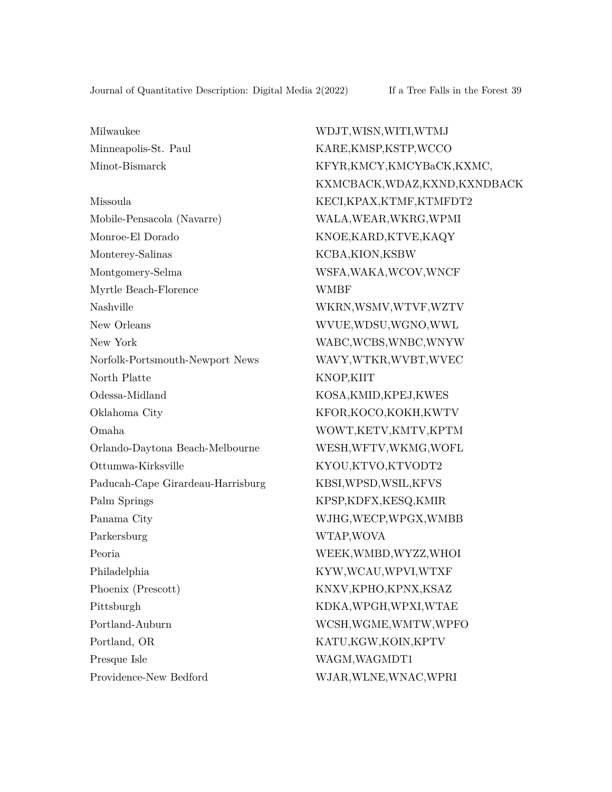Mobile-Pensacola (Navarre) WALA,WEAR,WKRG,WPMI Monroe-El Dorado KNOE,KARD,KTVE,KAQY Monterey-Salinas KCBA,KION,KSBW Montgomery-Selma WSFA, WAKA, WCOV, WNCF Myrtle Beach-Florence WMBF Nashville WKRN,WSMV,WTVF,WZTV New Orleans WVUE,WDSU,WGNO,WWL New York WABC, WORS, WNBC, WNYW Norfolk-Portsmouth-Newport News WAVY,WTKR,WVBT,WVEC North Platte KNOP, KIIT Odessa-Midland KOSA,KMID,KPEJ,KWES Oklahoma City KFOR,KOCO,KOKH,KWTV Omaha WOWT,KETV,KMTV,KPTM Orlando-Daytona Beach-Melbourne WESH,WFTV,WKMG,WOFL Ottumwa-Kirksville KYOU,KTVO,KTVODT2 Paducah-Cape Girardeau-Harrisburg KBSI,WPSD,WSIL,KFVS Palm Springs KPSP, KDFX, KESQ, KMIR Panama City WJHG,WECP,WPGX,WMBB Parkersburg WTAP,WOVA Peoria WEEK,WMBD,WYZZ,WHOI Philadelphia KYW,WCAU,WPVI,WTXF Phoenix (Prescott) KNXV,KPHO,KPNX,KSAZ Pittsburgh KDKA,WPGH,WPXI,WTAE Portland-Auburn WCSH,WGME,WMTW,WPFO Portland, OR KATU,KGW,KOIN,KPTV Presque Isle WAGM, WAGM, WAGMDT1

Milwaukee WDJT,WISN,WITI,WTMJ Minneapolis-St. Paul KARE,KMSP,KSTP,WCCO Minot-Bismarck KFYR,KMCY,KMCYBaCK,KXMC, KXMCBACK,WDAZ,KXND,KXNDBACK Missoula KECI,KPAX,KTMF,KTMFDT2 Providence-New Bedford WJAR,WLNE,WNAC,WPRI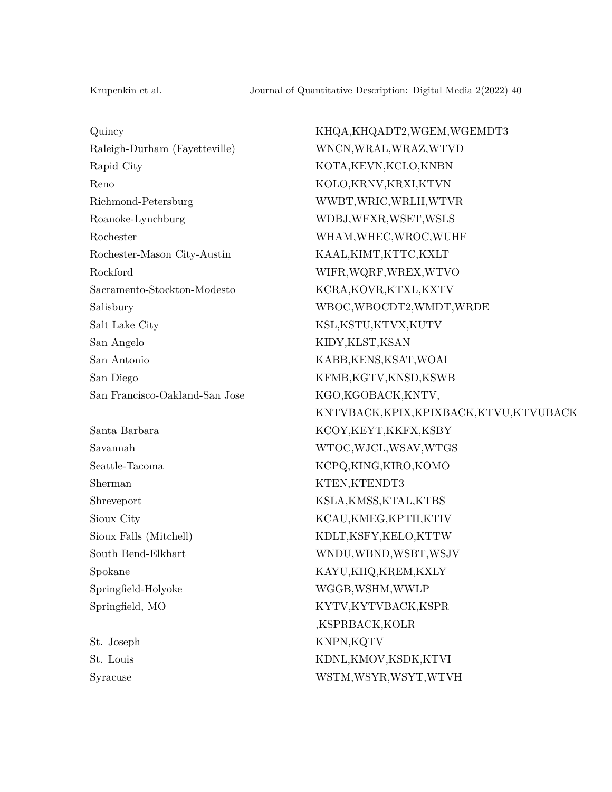Raleigh-Durham (Fayetteville) WNCN,WRAL,WRAZ,WTVD Rapid City **KOTA, KEVN, KCLO, KNBN** Reno KOLO,KRNV,KRXI,KTVN Richmond-Petersburg WWBT,WRIC,WRLH,WTVR Roanoke-Lynchburg WDBJ,WFXR,WSET,WSLS Rochester-Mason City-Austin KAAL,KIMT,KTTC,KXLT Rockford WIFR,WQRF,WREX,WTVO Sacramento-Stockton-Modesto KCRA,KOVR,KTXL,KXTV Salt Lake City KSL,KSTU,KTVX,KUTV San Angelo KIDY,KLST,KSAN San Antonio KABB,KENS,KSAT,WOAI San Diego KFMB,KGTV,KNSD,KSWB San Francisco-Oakland-San Jose KGO,KGOBACK,KNTV,

Sherman KTEN,KTENDT3

Quincy KHQA,KHQADT2,WGEM,WGEMDT3 Rochester WHAM,WHEC,WROC,WUHF Salisbury WBOC,WBOCDT2,WMDT,WRDE KNTVBACK,KPIX,KPIXBACK,KTVU,KTVUBACK Santa Barbara KCOY,KEYT,KKFX,KSBY Savannah WTOC,WJCL,WSAV,WTGS Seattle-Tacoma KCPQ,KING,KIRO,KOMO Shreveport KSLA,KMSS,KTAL,KTBS Sioux City KCAU,KMEG,KPTH,KTIV Sioux Falls (Mitchell) KDLT,KSFY,KELO,KTTW South Bend-Elkhart WNDU,WBND,WSBT,WSJV Spokane KAYU,KHQ,KREM,KXLY Springfield-Holyoke WGGB,WSHM,WWLP Springfield, MO KYTV,KYTVBACK,KSPR ,KSPRBACK,KOLR St. Joseph KNPN, KQTV St. Louis KDNL,KMOV,KSDK,KTVI Syracuse WSTM,WSYR,WSYT,WTVH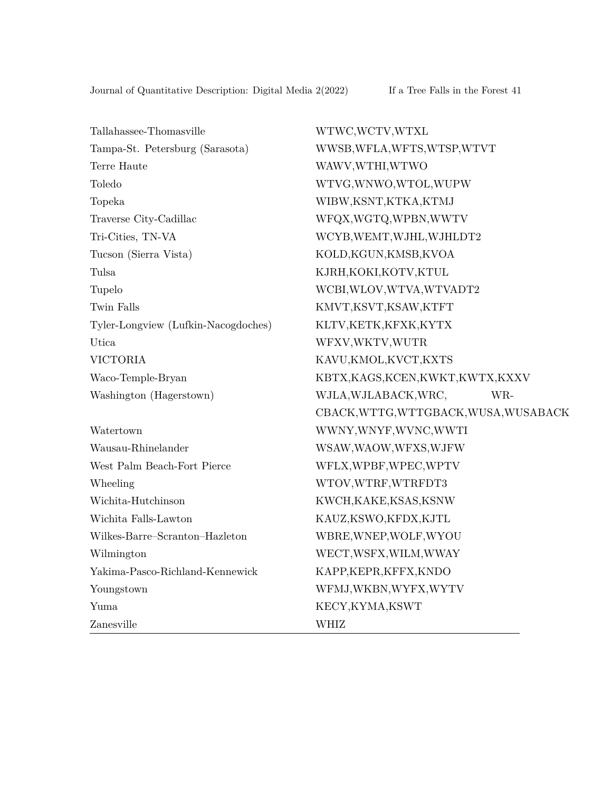Tallahassee-Thomasville WTWC,WCTV,WTXL Tampa-St. Petersburg (Sarasota) WWSB,WFLA,WFTS,WTSP,WTVT Terre Haute WAWV, WTHI, WTWO Toledo WTVG,WNWO,WTOL,WUPW Topeka WIBW,KSNT,KTKA,KTMJ Traverse City-Cadillac WFQX,WGTQ,WPBN,WWTV Tri-Cities, TN-VA WCYB,WEMT,WJHL,WJHLDT2 Tucson (Sierra Vista) KOLD,KGUN,KMSB,KVOA Tulsa KJRH,KOKI,KOTV,KTUL Tupelo WCBI,WLOV,WTVA,WTVADT2 Twin Falls KMVT,KSVT,KSAW,KTFT Tyler-Longview (Lufkin-Nacogdoches) KLTV,KETK,KFXK,KYTX Utica WFXV,WKTV,WUTR VICTORIA KAVU,KMOL,KVCT,KXTS Waco-Temple-Bryan KBTX,KAGS,KCEN,KWKT,KWTX,KXXV Washington (Hagerstown) WJLA,WJLABACK,WRC, WR-CBACK,WTTG,WTTGBACK,WUSA,WUSABACK Watertown WWNY,WNYF,WVNC,WWTI Wausau-Rhinelander WSAW,WAOW,WFXS,WJFW West Palm Beach-Fort Pierce WFLX, WPBF, WPEC, WPTV Wheeling WTOV, WTRF, WTRFDT3 Wichita-Hutchinson KWCH,KAKE,KSAS,KSNW Wichita Falls-Lawton KAUZ,KSWO,KFDX,KJTL Wilkes-Barre–Scranton–Hazleton WBRE,WNEP,WOLF,WYOU Wilmington WECT,WSFX,WILM,WWAY Yakima-Pasco-Richland-Kennewick KAPP,KEPR,KFFX,KNDO Youngstown WFMJ,WKBN,WYFX,WYTV Yuma KECY,KYMA,KSWT Zanesville WHIZ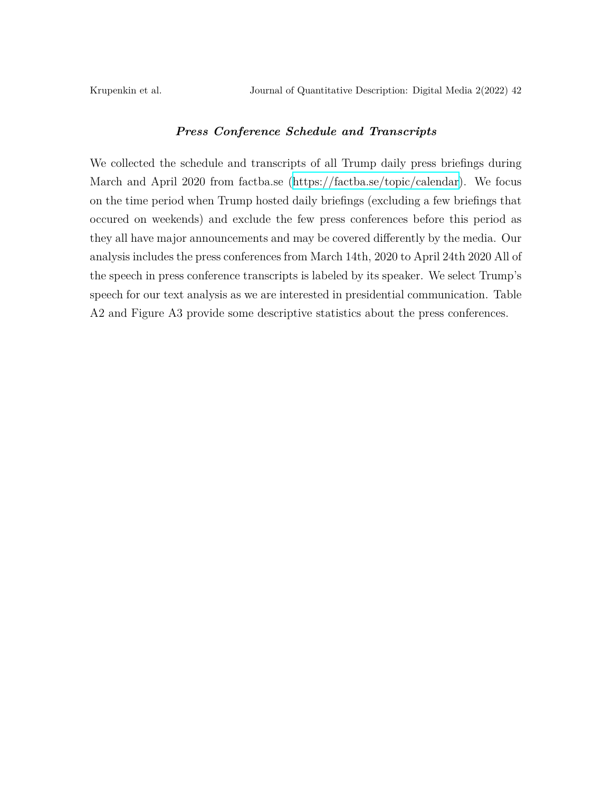### *Press Conference Schedule and Transcripts*

We collected the schedule and transcripts of all Trump daily press briefings during March and April 2020 from factba.se (<https://factba.se/topic/calendar>). We focus on the time period when Trump hosted daily briefings (excluding a few briefings that occured on weekends) and exclude the few press conferences before this period as they all have major announcements and may be covered differently by the media. Our analysis includes the press conferences from March 14th, 2020 to April 24th 2020 All of the speech in press conference transcripts is labeled by its speaker. We select Trump's speech for our text analysis as we are interested in presidential communication. Table A2 and Figure A3 provide some descriptive statistics about the press conferences.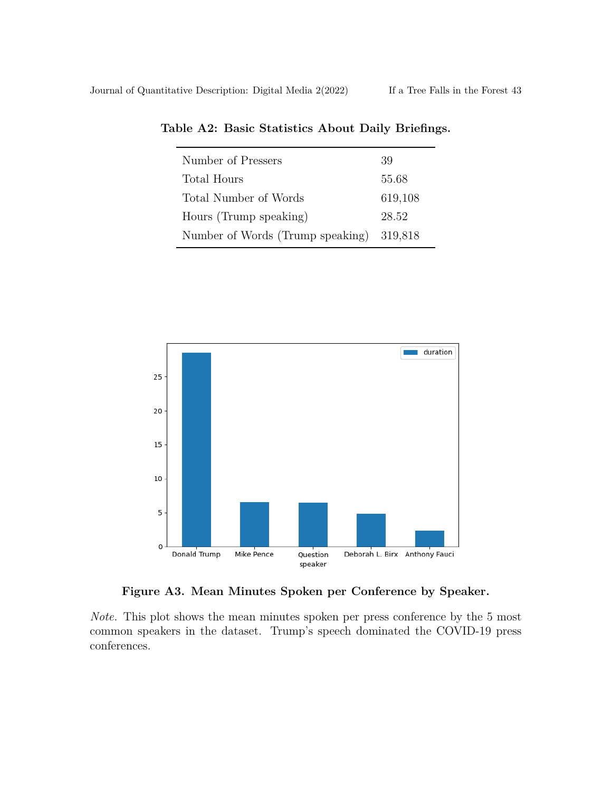| Number of Pressers                       | 39      |
|------------------------------------------|---------|
| Total Hours                              | 55.68   |
| Total Number of Words                    | 619,108 |
| Hours (Trump speaking)                   | 28.52   |
| Number of Words (Trump speaking) 319,818 |         |

**Table A2: Basic Statistics About Daily Briefings.**



**Figure A3. Mean Minutes Spoken per Conference by Speaker.**

*Note.* This plot shows the mean minutes spoken per press conference by the 5 most common speakers in the dataset. Trump's speech dominated the COVID-19 press conferences.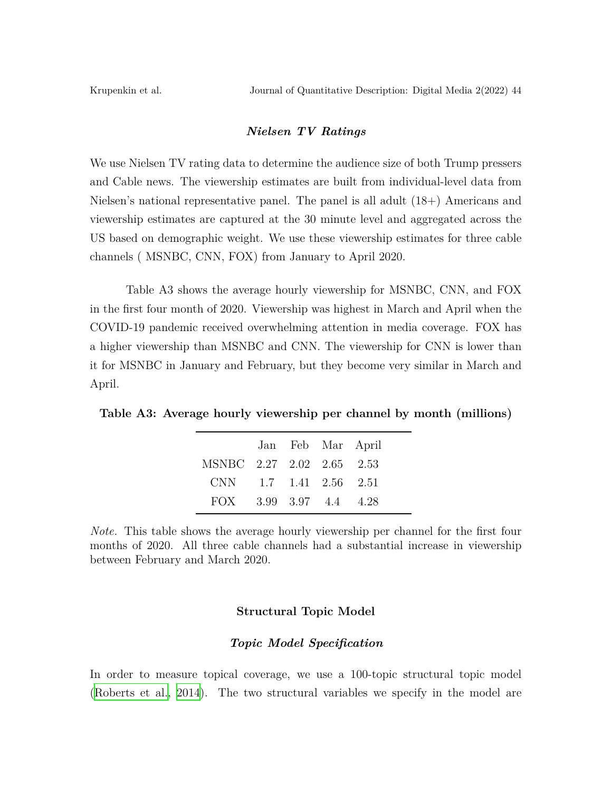#### *Nielsen TV Ratings*

We use Nielsen TV rating data to determine the audience size of both Trump pressers and Cable news. The viewership estimates are built from individual-level data from Nielsen's national representative panel. The panel is all adult (18+) Americans and viewership estimates are captured at the 30 minute level and aggregated across the US based on demographic weight. We use these viewership estimates for three cable channels ( MSNBC, CNN, FOX) from January to April 2020.

Table A3 shows the average hourly viewership for MSNBC, CNN, and FOX in the first four month of 2020. Viewership was highest in March and April when the COVID-19 pandemic received overwhelming attention in media coverage. FOX has a higher viewership than MSNBC and CNN. The viewership for CNN is lower than it for MSNBC in January and February, but they become very similar in March and April.

**Table A3: Average hourly viewership per channel by month (millions)**

|                           |  | Jan Feb Mar April |  |
|---------------------------|--|-------------------|--|
| MSNBC 2.27 2.02 2.65 2.53 |  |                   |  |
| CNN 1.7 1.41 2.56 2.51    |  |                   |  |
| FOX 3.99 3.97 4.4 4.28    |  |                   |  |

*Note.* This table shows the average hourly viewership per channel for the first four months of 2020. All three cable channels had a substantial increase in viewership between February and March 2020.

#### **Structural Topic Model**

### *Topic Model Specification*

In order to measure topical coverage, we use a 100-topic structural topic model ([Roberts et al.](#page-29-0), [2014](#page-29-0)). The two structural variables we specify in the model are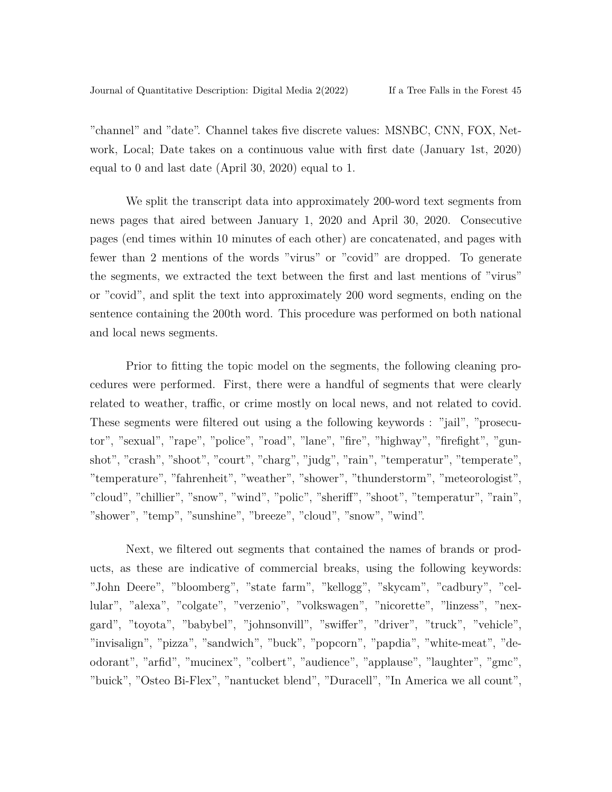"channel" and "date". Channel takes five discrete values: MSNBC, CNN, FOX, Network, Local; Date takes on a continuous value with first date (January 1st, 2020) equal to 0 and last date (April 30, 2020) equal to 1.

We split the transcript data into approximately 200-word text segments from news pages that aired between January 1, 2020 and April 30, 2020. Consecutive pages (end times within 10 minutes of each other) are concatenated, and pages with fewer than 2 mentions of the words "virus" or "covid" are dropped. To generate the segments, we extracted the text between the first and last mentions of "virus" or "covid", and split the text into approximately 200 word segments, ending on the sentence containing the 200th word. This procedure was performed on both national and local news segments.

Prior to fitting the topic model on the segments, the following cleaning procedures were performed. First, there were a handful of segments that were clearly related to weather, traffic, or crime mostly on local news, and not related to covid. These segments were filtered out using a the following keywords : "jail", "prosecutor", "sexual", "rape", "police", "road", "lane", "fire", "highway", "firefight", "gunshot", "crash", "shoot", "court", "charg", "judg", "rain", "temperatur", "temperate", "temperature", "fahrenheit", "weather", "shower", "thunderstorm", "meteorologist", "cloud", "chillier", "snow", "wind", "polic", "sheriff", "shoot", "temperatur", "rain", "shower", "temp", "sunshine", "breeze", "cloud", "snow", "wind".

Next, we filtered out segments that contained the names of brands or products, as these are indicative of commercial breaks, using the following keywords: "John Deere", "bloomberg", "state farm", "kellogg", "skycam", "cadbury", "cellular", "alexa", "colgate", "verzenio", "volkswagen", "nicorette", "linzess", "nexgard", "toyota", "babybel", "johnsonvill", "swiffer", "driver", "truck", "vehicle", "invisalign", "pizza", "sandwich", "buck", "popcorn", "papdia", "white-meat", "deodorant", "arfid", "mucinex", "colbert", "audience", "applause", "laughter", "gmc", "buick", "Osteo Bi-Flex", "nantucket blend", "Duracell", "In America we all count",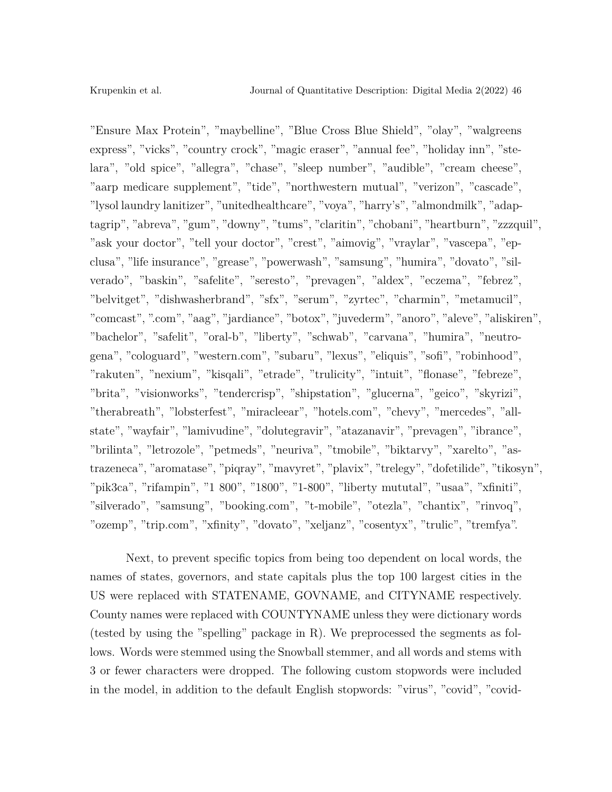"Ensure Max Protein", "maybelline", "Blue Cross Blue Shield", "olay", "walgreens express", "vicks", "country crock", "magic eraser", "annual fee", "holiday inn", "stelara", "old spice", "allegra", "chase", "sleep number", "audible", "cream cheese", "aarp medicare supplement", "tide", "northwestern mutual", "verizon", "cascade", "lysol laundry lanitizer", "unitedhealthcare", "voya", "harry's", "almondmilk", "adaptagrip", "abreva", "gum", "downy", "tums", "claritin", "chobani", "heartburn", "zzzquil", "ask your doctor", "tell your doctor", "crest", "aimovig", "vraylar", "vascepa", "epclusa", "life insurance", "grease", "powerwash", "samsung", "humira", "dovato", "silverado", "baskin", "safelite", "seresto", "prevagen", "aldex", "eczema", "febrez", "belvitget", "dishwasherbrand", "sfx", "serum", "zyrtec", "charmin", "metamucil", "comcast", ".com", "aag", "jardiance", "botox", "juvederm", "anoro", "aleve", "aliskiren", "bachelor", "safelit", "oral-b", "liberty", "schwab", "carvana", "humira", "neutrogena", "cologuard", "western.com", "subaru", "lexus", "eliquis", "sofi", "robinhood", "rakuten", "nexium", "kisqali", "etrade", "trulicity", "intuit", "flonase", "febreze", "brita", "visionworks", "tendercrisp", "shipstation", "glucerna", "geico", "skyrizi", "therabreath", "lobsterfest", "miracleear", "hotels.com", "chevy", "mercedes", "allstate", "wayfair", "lamivudine", "dolutegravir", "atazanavir", "prevagen", "ibrance", "brilinta", "letrozole", "petmeds", "neuriva", "tmobile", "biktarvy", "xarelto", "astrazeneca", "aromatase", "piqray", "mavyret", "plavix", "trelegy", "dofetilide", "tikosyn", "pik3ca", "rifampin", "1 800", "1800", "1-800", "liberty mututal", "usaa", "xfiniti", "silverado", "samsung", "booking.com", "t-mobile", "otezla", "chantix", "rinvoq", "ozemp", "trip.com", "xfinity", "dovato", "xeljanz", "cosentyx", "trulic", "tremfya".

Next, to prevent specific topics from being too dependent on local words, the names of states, governors, and state capitals plus the top 100 largest cities in the US were replaced with STATENAME, GOVNAME, and CITYNAME respectively. County names were replaced with COUNTYNAME unless they were dictionary words (tested by using the "spelling" package in R). We preprocessed the segments as follows. Words were stemmed using the Snowball stemmer, and all words and stems with 3 or fewer characters were dropped. The following custom stopwords were included in the model, in addition to the default English stopwords: "virus", "covid", "covid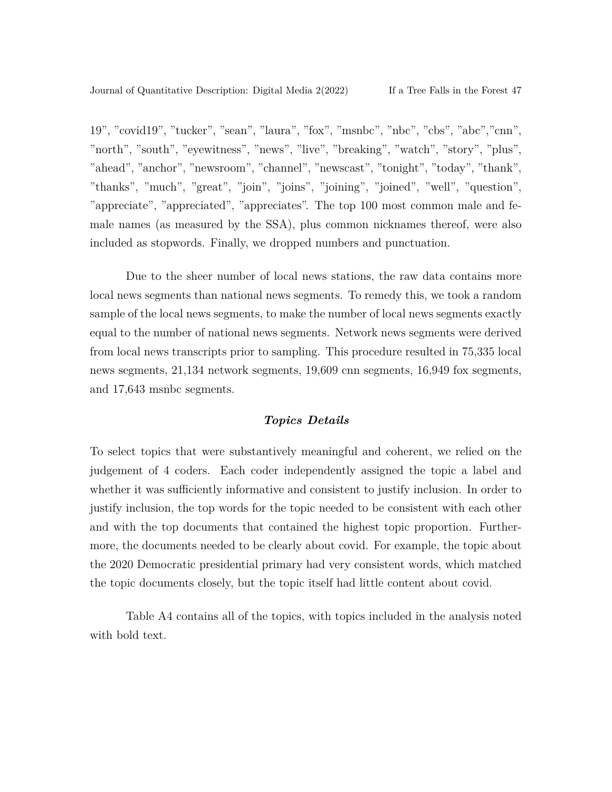19", "covid19", "tucker", "sean", "laura", "fox", "msnbc", "nbc", "cbs", "abc","cnn", "north", "south", "eyewitness", "news", "live", "breaking", "watch", "story", "plus", "ahead", "anchor", "newsroom", "channel", "newscast", "tonight", "today", "thank", "thanks", "much", "great", "join", "joins", "joining", "joined", "well", "question", "appreciate", "appreciated", "appreciates". The top 100 most common male and female names (as measured by the SSA), plus common nicknames thereof, were also included as stopwords. Finally, we dropped numbers and punctuation.

Due to the sheer number of local news stations, the raw data contains more local news segments than national news segments. To remedy this, we took a random sample of the local news segments, to make the number of local news segments exactly equal to the number of national news segments. Network news segments were derived from local news transcripts prior to sampling. This procedure resulted in 75,335 local news segments, 21,134 network segments, 19,609 cnn segments, 16,949 fox segments, and 17,643 msnbc segments.

### *Topics Details*

To select topics that were substantively meaningful and coherent, we relied on the judgement of 4 coders. Each coder independently assigned the topic a label and whether it was sufficiently informative and consistent to justify inclusion. In order to justify inclusion, the top words for the topic needed to be consistent with each other and with the top documents that contained the highest topic proportion. Furthermore, the documents needed to be clearly about covid. For example, the topic about the 2020 Democratic presidential primary had very consistent words, which matched the topic documents closely, but the topic itself had little content about covid.

Table A4 contains all of the topics, with topics included in the analysis noted with bold text.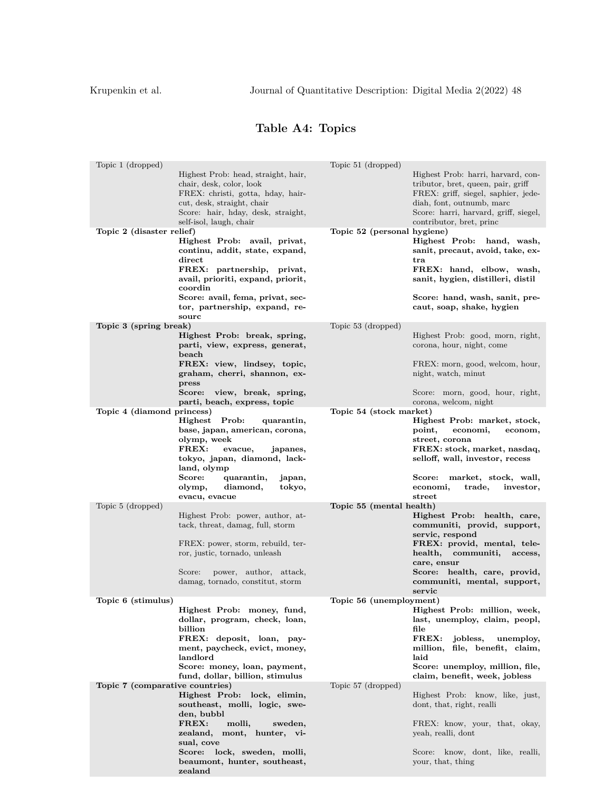# **Table A4: Topics**

| Topic 1 (dropped)               |                                                                                                                                                                                                     | Topic 51 (dropped)          |                                                                                                                                                                                                                   |
|---------------------------------|-----------------------------------------------------------------------------------------------------------------------------------------------------------------------------------------------------|-----------------------------|-------------------------------------------------------------------------------------------------------------------------------------------------------------------------------------------------------------------|
|                                 | Highest Prob: head, straight, hair,<br>chair, desk, color, look<br>FREX: christi, gotta, hday, hair-<br>cut, desk, straight, chair<br>Score: hair, hday, desk, straight,<br>self-isol, laugh, chair |                             | Highest Prob. harri, harvard, con-<br>tributor, bret, queen, pair, griff<br>FREX: griff, siegel, saphier, jede-<br>diah, font, outnumb, marc<br>Score: harri, harvard, griff, siegel,<br>contributor, bret, princ |
| Topic 2 (disaster relief)       |                                                                                                                                                                                                     | Topic 52 (personal hygiene) |                                                                                                                                                                                                                   |
|                                 | Highest Prob: avail, privat,<br>continu, addit, state, expand,<br>direct<br>FREX: partnership, privat,<br>avail, prioriti, expand, priorit,<br>coordin<br>Score: avail, fema, privat, sec-          |                             | Highest Prob: hand, wash,<br>sanit, precaut, avoid, take, ex-<br>tra<br>FREX: hand, elbow, wash,<br>sanit, hygien, distilleri, distil                                                                             |
|                                 | tor, partnership, expand, re-<br>sourc                                                                                                                                                              |                             | Score: hand, wash, sanit, pre-<br>caut, soap, shake, hygien                                                                                                                                                       |
|                                 |                                                                                                                                                                                                     |                             |                                                                                                                                                                                                                   |
| Topic 3 (spring break)          | Highest Prob: break, spring,<br>parti, view, express, generat,<br>beach<br>FREX: view, lindsey, topic,<br>graham, cherri, shannon, ex-                                                              | Topic 53 (dropped)          | Highest Prob. good, morn, right,<br>corona, hour, night, come<br>FREX: morn, good, welcom, hour,<br>night, watch, minut                                                                                           |
|                                 | press<br>view, break, spring,<br>Score:                                                                                                                                                             |                             | Score: morn, good, hour, right,                                                                                                                                                                                   |
|                                 | parti, beach, express, topic                                                                                                                                                                        |                             | corona, welcom, night                                                                                                                                                                                             |
| Topic 4 (diamond princess)      |                                                                                                                                                                                                     | Topic 54 (stock market)     |                                                                                                                                                                                                                   |
|                                 | Highest Prob:<br>quarantin,<br>base, japan, american, corona,<br>olymp, week<br>FREX:<br>evacue,<br>japanes,<br>tokyo, japan, diamond, lack-<br>land, olymp                                         |                             | Highest Prob: market, stock,<br>economi,<br>point,<br>econom,<br>street, corona<br>FREX: stock, market, nasdaq,<br>selloff, wall, investor, recess                                                                |
|                                 | Score:<br>quarantin,<br>japan,<br>diamond,<br>tokyo,<br>olymp,<br>evacu, evacue                                                                                                                     |                             | market, stock, wall,<br>Score:<br>economi,<br>trade,<br>investor,<br>street                                                                                                                                       |
| Topic 5 (dropped)               |                                                                                                                                                                                                     | Topic 55 (mental health)    |                                                                                                                                                                                                                   |
|                                 | Highest Prob: power, author, at-<br>tack, threat, damag, full, storm<br>FREX: power, storm, rebuild, ter-<br>ror, justic, tornado, unleash                                                          |                             | Highest Prob: health, care,<br>communiti, provid, support,<br>servic, respond<br>FREX: provid, mental, tele-<br>communiti,<br>health,<br>access,<br>care, ensur                                                   |
|                                 | Score:<br>power, author, attack,<br>damag, tornado, constitut, storm                                                                                                                                |                             | Score: health, care, provid,<br>communiti, mental, support,<br>servic                                                                                                                                             |
| Topic 6 (stimulus)              |                                                                                                                                                                                                     | Topic 56 (unemployment)     |                                                                                                                                                                                                                   |
|                                 | Highest Prob: money, fund,<br>dollar, program, check, loan,<br>billion<br>FREX: deposit, loan, pay-                                                                                                 |                             | Highest Prob: million, week,<br>last, unemploy, claim, peopl,<br>file<br>$\mathbf{F}\mathbf{R}\mathbf{E}\mathbf{X}$ :<br>jobless,<br>unemploy,                                                                    |
|                                 | ment, paycheck, evict, money,<br>landlord                                                                                                                                                           |                             | million, file, benefit, claim,<br>laid                                                                                                                                                                            |
|                                 | Score: money, loan, payment,<br>fund, dollar, billion, stimulus                                                                                                                                     |                             | Score: unemploy, million, file,<br>claim, benefit, week, jobless                                                                                                                                                  |
| Topic 7 (comparative countries) |                                                                                                                                                                                                     | Topic 57 (dropped)          |                                                                                                                                                                                                                   |
|                                 | Highest Prob: lock, elimin,<br>southeast, molli, logic, swe-<br>den, bubbl                                                                                                                          |                             | Highest Prob: know, like, just,<br>dont, that, right, realli                                                                                                                                                      |
|                                 | FREX:<br>molli,<br>sweden,<br>zealand, mont, hunter, vi-<br>sual, cove                                                                                                                              |                             | FREX: know, your, that, okay,<br>yeah, realli, dont                                                                                                                                                               |
|                                 | Score: lock, sweden, molli,<br>beaumont, hunter, southeast,<br>zealand                                                                                                                              |                             | Score: know, dont, like, realli,<br>your, that, thing                                                                                                                                                             |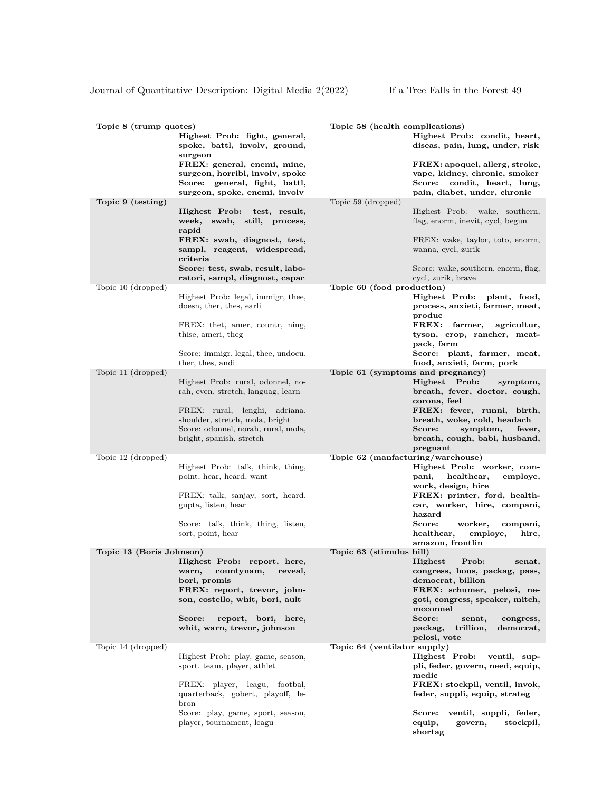| Topic 8 (trump quotes)   | Highest Prob: fight, general,<br>spoke, battl, involv, ground,<br>surgeon                                                                       | Topic 58 (health complications)   | Highest Prob: condit, heart,<br>diseas, pain, lung, under, risk                                                                                      |
|--------------------------|-------------------------------------------------------------------------------------------------------------------------------------------------|-----------------------------------|------------------------------------------------------------------------------------------------------------------------------------------------------|
|                          | FREX: general, enemi, mine,<br>surgeon, horribl, involv, spoke<br>Score: general, fight, battl,<br>surgeon, spoke, enemi, involv                |                                   | FREX: apoquel, allerg, stroke,<br>vape, kidney, chronic, smoker<br>Score: condit, heart, lung,<br>pain, diabet, under, chronic                       |
| Topic 9 (testing)        | Highest Prob: test, result,<br>swab,<br>week,<br>still, process,<br>rapid<br>FREX: swab, diagnost, test,                                        | Topic 59 (dropped)                | Highest Prob: wake, southern,<br>flag, enorm, inevit, cycl, begun<br>FREX: wake, taylor, toto, enorm,                                                |
|                          | sampl, reagent, widespread,<br>criteria<br>Score: test, swab, result, labo-<br>ratori, sampl, diagnost, capac                                   |                                   | wanna, cycl, zurik<br>Score: wake, southern, enorm, flag,<br>cycl, zurik, brave                                                                      |
| Topic 10 (dropped)       | Highest Prob: legal, immigr, thee,<br>doesn, ther, thes, earli<br>FREX: thet, amer, countr, ning,<br>thise, ameri, theg                         | Topic 60 (food production)        | Highest Prob: plant, food,<br>process, anxieti, farmer, meat,<br>produc<br>FREX: farmer,<br>agricultur,<br>tyson, crop, rancher, meat-<br>pack, farm |
|                          | Score: immigr, legal, thee, undocu,<br>ther, thes, andi                                                                                         |                                   | Score: plant, farmer, meat,<br>food, anxieti, farm, pork                                                                                             |
| Topic 11 (dropped)       |                                                                                                                                                 | Topic 61 (symptoms and pregnancy) |                                                                                                                                                      |
|                          | Highest Prob: rural, odonnel, no-<br>rah, even, stretch, languag, learn                                                                         |                                   | Highest Prob:<br>symptom,<br>breath, fever, doctor, cough,<br>corona, feel                                                                           |
|                          | FREX: rural, lenghi, adriana,<br>shoulder, stretch, mola, bright<br>Score: odonnel, norah, rural, mola,<br>bright, spanish, stretch             |                                   | FREX: fever, runni, birth,<br>breath, woke, cold, headach<br>Score:<br>symptom,<br>fever,<br>breath, cough, babi, husband,                           |
| Topic 12 (dropped)       |                                                                                                                                                 | Topic 62 (manfacturing/warehouse) | pregnant                                                                                                                                             |
|                          | Highest Prob: talk, think, thing,<br>point, hear, heard, want                                                                                   |                                   | Highest Prob: worker, com-<br>healthcar,<br>pani,<br>employe,<br>work, design, hire                                                                  |
|                          | FREX: talk, sanjay, sort, heard,<br>gupta, listen, hear                                                                                         |                                   | FREX: printer, ford, health-<br>car, worker, hire, compani,<br>hazard                                                                                |
|                          | Score: talk, think, thing, listen,<br>sort, point, hear                                                                                         |                                   | Score:<br>worker,<br>compani,<br>healthcar,<br>employe,<br>hire,<br>amazon, frontlin                                                                 |
| Topic 13 (Boris Johnson) |                                                                                                                                                 | Topic 63 (stimulus bill)          |                                                                                                                                                      |
|                          | Highest Prob: report, here,<br>countynam,<br>warn,<br>reveal,<br>bori, promis<br>FREX: report, trevor, john-<br>son, costello, whit, bori, ault |                                   | Highest<br>Prob:<br>senat,<br>congress, hous, packag, pass,<br>democrat, billion<br>FREX: schumer, pelosi, ne-<br>goti, congress, speaker, mitch,    |
|                          | Score:<br>report, bori, here,<br>whit, warn, trevor, johnson                                                                                    |                                   | mcconnel<br>Score:<br>senat,<br>congress,<br>packag,<br>trillion,<br>democrat,<br>pelosi, vote                                                       |
| Topic 14 (dropped)       |                                                                                                                                                 | Topic 64 (ventilator supply)      |                                                                                                                                                      |
|                          | Highest Prob: play, game, season,<br>sport, team, player, athlet                                                                                |                                   | Highest Prob:<br>ventil, sup-<br>pli, feder, govern, need, equip,<br>medic                                                                           |
|                          | FREX: player, leagu, footbal,<br>quarterback, gobert, playoff, le-<br>bron                                                                      |                                   | FREX: stockpil, ventil, invok,<br>feder, suppli, equip, strateg                                                                                      |
|                          | Score: play, game, sport, season,<br>player, tournament, leagu                                                                                  |                                   | Score:<br>ventil, suppli, feder,<br>equip,<br>govern,<br>stockpil,<br>shortag                                                                        |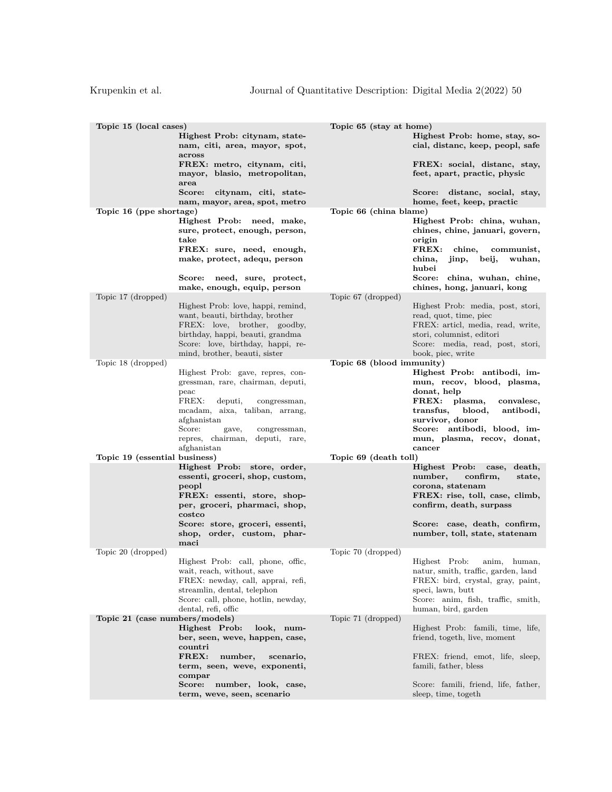| Topic 15 (local cases)         | Highest Prob: citynam, state-<br>nam, citi, area, mayor, spot,<br>across                                                                                                                                                                                | Topic 65 (stay at home)   | Highest Prob: home, stay, so-<br>cial, distanc, keep, peopl, safe                                                                                                                                                                              |
|--------------------------------|---------------------------------------------------------------------------------------------------------------------------------------------------------------------------------------------------------------------------------------------------------|---------------------------|------------------------------------------------------------------------------------------------------------------------------------------------------------------------------------------------------------------------------------------------|
|                                | FREX: metro, citynam, citi,<br>mayor, blasio, metropolitan,<br>area                                                                                                                                                                                     |                           | FREX: social, distanc, stay,<br>feet, apart, practic, physic                                                                                                                                                                                   |
|                                | Score:<br>citynam, citi, state-<br>nam, mayor, area, spot, metro                                                                                                                                                                                        |                           | Score: distanc, social, stay,<br>home, feet, keep, practic                                                                                                                                                                                     |
| Topic 16 (ppe shortage)        |                                                                                                                                                                                                                                                         | Topic 66 (china blame)    |                                                                                                                                                                                                                                                |
|                                | Highest Prob: need, make,<br>sure, protect, enough, person,<br>take<br>FREX: sure, need, enough,<br>make, protect, adequ, person                                                                                                                        |                           | Highest Prob: china, wuhan,<br>chines, chine, januari, govern,<br>origin<br>FREX:<br>chine,<br>communist,<br>jinp, beij,<br>china,<br>wuhan,<br>hubei                                                                                          |
|                                | Score: need, sure, protect,<br>make, enough, equip, person                                                                                                                                                                                              |                           | Score: china, wuhan, chine,<br>chines, hong, januari, kong                                                                                                                                                                                     |
| Topic 17 (dropped)             |                                                                                                                                                                                                                                                         | Topic 67 (dropped)        |                                                                                                                                                                                                                                                |
|                                | Highest Prob: love, happi, remind,<br>want, beauti, birthday, brother<br>FREX: love, brother, goodby,<br>birthday, happi, beauti, grandma<br>Score: love, birthday, happi, re-<br>mind, brother, beauti, sister                                         |                           | Highest Prob: media, post, stori,<br>read, quot, time, piec<br>FREX: articl, media, read, write,<br>stori, columnist, editori<br>Score: media, read, post, stori,<br>book, piec, write                                                         |
| Topic 18 (dropped)             |                                                                                                                                                                                                                                                         | Topic 68 (blood immunity) |                                                                                                                                                                                                                                                |
|                                | Highest Prob: gave, repres, con-<br>gressman, rare, chairman, deputi,<br>peac<br>FREX:<br>deputi,<br>congressman,<br>mcadam, aixa, taliban, arrang,<br>afghanistan<br>Score:<br>gave,<br>congressman,<br>repres, chairman, deputi, rare,<br>afghanistan |                           | Highest Prob: antibodi, im-<br>mun, recov, blood, plasma,<br>donat, help<br>$\bf FREX:$<br>plasma,<br>convalesc,<br>transfus,<br>blood,<br>antibodi,<br>survivor, donor<br>Score: antibodi, blood, im-<br>mun, plasma, recov, donat,<br>cancer |
| Topic 19 (essential business)  |                                                                                                                                                                                                                                                         | Topic 69 (death toll)     |                                                                                                                                                                                                                                                |
|                                | Highest Prob: store, order,<br>essenti, groceri, shop, custom,<br>peopl<br>FREX: essenti, store, shop-<br>per, groceri, pharmaci, shop,<br>costco<br>Score: store, groceri, essenti,                                                                    |                           | Highest Prob:<br>death,<br>case,<br>number,<br>confirm,<br>state,<br>corona, statenam<br>FREX: rise, toll, case, climb,<br>confirm, death, surpass<br>Score: case, death, confirm,                                                             |
|                                | shop, order, custom, phar-                                                                                                                                                                                                                              |                           | number, toll, state, statenam                                                                                                                                                                                                                  |
|                                | maci                                                                                                                                                                                                                                                    |                           |                                                                                                                                                                                                                                                |
| Topic 20 (dropped)             | Highest Prob: call, phone, offic,<br>wait, reach, without, save<br>FREX: newday, call, apprai, refi,<br>streamlin, dental, telephon<br>Score: call, phone, hotlin, newday,<br>dental, refi, offic                                                       | Topic 70 (dropped)        | Highest Prob:<br>anim,<br>human,<br>natur, smith, traffic, garden, land<br>FREX: bird, crystal, gray, paint,<br>speci, lawn, butt<br>Score: anim, fish, traffic, smith,<br>human, bird, garden                                                 |
| Topic 21 (case numbers/models) |                                                                                                                                                                                                                                                         | Topic 71 (dropped)        |                                                                                                                                                                                                                                                |
|                                | Highest Prob:<br>look, num-<br>ber, seen, weve, happen, case,<br>countri<br>FREX:<br>number,<br>scenario,                                                                                                                                               |                           | Highest Prob: famili, time, life,<br>friend, togeth, live, moment<br>FREX: friend, emot, life, sleep,                                                                                                                                          |
|                                | term, seen, weve, exponenti,<br>compar                                                                                                                                                                                                                  |                           | famili, father, bless                                                                                                                                                                                                                          |
|                                | Score:<br>number, look, case,<br>term, weve, seen, scenario                                                                                                                                                                                             |                           | Score: famili, friend, life, father,<br>sleep, time, togeth                                                                                                                                                                                    |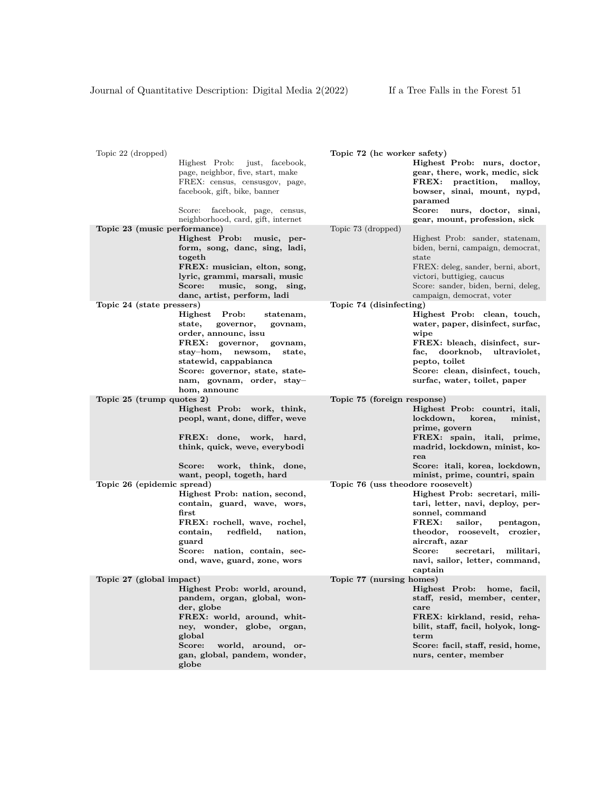| Topic 22 (dropped)           | Highest Prob:<br>just, facebook,<br>page, neighbor, five, start, make<br>FREX: census, censusgov, page,<br>facebook, gift, bike, banner<br>Score:<br>facebook, page, census,                                                                                                                | Topic 72 (hc worker safety)       | Highest Prob: nurs, doctor,<br>gear, there, work, medic, sick<br>$\rm FREX\colon$<br>practition,<br>malloy,<br>bowser, sinai, mount, nypd,<br>paramed<br>Score:<br>nurs, doctor, sinai,                                                                    |
|------------------------------|---------------------------------------------------------------------------------------------------------------------------------------------------------------------------------------------------------------------------------------------------------------------------------------------|-----------------------------------|------------------------------------------------------------------------------------------------------------------------------------------------------------------------------------------------------------------------------------------------------------|
|                              | neighborhood, card, gift, internet                                                                                                                                                                                                                                                          |                                   | gear, mount, profession, sick                                                                                                                                                                                                                              |
| Topic 23 (music performance) | Highest Prob: music, per-<br>form, song, danc, sing, ladi,<br>togeth<br>FREX: musician, elton, song,<br>lyric, grammi, marsali, music<br>Score:<br>music, song, sing,<br>danc, artist, perform, ladi                                                                                        | Topic 73 (dropped)                | Highest Prob: sander, statenam,<br>biden, berni, campaign, democrat,<br>state<br>FREX: deleg, sander, berni, abort,<br>victori, buttigieg, caucus<br>Score: sander, biden, berni, deleg,<br>campaign, democrat, voter                                      |
| Topic 24 (state pressers)    |                                                                                                                                                                                                                                                                                             | Topic 74 (disinfecting)           |                                                                                                                                                                                                                                                            |
|                              | Highest<br>Prob:<br>statenam,<br>state,<br>governor,<br>govnam,<br>order, announc, issu<br>FREX: governor,<br>govnam,<br>$\mathrm{stay}\text{--}\mathrm{hom},$<br>newsom,<br>state,<br>statewid, cappabianca<br>Score: governor, state, state-<br>nam, govnam, order, stay-<br>hom, announc |                                   | Highest Prob: clean, touch,<br>water, paper, disinfect, surfac,<br>wipe<br>FREX: bleach, disinfect, sur-<br>doorknob,<br>ultraviolet,<br>fac,<br>pepto, toilet<br>Score: clean, disinfect, touch,<br>surfac, water, toilet, paper                          |
| Topic 25 (trump quotes 2)    |                                                                                                                                                                                                                                                                                             | Topic 75 (foreign response)       |                                                                                                                                                                                                                                                            |
|                              | Highest Prob: work, think,<br>peopl, want, done, differ, weve<br>FREX: done,<br>work, hard,<br>think, quick, weve, everybodi<br>Score:<br>work, think, done,<br>want, peopl, togeth, hard                                                                                                   |                                   | Highest Prob: countri, itali,<br>lockdown,<br>korea,<br>minist,<br>prime, govern<br>FREX: spain, itali, prime,<br>madrid, lockdown, minist, ko-<br>rea<br>Score: itali, korea, lockdown,<br>minist, prime, countri, spain                                  |
| Topic 26 (epidemic spread)   |                                                                                                                                                                                                                                                                                             | Topic 76 (uss theodore roosevelt) |                                                                                                                                                                                                                                                            |
|                              | Highest Prob: nation, second,<br>contain, guard, wave, wors,<br>first<br>FREX: rochell, wave, rochel,<br>redfield,<br>contain,<br>nation,<br>guard<br>Score: nation, contain, sec-<br>ond, wave, guard, zone, wors                                                                          |                                   | Highest Prob: secretari, mili-<br>tari, letter, navi, deploy, per-<br>sonnel, command<br>FREX:<br>sailor,<br>pentagon,<br>theodor, roosevelt, crozier,<br>aircraft, azar<br>Score:<br>secretari,<br>militari,<br>navi, sailor, letter, command,<br>captain |
| Topic 27 (global impact)     |                                                                                                                                                                                                                                                                                             | Topic 77 (nursing homes)          |                                                                                                                                                                                                                                                            |
|                              | Highest Prob: world, around,<br>pandem, organ, global, won-<br>der, globe<br>FREX: world, around, whit-<br>ney, wonder, globe, organ,<br>global<br>world, around, or-<br>Score:<br>gan, global, pandem, wonder,<br>globe                                                                    |                                   | Highest Prob: home, facil,<br>staff, resid, member, center,<br>care<br>FREX: kirkland, resid, reha-<br>bilit, staff, facil, holyok, long-<br>term<br>Score: facil, staff, resid, home,<br>nurs, center, member                                             |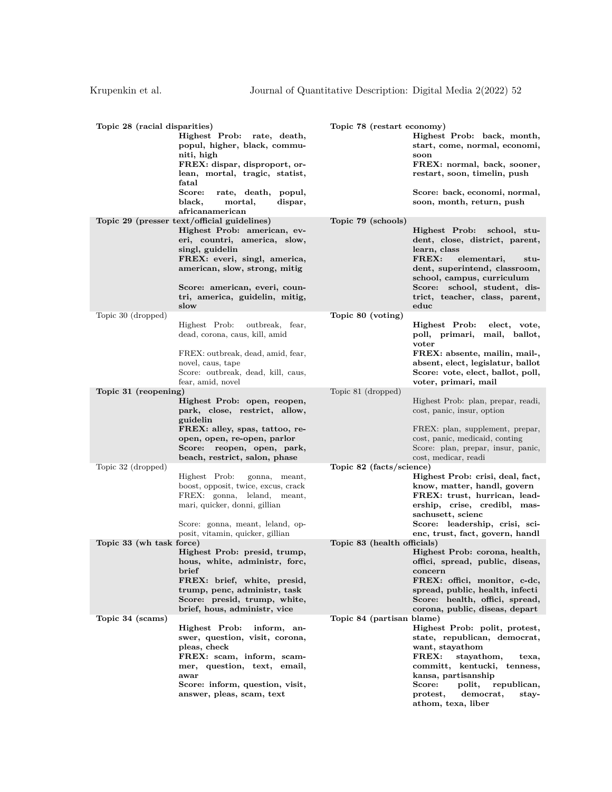| Topic 28 (racial disparities) | Highest Prob: rate, death,<br>popul, higher, black, commu-<br>niti, high<br>FREX: dispar, disproport, or-<br>lean, mortal, tragic, statist,<br>fatal<br>Score:<br>rate, death, popul,                                                                                     | Topic 78 (restart economy)  | Highest Prob: back, month,<br>start, come, normal, economi,<br>soon<br>FREX: normal, back, sooner,<br>restart, soon, timelin, push<br>Score: back, economi, normal,                                                                                               |
|-------------------------------|---------------------------------------------------------------------------------------------------------------------------------------------------------------------------------------------------------------------------------------------------------------------------|-----------------------------|-------------------------------------------------------------------------------------------------------------------------------------------------------------------------------------------------------------------------------------------------------------------|
|                               | black,<br>mortal,<br>dispar,<br>africanamerican                                                                                                                                                                                                                           |                             | soon, month, return, push                                                                                                                                                                                                                                         |
|                               | Topic 29 (presser text/official guidelines)<br>Highest Prob: american, ev-<br>eri, countri, america, slow,<br>singl, guidelin<br>FREX: everi, singl, america,<br>american, slow, strong, mitig<br>Score: american, everi, coun-<br>tri, america, guidelin, mitig,<br>slow | Topic 79 (schools)          | Highest Prob:<br>school, stu-<br>dent, close, district, parent,<br>learn, class<br>FREX:<br>elementari,<br>stu-<br>dent, superintend, classroom,<br>school, campus, curriculum<br>Score: school, student, dis-<br>trict, teacher, class, parent,<br>educ          |
| Topic 30 (dropped)            | Highest Prob:<br>outbreak, fear,<br>dead, corona, caus, kill, amid<br>FREX: outbreak, dead, amid, fear,<br>novel, caus, tape<br>Score: outbreak, dead, kill, caus,<br>fear, amid, novel                                                                                   | Topic 80 (voting)           | Highest Prob:<br>elect, vote,<br>poll, primari, mail, ballot,<br>voter<br>FREX: absente, mailin, mail-,<br>absent, elect, legislatur, ballot<br>Score: vote, elect, ballot, poll,<br>voter, primari, mail                                                         |
| Topic 31 (reopening)          | Highest Prob: open, reopen,<br>park, close, restrict, allow,<br>guidelin<br>FREX: alley, spas, tattoo, re-<br>open, open, re-open, parlor<br>Score: reopen, open, park,<br>beach, restrict, salon, phase                                                                  | Topic 81 (dropped)          | Highest Prob: plan, prepar, readi,<br>cost, panic, insur, option<br>FREX: plan, supplement, prepar,<br>cost, panic, medicaid, conting<br>Score: plan, prepar, insur, panic,<br>cost, medicar, readi                                                               |
| Topic 32 (dropped)            | Highest Prob:<br>gonna, meant,<br>boost, opposit, twice, excus, crack<br>FREX: gonna, leland, meant,<br>mari, quicker, donni, gillian<br>Score: gonna, meant, leland, op-<br>posit, vitamin, quicker, gillian                                                             | Topic 82 (facts/science)    | Highest Prob: crisi, deal, fact,<br>know, matter, handl, govern<br>FREX: trust, hurrican, lead-<br>ership, crise, credibl, mas-<br>sachusett, scienc<br>Score: leadership, crisi, sci-<br>enc, trust, fact, govern, handl                                         |
| Topic 33 (wh task force)      | Highest Prob: presid, trump,<br>hous, white, administr, forc,<br>brief<br>FREX: brief, white, presid,<br>trump, penc, administr, task<br>Score: presid, trump, white,<br>brief, hous, administr, vice                                                                     | Topic 83 (health officials) | Highest Prob: corona, health,<br>offici, spread, public, diseas,<br>concern<br>FREX: offici, monitor, c-dc,<br>spread, public, health, infecti<br>Score: health, offici, spread,<br>corona, public, diseas, depart                                                |
| Topic 34 (scams)              | Highest Prob:<br>inform, an-<br>swer, question, visit, corona,<br>pleas, check<br>FREX: scam, inform, scam-<br>mer, question, text, email,<br>awar<br>Score: inform, question, visit,<br>answer, pleas, scam, text                                                        | Topic 84 (partisan blame)   | Highest Prob: polit, protest,<br>state, republican, democrat,<br>want, stayathom<br>FREX:<br>stayathom,<br>texa,<br>committ, kentucki, tenness,<br>kansa, partisanship<br>Score:<br>polit,<br>republican,<br>democrat,<br>protest,<br>stay-<br>athom, texa, liber |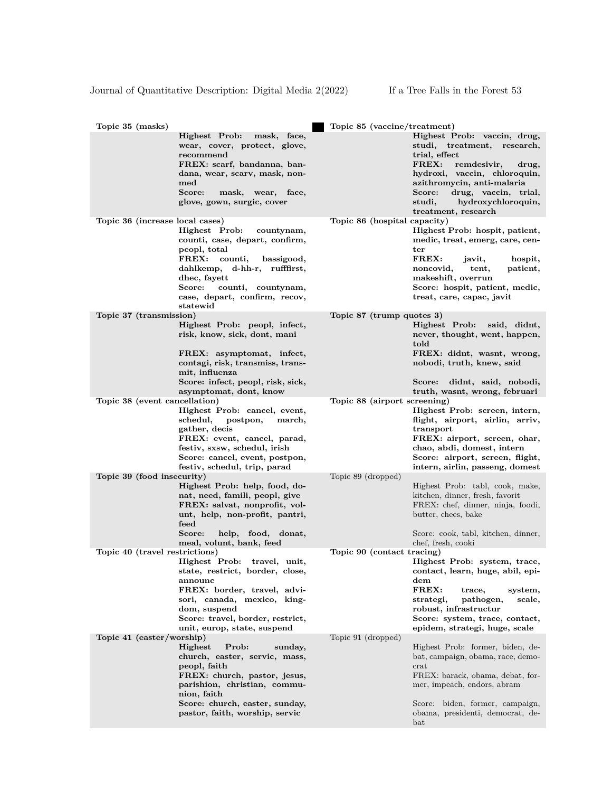| Topic 35 (masks)                |                                                                                                                                                                                                                                           | Topic 85 (vaccine/treatment) |                                                                                                                                                                                                                                                                                |
|---------------------------------|-------------------------------------------------------------------------------------------------------------------------------------------------------------------------------------------------------------------------------------------|------------------------------|--------------------------------------------------------------------------------------------------------------------------------------------------------------------------------------------------------------------------------------------------------------------------------|
|                                 | Highest Prob: mask, face,<br>wear, cover, protect, glove,<br>recommend<br>FREX: scarf, bandanna, ban-<br>dana, wear, scarv, mask, non-<br>med<br>Score:<br>mask, wear, face,<br>glove, gown, surgic, cover                                |                              | Highest Prob: vaccin, drug,<br>studi, treatment, research,<br>trial, effect<br>$\mathtt{FREX:}$<br>remdesivir,<br>drug,<br>hydroxi, vaccin, chloroquin,<br>azithromycin, anti-malaria<br>Score:<br>drug, vaccin, trial,<br>studi,<br>hydroxychloroquin,<br>treatment, research |
| Topic 36 (increase local cases) | Highest Prob:<br>countynam,<br>counti, case, depart, confirm,<br>peopl, total<br>FREX: counti,<br>bassigood,<br>dahlkemp, d-hh-r, rufffirst,<br>dhec, fayett<br>counti, countynam,<br>Score:<br>case, depart, confirm, recov,<br>statewid | Topic 86 (hospital capacity) | Highest Prob: hospit, patient,<br>medic, treat, emerg, care, cen-<br>ter<br>FREX:<br>hospit,<br>javit,<br>noncovid,<br>tent,<br>patient,<br>makeshift, overrun<br>Score: hospit, patient, medic,<br>treat, care, capac, javit                                                  |
| Topic 37 (transmission)         |                                                                                                                                                                                                                                           | Topic 87 (trump quotes 3)    |                                                                                                                                                                                                                                                                                |
|                                 | Highest Prob: peopl, infect,<br>risk, know, sick, dont, mani                                                                                                                                                                              |                              | Highest Prob:<br>said, didnt,<br>never, thought, went, happen,<br>told<br>FREX: didnt, wasnt, wrong,                                                                                                                                                                           |
|                                 | FREX: asymptomat, infect,<br>contagi, risk, transmiss, trans-<br>mit, influenza<br>Score: infect, peopl, risk, sick,                                                                                                                      |                              | nobodi, truth, knew, said<br>Score: didnt, said, nobodi,                                                                                                                                                                                                                       |
|                                 | asymptomat, dont, know                                                                                                                                                                                                                    |                              | truth, wasnt, wrong, februari                                                                                                                                                                                                                                                  |
| Topic 38 (event cancellation)   |                                                                                                                                                                                                                                           | Topic 88 (airport screening) |                                                                                                                                                                                                                                                                                |
|                                 | Highest Prob: cancel, event,<br>postpon,<br>schedul,<br>march,<br>gather, decis<br>FREX: event, cancel, parad,<br>festiv, sxsw, schedul, irish<br>Score: cancel, event, postpon,<br>festiv, schedul, trip, parad                          |                              | Highest Prob: screen, intern,<br>flight, airport, airlin, arriv,<br>transport<br>FREX: airport, screen, ohar,<br>chao, abdi, domest, intern<br>Score: airport, screen, flight,<br>intern, airlin, passeng, domest                                                              |
| Topic 39 (food insecurity)      |                                                                                                                                                                                                                                           | Topic 89 (dropped)           |                                                                                                                                                                                                                                                                                |
|                                 | Highest Prob: help, food, do-<br>nat, need, famili, peopl, give<br>FREX: salvat, nonprofit, vol-<br>unt, help, non-profit, pantri,<br>feed<br>Score:<br>help, food, donat,<br>meal, volunt, bank, feed                                    |                              | Highest Prob: tabl, cook, make,<br>kitchen, dinner, fresh, favorit<br>FREX: chef, dinner, ninja, foodi,<br>butter, chees, bake<br>Score: cook, tabl, kitchen, dinner,<br>chef, fresh, cooki                                                                                    |
| Topic 40 (travel restrictions)  |                                                                                                                                                                                                                                           | Topic 90 (contact tracing)   |                                                                                                                                                                                                                                                                                |
|                                 | Highest Prob: travel, unit,<br>state, restrict, border, close,<br>announc<br>FREX: border, travel, advi-<br>sori, canada, mexico, king-<br>dom, suspend<br>Score: travel, border, restrict,<br>unit, europ, state, suspend                |                              | Highest Prob: system, trace,<br>contact, learn, huge, abil, epi-<br>$_{\rm dem}$<br>FREX:<br>trace,<br>system,<br>strategi,<br>pathogen,<br>scale,<br>robust, infrastructur<br>Score: system, trace, contact,<br>epidem, strategi, huge, scale                                 |
| Topic 41 (easter/worship)       | Highest<br>Prob:<br>sunday,<br>church, easter, servic, mass,<br>peopl, faith<br>FREX: church, pastor, jesus,<br>parishion, christian, commu-<br>nion, faith<br>Score: church, easter, sunday,<br>pastor, faith, worship, servic           | Topic 91 (dropped)           | Highest Prob: former, biden, de-<br>bat, campaign, obama, race, demo-<br>crat<br>FREX: barack, obama, debat, for-<br>mer, impeach, endors, abram<br>Score: biden, former, campaign,<br>obama, presidenti, democrat, de-<br>$_{\rm bat}$                                        |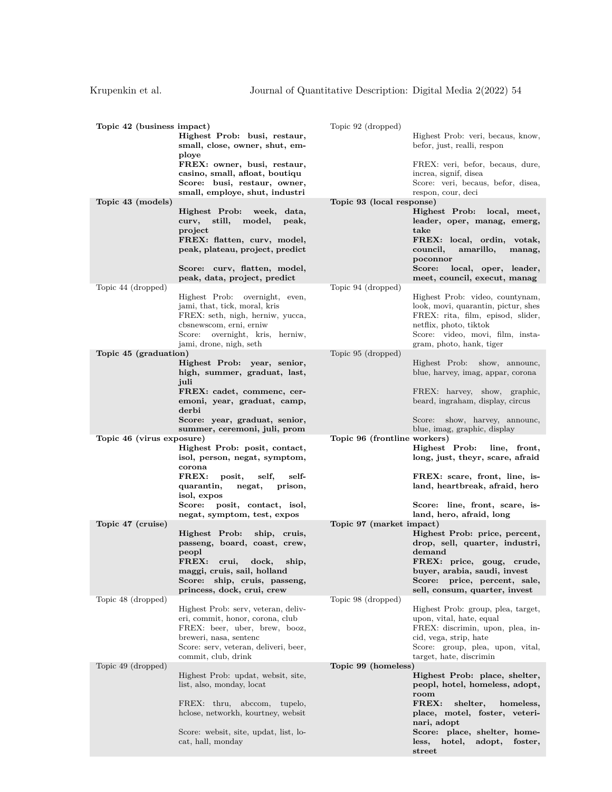| Topic 42 (business impact) | Highest Prob: busi, restaur,<br>small, close, owner, shut, em-<br>ploye                                                         | Topic 92 (dropped)<br>Highest Prob: veri, becaus, know,<br>befor, just, realli, respon                                            |
|----------------------------|---------------------------------------------------------------------------------------------------------------------------------|-----------------------------------------------------------------------------------------------------------------------------------|
|                            | FREX: owner, busi, restaur,<br>casino, small, afloat, boutiqu<br>Score: busi, restaur, owner,<br>small, employe, shut, industri | FREX: veri, befor, becaus, dure,<br>increa, signif, disea<br>Score: veri, becaus, befor, disea,<br>respon, cour, deci             |
| Topic 43 (models)          |                                                                                                                                 | Topic 93 (local response)                                                                                                         |
|                            | Highest Prob:<br>week, data,<br>still,<br>model,<br>curv,<br>peak,<br>project                                                   | Highest Prob: local, meet,<br>leader, oper, manag, emerg,<br>take                                                                 |
|                            | FREX: flatten, curv, model,<br>peak, plateau, project, predict                                                                  | FREX: local, ordin, votak,<br>council,<br>amarillo,<br>manag,<br>poconnor                                                         |
|                            | Score: curv, flatten, model,<br>peak, data, project, predict                                                                    | Score:<br>local, oper, leader,<br>meet, council, execut, manag                                                                    |
| Topic 44 (dropped)         | Highest Prob: overnight, even,<br>jami, that, tick, moral, kris<br>FREX: seth, nigh, herniw, yucca,                             | Topic 94 (dropped)<br>Highest Prob: video, countynam,<br>look, movi, quarantin, pictur, shes<br>FREX: rita, film, episod, slider, |
|                            | cbsnewscom, erni, erniw<br>overnight, kris, herniw,<br>Score:<br>jami, drone, nigh, seth                                        | netflix, photo, tiktok<br>Score: video, movi, film, insta-<br>gram, photo, hank, tiger                                            |
| Topic 45 (graduation)      |                                                                                                                                 | Topic 95 (dropped)                                                                                                                |
|                            | Highest Prob: year, senior,<br>high, summer, graduat, last,<br>juli                                                             | Highest Prob: show, announc,<br>blue, harvey, imag, appar, corona                                                                 |
|                            | FREX: cadet, commenc, cer-<br>emoni, year, graduat, camp,<br>derbi                                                              | FREX: harvey, show, graphic,<br>beard, ingraham, display, circus                                                                  |
|                            | Score: year, graduat, senior,<br>summer, ceremoni, juli, prom                                                                   | Score: show, harvey, announc,<br>blue, imag, graphic, display                                                                     |
| Topic 46 (virus exposure)  |                                                                                                                                 | Topic 96 (frontline workers)                                                                                                      |
|                            | Highest Prob: posit, contact,<br>isol, person, negat, symptom,<br>corona                                                        | Highest Prob:<br>line, front,<br>long, just, theyr, scare, afraid                                                                 |
|                            | FREX:<br>posit,<br>self,<br>self-<br>quarantin,<br>negat,<br>prison,<br>isol, expos                                             | FREX: scare, front, line, is-<br>land, heartbreak, afraid, hero                                                                   |
|                            | posit, contact, isol,<br>$\bf Score:$<br>negat, symptom, test, expos                                                            | Score: line, front, scare, is-<br>land, hero, afraid, long                                                                        |
| Topic 47 (cruise)          | Highest Prob:<br>ship, cruis,                                                                                                   | Topic 97 (market impact)<br>Highest Prob: price, percent,                                                                         |
|                            | passeng, board, coast, crew,<br>peopl                                                                                           | drop, sell, quarter, industri,<br>demand                                                                                          |
|                            | FREX:<br>crui,<br>dock.<br>ship,<br>maggi, cruis, sail, holland<br>Score: ship, cruis, passeng,                                 | FREX: price, goug, crude,<br>buyer, arabia, saudi, invest<br>price, percent, sale,<br>Score:                                      |
|                            | princess, dock, crui, crew                                                                                                      | sell, consum, quarter, invest                                                                                                     |
| Topic 48 (dropped)         | Highest Prob: serv, veteran, deliv-                                                                                             | Topic 98 (dropped)<br>Highest Prob: group, plea, target,                                                                          |
|                            | eri, commit, honor, corona, club                                                                                                | upon, vital, hate, equal                                                                                                          |
|                            | FREX: beer, uber, brew, booz,<br>breweri, nasa, sentenc                                                                         | FREX: discrimin, upon, plea, in-<br>cid, vega, strip, hate                                                                        |
|                            | Score: serv, veteran, deliveri, beer,<br>commit, club, drink                                                                    | Score: group, plea, upon, vital,<br>target, hate, discrimin                                                                       |
| Topic 49 (dropped)         |                                                                                                                                 | Topic 99 (homeless)                                                                                                               |
|                            | Highest Prob: updat, websit, site,<br>list, also, monday, locat                                                                 | Highest Prob: place, shelter,<br>peopl, hotel, homeless, adopt,<br>room                                                           |
|                            | FREX: thru, abccom, tupelo,<br>hclose, networkh, kourtney, websit                                                               | FREX:<br>shelter,<br>homeless,<br>place, motel, foster, veteri-<br>nari, adopt                                                    |
|                            | Score: websit, site, updat, list, lo-                                                                                           | Score: place, shelter, home-                                                                                                      |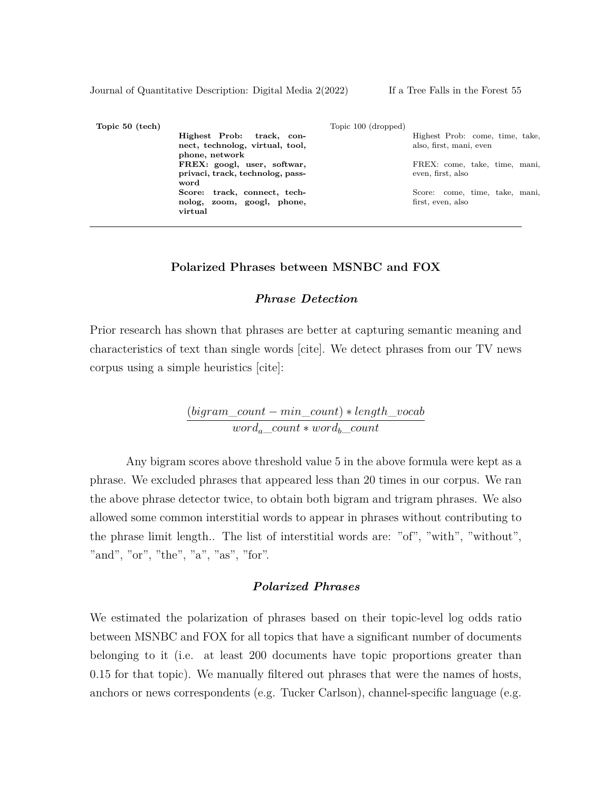| Topic 50 (tech) |                                          | Topic 100 (dropped) |                                 |
|-----------------|------------------------------------------|---------------------|---------------------------------|
|                 | Highest Prob: track, con-                |                     | Highest Prob: come, time, take, |
|                 | nect, technolog, virtual, tool,          |                     | also, first, mani, even         |
|                 | phone, network                           |                     |                                 |
|                 | FREX: googl, user, softwar,              |                     | FREX: come, take, time, mani,   |
|                 | privaci, track, technolog, pass-<br>word |                     | even, first, also               |
|                 | Score: track, connect, tech-             |                     | Score: come, time, take, mani,  |
|                 | nolog, zoom, googl, phone,<br>virtual    |                     | first, even, also               |

#### **Polarized Phrases between MSNBC and FOX**

### *Phrase Detection*

Prior research has shown that phrases are better at capturing semantic meaning and characteristics of text than single words [cite]. We detect phrases from our TV news corpus using a simple heuristics [cite]:

> (*bigram*\_*count − min*\_*count*) *∗ length*\_*vocab worda*\_*count ∗ wordb*\_*count*

Any bigram scores above threshold value 5 in the above formula were kept as a phrase. We excluded phrases that appeared less than 20 times in our corpus. We ran the above phrase detector twice, to obtain both bigram and trigram phrases. We also allowed some common interstitial words to appear in phrases without contributing to the phrase limit length.. The list of interstitial words are: "of", "with", "without", "and", "or", "the", "a", "as", "for".

### *Polarized Phrases*

We estimated the polarization of phrases based on their topic-level log odds ratio between MSNBC and FOX for all topics that have a significant number of documents belonging to it (i.e. at least 200 documents have topic proportions greater than 0.15 for that topic). We manually filtered out phrases that were the names of hosts, anchors or news correspondents (e.g. Tucker Carlson), channel-specific language (e.g.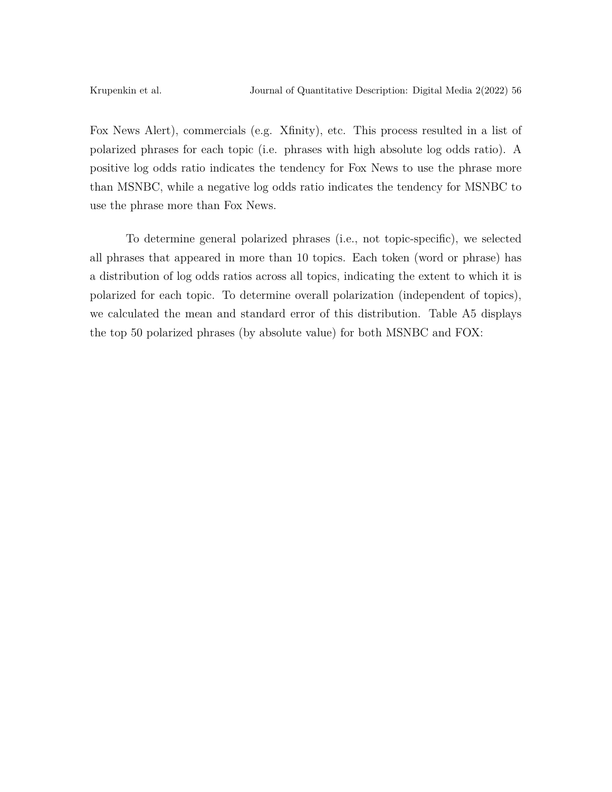Fox News Alert), commercials (e.g. Xfinity), etc. This process resulted in a list of polarized phrases for each topic (i.e. phrases with high absolute log odds ratio). A positive log odds ratio indicates the tendency for Fox News to use the phrase more than MSNBC, while a negative log odds ratio indicates the tendency for MSNBC to use the phrase more than Fox News.

To determine general polarized phrases (i.e., not topic-specific), we selected all phrases that appeared in more than 10 topics. Each token (word or phrase) has a distribution of log odds ratios across all topics, indicating the extent to which it is polarized for each topic. To determine overall polarization (independent of topics), we calculated the mean and standard error of this distribution. Table A5 displays the top 50 polarized phrases (by absolute value) for both MSNBC and FOX: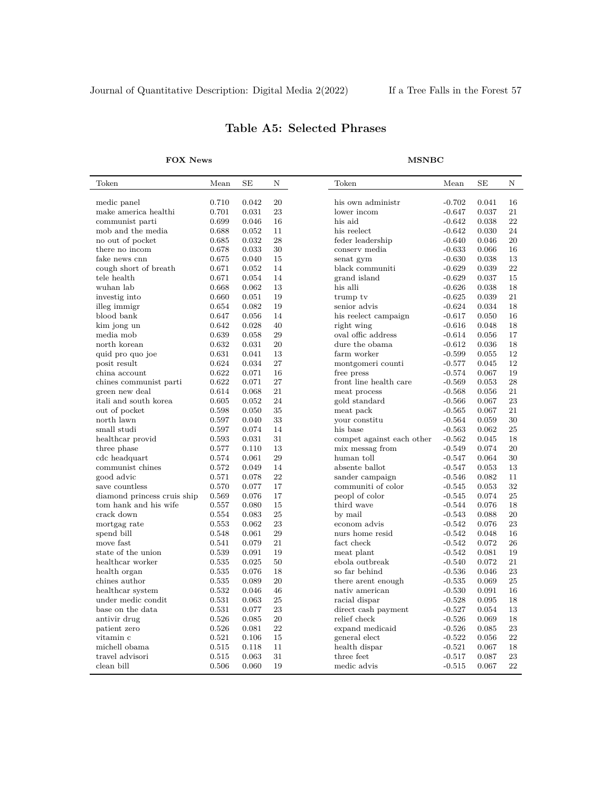| Token                       | Mean  | SE    | Ν  | Token                                                           | Mean     | SE    | Ν  |
|-----------------------------|-------|-------|----|-----------------------------------------------------------------|----------|-------|----|
| medic panel                 | 0.710 | 0.042 | 20 | his own administr                                               | $-0.702$ | 0.041 | 16 |
| make america healthi        | 0.701 | 0.031 | 23 | lower incom                                                     | $-0.647$ | 0.037 | 21 |
| communist parti             | 0.699 | 0.046 | 16 | his aid                                                         | $-0.642$ | 0.038 | 22 |
| mob and the media           | 0.688 | 0.052 | 11 | his reelect                                                     | $-0.642$ | 0.030 | 24 |
| no out of pocket            | 0.685 | 0.032 | 28 | feder leadership                                                | $-0.640$ | 0.046 | 20 |
| there no incom              | 0.678 | 0.033 | 30 | conserv media                                                   | $-0.633$ | 0.066 | 16 |
| fake news cnn               | 0.675 | 0.040 | 15 | senat gym                                                       | $-0.630$ | 0.038 | 13 |
| cough short of breath       | 0.671 | 0.052 | 14 | black communiti                                                 | $-0.629$ | 0.039 | 22 |
| tele health                 | 0.671 | 0.054 | 14 | grand island                                                    | $-0.629$ | 0.037 | 15 |
| wuhan lab                   | 0.668 | 0.062 | 13 | his alli                                                        | $-0.626$ | 0.038 | 18 |
| investig into               | 0.660 | 0.051 | 19 | trump tv                                                        | $-0.625$ | 0.039 | 21 |
| illeg immigr                | 0.654 | 0.082 | 19 | senior advis                                                    | $-0.624$ | 0.034 | 18 |
| blood bank                  | 0.647 | 0.056 | 14 | his reelect campaign                                            | $-0.617$ | 0.050 | 16 |
| kim jong un                 | 0.642 | 0.028 | 40 | right wing                                                      | $-0.616$ | 0.048 | 18 |
| media mob                   | 0.639 | 0.058 | 29 | oval offic address                                              | $-0.614$ | 0.056 | 17 |
| north korean                | 0.632 | 0.031 | 20 | dure the obama                                                  | $-0.612$ | 0.036 | 18 |
| quid pro quo joe            | 0.631 | 0.041 | 13 | farm worker                                                     | $-0.599$ | 0.055 | 12 |
| posit result                | 0.624 | 0.034 | 27 | montgomeri counti                                               | $-0.577$ | 0.045 | 12 |
| china account               | 0.622 | 0.071 | 16 | free press                                                      | $-0.574$ | 0.067 | 19 |
| chines communist parti      | 0.622 | 0.071 | 27 | front line health care                                          | $-0.569$ | 0.053 | 28 |
| green new deal              | 0.614 | 0.068 | 21 | meat process                                                    | $-0.568$ | 0.056 | 21 |
| itali and south korea       | 0.605 | 0.052 | 24 | gold standard                                                   | $-0.566$ | 0.067 | 23 |
| out of pocket               | 0.598 | 0.050 | 35 | meat pack                                                       | $-0.565$ | 0.067 | 21 |
| north lawn                  | 0.597 | 0.040 | 33 | your constitu                                                   | $-0.564$ | 0.059 | 30 |
| small studi                 | 0.597 | 0.074 | 14 | his base                                                        | $-0.563$ | 0.062 | 25 |
| healthcar provid            | 0.593 | 0.031 | 31 | compet against each other                                       | $-0.562$ | 0.045 | 18 |
| three phase                 | 0.577 | 0.110 | 13 | mix messag from                                                 | $-0.549$ | 0.074 | 20 |
| cdc headquart               | 0.574 | 0.061 | 29 | human toll                                                      | $-0.547$ | 0.064 | 30 |
| communist chines            | 0.572 | 0.049 | 14 | absente ballot                                                  | $-0.547$ | 0.053 | 13 |
| good advic                  | 0.571 | 0.078 | 22 | sander campaign                                                 | $-0.546$ | 0.082 | 11 |
| save countless              | 0.570 | 0.077 | 17 | communiti of color                                              | $-0.545$ | 0.053 | 32 |
| diamond princess cruis ship | 0.569 | 0.076 | 17 | peopl of color                                                  | $-0.545$ | 0.074 | 25 |
| tom hank and his wife       | 0.557 | 0.080 | 15 | third wave                                                      | $-0.544$ | 0.076 | 18 |
| crack down                  | 0.554 | 0.083 | 25 | by mail                                                         | $-0.543$ | 0.088 | 20 |
| mortgag rate                | 0.553 | 0.062 | 23 | econom advis                                                    | $-0.542$ | 0.076 | 23 |
| spend bill                  | 0.548 | 0.061 | 29 | nurs home resid                                                 | $-0.542$ | 0.048 | 16 |
| move fast                   | 0.541 | 0.079 | 21 | fact check                                                      | $-0.542$ | 0.072 | 26 |
| state of the union          | 0.539 | 0.091 | 19 | meat plant                                                      | $-0.542$ | 0.081 | 19 |
| healthcar worker            | 0.535 | 0.025 | 50 | ebola outbreak                                                  | $-0.540$ | 0.072 | 21 |
| health organ                | 0.535 | 0.076 | 18 | so far behind                                                   | $-0.536$ | 0.046 | 23 |
| chines author               | 0.535 | 0.089 | 20 | there arent enough                                              | $-0.535$ | 0.069 | 25 |
| healthcar system            | 0.532 | 0.046 | 46 | $% \left\langle \cdot ,\cdot \right\rangle _{0}$ nativ american | $-0.530$ | 0.091 | 16 |
| under medic condit          | 0.531 | 0.063 | 25 | racial dispar                                                   | $-0.528$ | 0.095 | 18 |
| base on the data            | 0.531 | 0.077 | 23 | direct cash payment                                             | $-0.527$ | 0.054 | 13 |
| antivir drug                | 0.526 | 0.085 | 20 | relief check                                                    | $-0.526$ | 0.069 | 18 |
| patient zero                | 0.526 | 0.081 | 22 | expand medicaid                                                 | $-0.526$ | 0.085 | 23 |
| vitamin c                   | 0.521 | 0.106 | 15 | general elect                                                   | $-0.522$ | 0.056 | 22 |
| michell obama               | 0.515 | 0.118 | 11 | health dispar                                                   | $-0.521$ | 0.067 | 18 |
| travel advisori             | 0.515 | 0.063 | 31 | three feet                                                      | $-0.517$ | 0.087 | 23 |
| clean bill                  | 0.506 | 0.060 | 19 | medic advis                                                     | $-0.515$ | 0.067 | 22 |
|                             |       |       |    |                                                                 |          |       |    |

# **Table A5: Selected Phrases**

**FOX News MSNBC**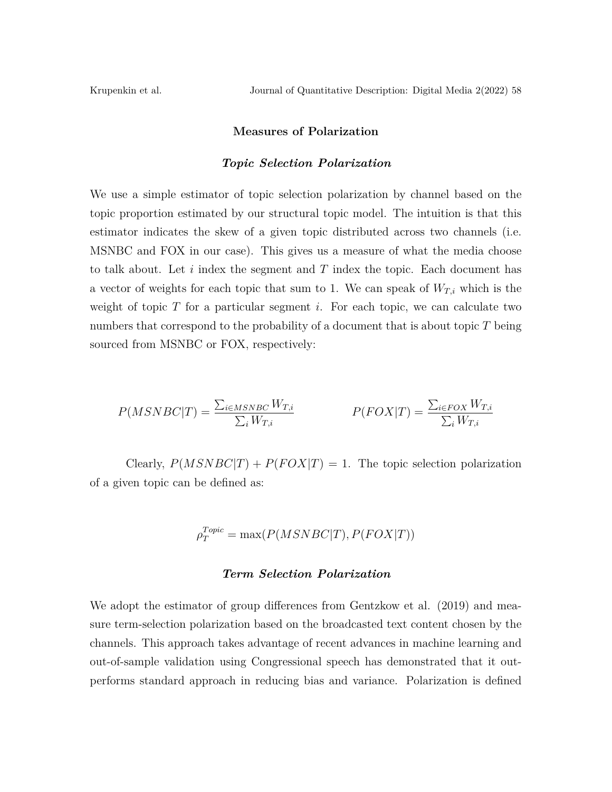#### **Measures of Polarization**

#### *Topic Selection Polarization*

We use a simple estimator of topic selection polarization by channel based on the topic proportion estimated by our structural topic model. The intuition is that this estimator indicates the skew of a given topic distributed across two channels (i.e. MSNBC and FOX in our case). This gives us a measure of what the media choose to talk about. Let *i* index the segment and *T* index the topic. Each document has a vector of weights for each topic that sum to 1. We can speak of  $W_{T,i}$  which is the weight of topic *T* for a particular segment *i*. For each topic, we can calculate two numbers that correspond to the probability of a document that is about topic *T* being sourced from MSNBC or FOX, respectively:

$$
P(MSNBC|T) = \frac{\sum_{i \in MSNBC} W_{T,i}}{\sum_{i} W_{T,i}} \qquad P(FOX|T) = \frac{\sum_{i \in FOX} W_{T,i}}{\sum_{i} W_{T,i}}
$$

Clearly,  $P(MSNBC|T) + P(FOX|T) = 1$ . The topic selection polarization of a given topic can be defined as:

$$
\rho_T^{Topic} = \max(P(MSNBC|T), P(FOX|T))
$$

#### *Term Selection Polarization*

We adopt the estimator of group differences from Gentzkow et al. (2019) and measure term-selection polarization based on the broadcasted text content chosen by the channels. This approach takes advantage of recent advances in machine learning and out-of-sample validation using Congressional speech has demonstrated that it outperforms standard approach in reducing bias and variance. Polarization is defined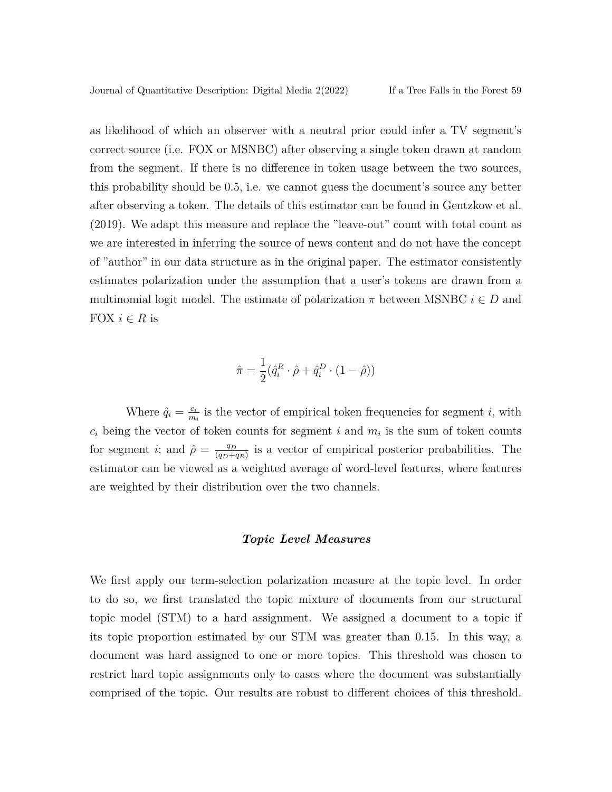as likelihood of which an observer with a neutral prior could infer a TV segment's correct source (i.e. FOX or MSNBC) after observing a single token drawn at random from the segment. If there is no difference in token usage between the two sources, this probability should be 0.5, i.e. we cannot guess the document's source any better after observing a token. The details of this estimator can be found in Gentzkow et al. (2019). We adapt this measure and replace the "leave-out" count with total count as we are interested in inferring the source of news content and do not have the concept of "author" in our data structure as in the original paper. The estimator consistently estimates polarization under the assumption that a user's tokens are drawn from a multinomial logit model. The estimate of polarization  $\pi$  between MSNBC  $i \in D$  and FOX  $i \in R$  is

$$
\hat{\pi} = \frac{1}{2} (\hat{q}_i^R \cdot \hat{\rho} + \hat{q}_i^D \cdot (1 - \hat{\rho}))
$$

Where  $\hat{q}_i = \frac{c_i}{m_i}$  $\frac{c_i}{m_i}$  is the vector of empirical token frequencies for segment *i*, with  $c_i$  being the vector of token counts for segment *i* and  $m_i$  is the sum of token counts for segment *i*; and  $\hat{\rho} = \frac{q_D}{(q_D + p)}$  $\frac{q_D}{(q_D+q_R)}$  is a vector of empirical posterior probabilities. The estimator can be viewed as a weighted average of word-level features, where features are weighted by their distribution over the two channels.

#### *Topic Level Measures*

We first apply our term-selection polarization measure at the topic level. In order to do so, we first translated the topic mixture of documents from our structural topic model (STM) to a hard assignment. We assigned a document to a topic if its topic proportion estimated by our STM was greater than 0.15. In this way, a document was hard assigned to one or more topics. This threshold was chosen to restrict hard topic assignments only to cases where the document was substantially comprised of the topic. Our results are robust to different choices of this threshold.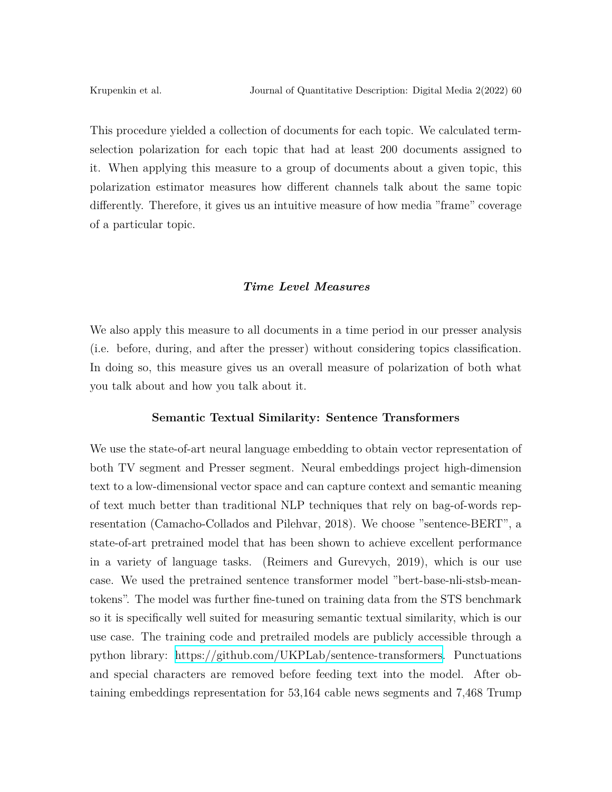This procedure yielded a collection of documents for each topic. We calculated termselection polarization for each topic that had at least 200 documents assigned to it. When applying this measure to a group of documents about a given topic, this polarization estimator measures how different channels talk about the same topic differently. Therefore, it gives us an intuitive measure of how media "frame" coverage of a particular topic.

### *Time Level Measures*

We also apply this measure to all documents in a time period in our presser analysis (i.e. before, during, and after the presser) without considering topics classification. In doing so, this measure gives us an overall measure of polarization of both what you talk about and how you talk about it.

### **Semantic Textual Similarity: Sentence Transformers**

We use the state-of-art neural language embedding to obtain vector representation of both TV segment and Presser segment. Neural embeddings project high-dimension text to a low-dimensional vector space and can capture context and semantic meaning of text much better than traditional NLP techniques that rely on bag-of-words representation (Camacho-Collados and Pilehvar, 2018). We choose "sentence-BERT", a state-of-art pretrained model that has been shown to achieve excellent performance in a variety of language tasks. (Reimers and Gurevych, 2019), which is our use case. We used the pretrained sentence transformer model "bert-base-nli-stsb-meantokens". The model was further fine-tuned on training data from the STS benchmark so it is specifically well suited for measuring semantic textual similarity, which is our use case. The training code and pretrailed models are publicly accessible through a python library: [https://github.com/UKPLab/sentence-transformers.](https://github.com/UKPLab/sentence-transformers) Punctuations and special characters are removed before feeding text into the model. After obtaining embeddings representation for 53,164 cable news segments and 7,468 Trump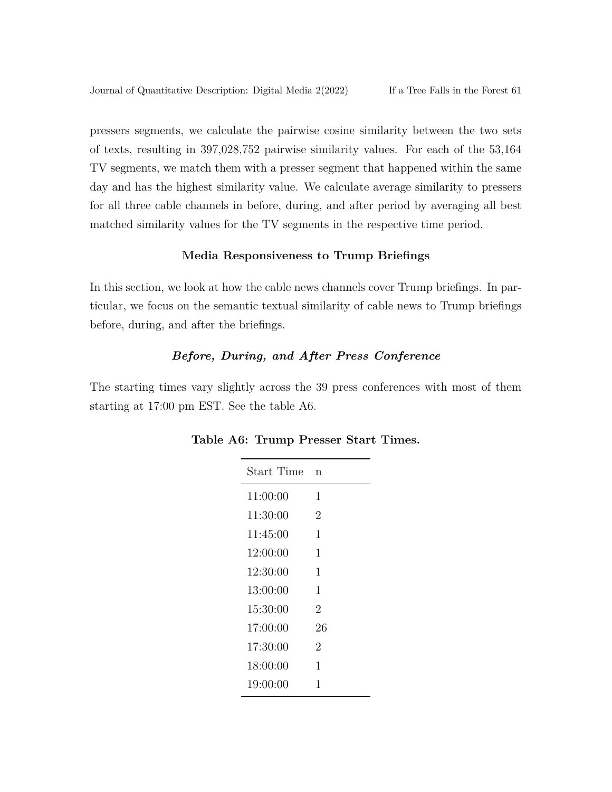pressers segments, we calculate the pairwise cosine similarity between the two sets of texts, resulting in 397,028,752 pairwise similarity values. For each of the 53,164 TV segments, we match them with a presser segment that happened within the same day and has the highest similarity value. We calculate average similarity to pressers for all three cable channels in before, during, and after period by averaging all best matched similarity values for the TV segments in the respective time period.

# **Media Responsiveness to Trump Briefings**

In this section, we look at how the cable news channels cover Trump briefings. In particular, we focus on the semantic textual similarity of cable news to Trump briefings before, during, and after the briefings.

# *Before, During, and After Press Conference*

The starting times vary slightly across the 39 press conferences with most of them starting at 17:00 pm EST. See the table A6.

| <b>Start Time</b> | n  |
|-------------------|----|
| 11:00:00          | 1  |
| 11:30:00          | 2  |
| 11:45:00          | 1  |
| 12:00:00          | 1  |
| 12:30:00          | 1  |
| 13:00:00          | 1  |
| 15:30:00          | 2  |
| 17:00:00          | 26 |
| 17:30:00          | 2  |
| 18:00:00          | 1  |
| 19:00:00          | 1  |

**Table A6: Trump Presser Start Times.**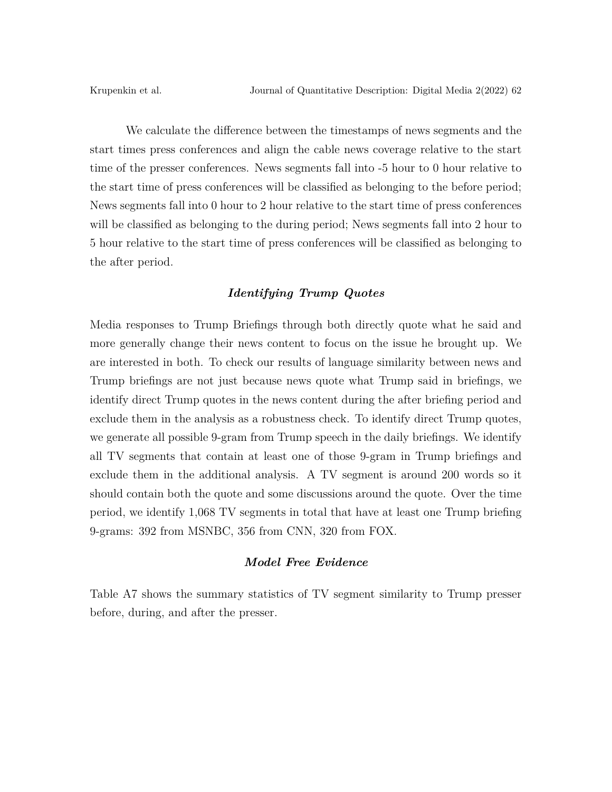We calculate the difference between the timestamps of news segments and the start times press conferences and align the cable news coverage relative to the start time of the presser conferences. News segments fall into -5 hour to 0 hour relative to the start time of press conferences will be classified as belonging to the before period; News segments fall into 0 hour to 2 hour relative to the start time of press conferences will be classified as belonging to the during period; News segments fall into 2 hour to 5 hour relative to the start time of press conferences will be classified as belonging to the after period.

#### *Identifying Trump Quotes*

Media responses to Trump Briefings through both directly quote what he said and more generally change their news content to focus on the issue he brought up. We are interested in both. To check our results of language similarity between news and Trump briefings are not just because news quote what Trump said in briefings, we identify direct Trump quotes in the news content during the after briefing period and exclude them in the analysis as a robustness check. To identify direct Trump quotes, we generate all possible 9-gram from Trump speech in the daily briefings. We identify all TV segments that contain at least one of those 9-gram in Trump briefings and exclude them in the additional analysis. A TV segment is around 200 words so it should contain both the quote and some discussions around the quote. Over the time period, we identify 1,068 TV segments in total that have at least one Trump briefing 9-grams: 392 from MSNBC, 356 from CNN, 320 from FOX.

#### *Model Free Evidence*

Table A7 shows the summary statistics of TV segment similarity to Trump presser before, during, and after the presser.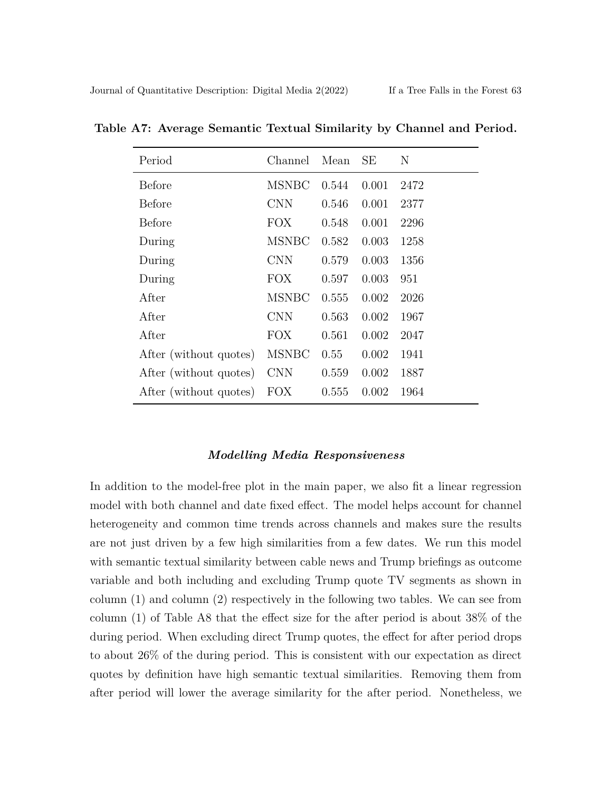| Period                 | Channel      | Mean  | SE    | N    |
|------------------------|--------------|-------|-------|------|
| Before                 | <b>MSNBC</b> | 0.544 | 0.001 | 2472 |
| Before                 | <b>CNN</b>   | 0.546 | 0.001 | 2377 |
| Before                 | <b>FOX</b>   | 0.548 | 0.001 | 2296 |
| During                 | <b>MSNBC</b> | 0.582 | 0.003 | 1258 |
| During                 | <b>CNN</b>   | 0.579 | 0.003 | 1356 |
| During                 | <b>FOX</b>   | 0.597 | 0.003 | 951  |
| After                  | <b>MSNBC</b> | 0.555 | 0.002 | 2026 |
| After                  | <b>CNN</b>   | 0.563 | 0.002 | 1967 |
| After                  | <b>FOX</b>   | 0.561 | 0.002 | 2047 |
| After (without quotes) | <b>MSNBC</b> | 0.55  | 0.002 | 1941 |
| After (without quotes) | <b>CNN</b>   | 0.559 | 0.002 | 1887 |
| After (without quotes) | <b>FOX</b>   | 0.555 | 0.002 | 1964 |

**Table A7: Average Semantic Textual Similarity by Channel and Period.**

#### *Modelling Media Responsiveness*

In addition to the model-free plot in the main paper, we also fit a linear regression model with both channel and date fixed effect. The model helps account for channel heterogeneity and common time trends across channels and makes sure the results are not just driven by a few high similarities from a few dates. We run this model with semantic textual similarity between cable news and Trump briefings as outcome variable and both including and excluding Trump quote TV segments as shown in column (1) and column (2) respectively in the following two tables. We can see from column (1) of Table A8 that the effect size for the after period is about 38% of the during period. When excluding direct Trump quotes, the effect for after period drops to about 26% of the during period. This is consistent with our expectation as direct quotes by definition have high semantic textual similarities. Removing them from after period will lower the average similarity for the after period. Nonetheless, we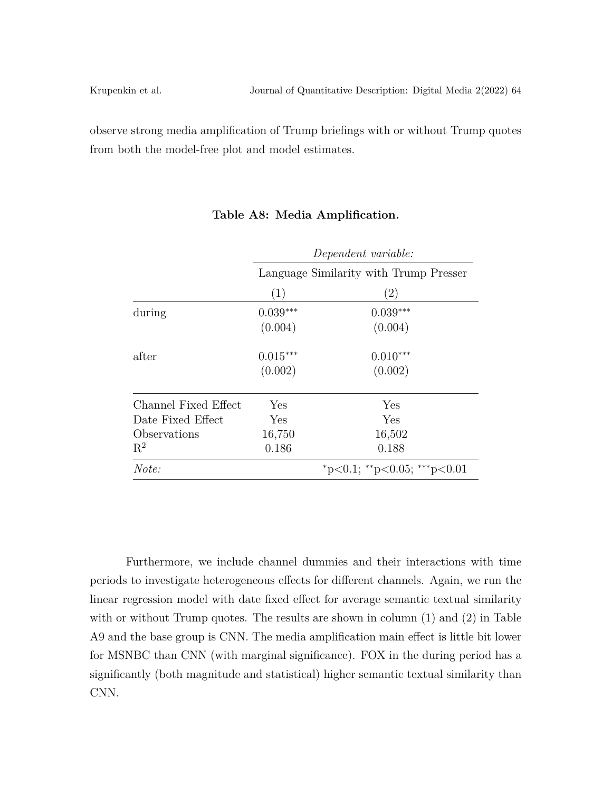observe strong media amplification of Trump briefings with or without Trump quotes from both the model-free plot and model estimates.

|                      | Dependent variable: |                                        |  |
|----------------------|---------------------|----------------------------------------|--|
|                      |                     | Language Similarity with Trump Presser |  |
|                      | (1)                 | $\left( 2\right)$                      |  |
| during               | $0.039***$          | $0.039***$                             |  |
|                      | (0.004)             | (0.004)                                |  |
| after                | $0.015***$          | $0.010***$                             |  |
|                      | (0.002)             | (0.002)                                |  |
| Channel Fixed Effect | Yes                 | Yes                                    |  |
| Date Fixed Effect    | Yes                 | Yes                                    |  |
| Observations         | 16,750              | 16,502                                 |  |
| $\mathbf{R}^2$       | 0.186               | 0.188                                  |  |
| Note:                |                     | *p<0.1; **p<0.05; ***p<0.01            |  |

#### **Table A8: Media Amplification.**

Furthermore, we include channel dummies and their interactions with time periods to investigate heterogeneous effects for different channels. Again, we run the linear regression model with date fixed effect for average semantic textual similarity with or without Trump quotes. The results are shown in column  $(1)$  and  $(2)$  in Table A9 and the base group is CNN. The media amplification main effect is little bit lower for MSNBC than CNN (with marginal significance). FOX in the during period has a significantly (both magnitude and statistical) higher semantic textual similarity than CNN.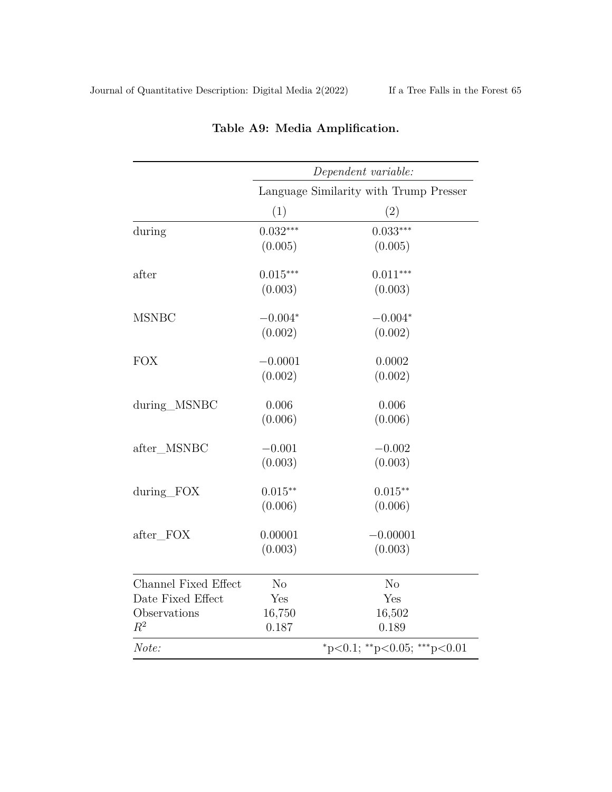|                                                                           | Dependent variable:                      |                                          |  |
|---------------------------------------------------------------------------|------------------------------------------|------------------------------------------|--|
|                                                                           |                                          | Language Similarity with Trump Presser   |  |
|                                                                           | (1)                                      | (2)                                      |  |
| during                                                                    | $0.032***$<br>(0.005)                    | $0.033***$<br>(0.005)                    |  |
| after                                                                     | $0.015***$<br>(0.003)                    | $0.011***$<br>(0.003)                    |  |
| <b>MSNBC</b>                                                              | $-0.004*$<br>(0.002)                     | $-0.004*$<br>(0.002)                     |  |
| <b>FOX</b>                                                                | $-0.0001$<br>(0.002)                     | 0.0002<br>(0.002)                        |  |
| during_MSNBC                                                              | 0.006<br>(0.006)                         | 0.006<br>(0.006)                         |  |
| after_MSNBC                                                               | $-0.001$<br>(0.003)                      | $-0.002$<br>(0.003)                      |  |
| during_FOX                                                                | $0.015***$<br>(0.006)                    | $0.015**$<br>(0.006)                     |  |
| after_FOX                                                                 | 0.00001<br>(0.003)                       | $-0.00001$<br>(0.003)                    |  |
| <b>Channel Fixed Effect</b><br>Date Fixed Effect<br>Observations<br>$R^2$ | N <sub>o</sub><br>Yes<br>16,750<br>0.187 | N <sub>o</sub><br>Yes<br>16,502<br>0.189 |  |
| Note:                                                                     |                                          | *p<0.1; **p<0.05; ***p<0.01              |  |

# **Table A9: Media Amplification.**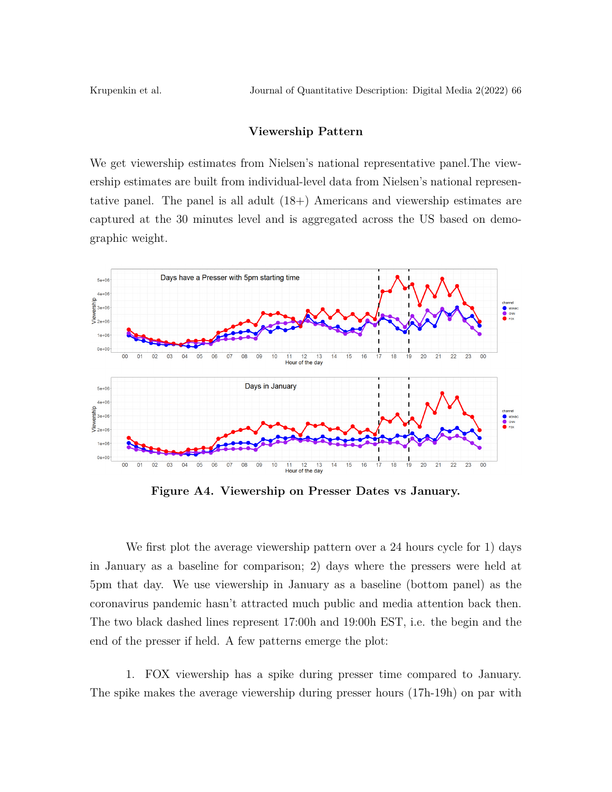Krupenkin et al. Journal of Quantitative Description: Digital Media 2(2022) 66

### **Viewership Pattern**

We get viewership estimates from Nielsen's national representative panel.The viewership estimates are built from individual-level data from Nielsen's national representative panel. The panel is all adult (18+) Americans and viewership estimates are captured at the 30 minutes level and is aggregated across the US based on demographic weight.



**Figure A4. Viewership on Presser Dates vs January.**

We first plot the average viewership pattern over a 24 hours cycle for 1) days in January as a baseline for comparison; 2) days where the pressers were held at 5pm that day. We use viewership in January as a baseline (bottom panel) as the coronavirus pandemic hasn't attracted much public and media attention back then. The two black dashed lines represent 17:00h and 19:00h EST, i.e. the begin and the end of the presser if held. A few patterns emerge the plot:

1. FOX viewership has a spike during presser time compared to January. The spike makes the average viewership during presser hours (17h-19h) on par with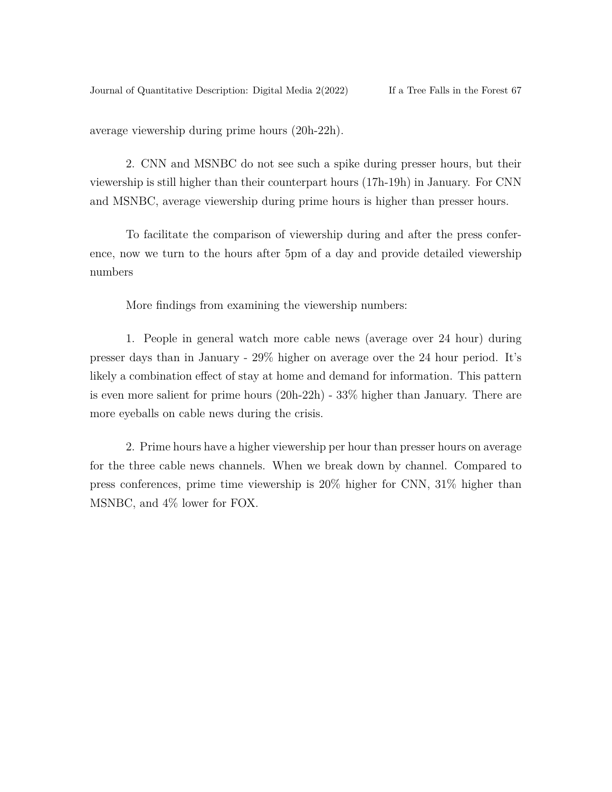average viewership during prime hours (20h-22h).

2. CNN and MSNBC do not see such a spike during presser hours, but their viewership is still higher than their counterpart hours (17h-19h) in January. For CNN and MSNBC, average viewership during prime hours is higher than presser hours.

To facilitate the comparison of viewership during and after the press conference, now we turn to the hours after 5pm of a day and provide detailed viewership numbers

More findings from examining the viewership numbers:

1. People in general watch more cable news (average over 24 hour) during presser days than in January - 29% higher on average over the 24 hour period. It's likely a combination effect of stay at home and demand for information. This pattern is even more salient for prime hours (20h-22h) - 33% higher than January. There are more eyeballs on cable news during the crisis.

2. Prime hours have a higher viewership per hour than presser hours on average for the three cable news channels. When we break down by channel. Compared to press conferences, prime time viewership is 20% higher for CNN, 31% higher than MSNBC, and 4% lower for FOX.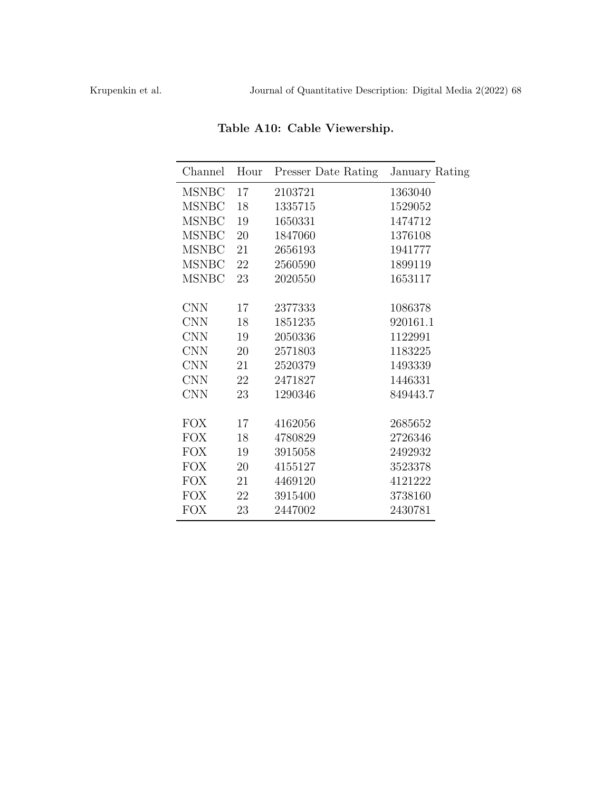| Channel      | Hour | Presser Date Rating | January Rating |
|--------------|------|---------------------|----------------|
| <b>MSNBC</b> | 17   | 2103721             | 1363040        |
| <b>MSNBC</b> | 18   | 1335715             | 1529052        |
| <b>MSNBC</b> | 19   | 1650331             | 1474712        |
| <b>MSNBC</b> | 20   | 1847060             | 1376108        |
| <b>MSNBC</b> | 21   | 2656193             | 1941777        |
| <b>MSNBC</b> | 22   | 2560590             | 1899119        |
| <b>MSNBC</b> | 23   | 2020550             | 1653117        |
|              |      |                     |                |
| <b>CNN</b>   | 17   | 2377333             | 1086378        |
| <b>CNN</b>   | 18   | 1851235             | 920161.1       |
| <b>CNN</b>   | 19   | 2050336             | 1122991        |
| <b>CNN</b>   | 20   | 2571803             | 1183225        |
| <b>CNN</b>   | 21   | 2520379             | 1493339        |
| <b>CNN</b>   | 22   | 2471827             | 1446331        |
| <b>CNN</b>   | 23   | 1290346             | 849443.7       |
|              |      |                     |                |
| <b>FOX</b>   | 17   | 4162056             | 2685652        |
| <b>FOX</b>   | 18   | 4780829             | 2726346        |
| <b>FOX</b>   | 19   | 3915058             | 2492932        |
| <b>FOX</b>   | 20   | 4155127             | 3523378        |
| <b>FOX</b>   | 21   | 4469120             | 4121222        |
| <b>FOX</b>   | 22   | 3915400             | 3738160        |
| FOX          | 23   | 2447002             | 2430781        |
|              |      |                     |                |

**Table A10: Cable Viewership.**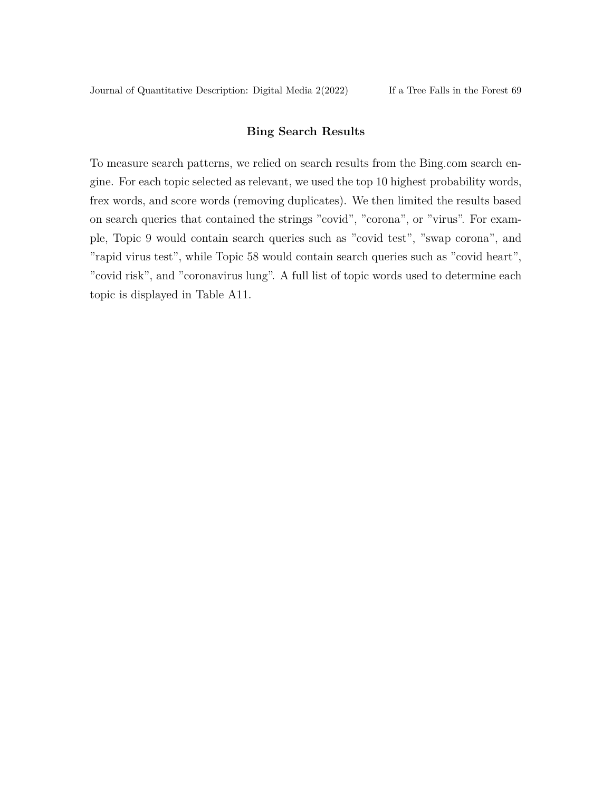### **Bing Search Results**

To measure search patterns, we relied on search results from the Bing.com search engine. For each topic selected as relevant, we used the top 10 highest probability words, frex words, and score words (removing duplicates). We then limited the results based on search queries that contained the strings "covid", "corona", or "virus". For example, Topic 9 would contain search queries such as "covid test", "swap corona", and "rapid virus test", while Topic 58 would contain search queries such as "covid heart", "covid risk", and "coronavirus lung". A full list of topic words used to determine each topic is displayed in Table A11.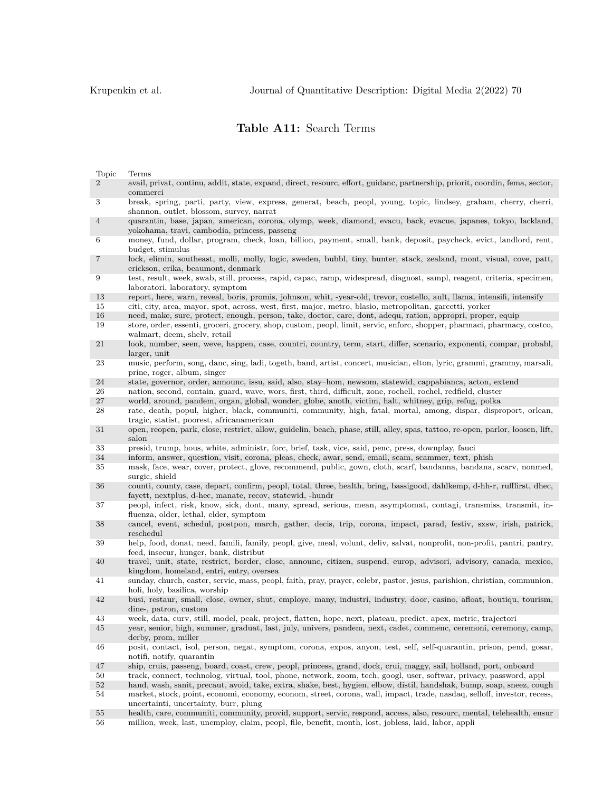# **Table A11:** Search Terms

| Topic          | Terms                                                                                                                                                                                                                                                                                      |
|----------------|--------------------------------------------------------------------------------------------------------------------------------------------------------------------------------------------------------------------------------------------------------------------------------------------|
| $\overline{2}$ | avail, privat, continu, addit, state, expand, direct, resourc, effort, guidanc, partnership, priorit, coordin, fema, sector,<br>commerci                                                                                                                                                   |
| 3              | break, spring, parti, party, view, express, generat, beach, peopl, young, topic, lindsey, graham, cherry, cherri,<br>shannon, outlet, blossom, survey, narrat                                                                                                                              |
| 4              | quarantin, base, japan, american, corona, olymp, week, diamond, evacu, back, evacue, japanes, tokyo, lackland,<br>yokohama, travi, cambodia, princess, passeng                                                                                                                             |
| 6              | money, fund, dollar, program, check, loan, billion, payment, small, bank, deposit, paycheck, evict, landlord, rent,<br>budget, stimulus                                                                                                                                                    |
| 7              | lock, elimin, southeast, molli, molly, logic, sweden, bubbl, tiny, hunter, stack, zealand, mont, visual, cove, patt,<br>erickson, erika, beaumont, denmark                                                                                                                                 |
| 9              | test, result, week, swab, still, process, rapid, capac, ramp, widespread, diagnost, sampl, reagent, criteria, specimen,<br>laboratori, laboratory, symptom                                                                                                                                 |
| 13             | report, here, warn, reveal, boris, promis, johnson, whit, -year-old, trevor, costello, ault, llama, intensifi, intensify                                                                                                                                                                   |
| 15             | citi, city, area, mayor, spot, across, west, first, major, metro, blasio, metropolitan, garcetti, yorker                                                                                                                                                                                   |
| 16             | need, make, sure, protect, enough, person, take, doctor, care, dont, adequ, ration, appropri, proper, equip                                                                                                                                                                                |
| 19             | store, order, essenti, groceri, grocery, shop, custom, peopl, limit, servic, enforc, shopper, pharmaci, pharmacy, costco,<br>walmart, deem, shelv, retail                                                                                                                                  |
| 21             | look, number, seen, weve, happen, case, countri, country, term, start, differ, scenario, exponenti, compar, probabl,<br>larger, unit                                                                                                                                                       |
| 23             | music, perform, song, danc, sing, ladi, togeth, band, artist, concert, musician, elton, lyric, grammi, grammy, marsali,<br>prine, roger, album, singer                                                                                                                                     |
| 24             | state, governor, order, announc, issu, said, also, stay-hom, newsom, statewid, cappabianca, acton, extend                                                                                                                                                                                  |
| 26             | nation, second, contain, guard, wave, wors, first, third, difficult, zone, rochell, rochel, redfield, cluster                                                                                                                                                                              |
| $27\,$         | world, around, pandem, organ, global, wonder, globe, anoth, victim, halt, whitney, grip, refug, polka                                                                                                                                                                                      |
| 28             | rate, death, popul, higher, black, communiti, community, high, fatal, mortal, among, dispar, disproport, orlean,<br>tragic, statist, poorest, africanamerican                                                                                                                              |
| 31             | open, reopen, park, close, restrict, allow, guidelin, beach, phase, still, alley, spas, tattoo, re-open, parlor, loosen, lift,<br>salon                                                                                                                                                    |
| 33             | presid, trump, hous, white, administr, forc, brief, task, vice, said, penc, press, downplay, fauci                                                                                                                                                                                         |
| 34             | inform, answer, question, visit, corona, pleas, check, awar, send, email, scam, scammer, text, phish                                                                                                                                                                                       |
| 35             | mask, face, wear, cover, protect, glove, recommend, public, gown, cloth, scarf, bandanna, bandana, scarv, nonmed,<br>surgic, shield                                                                                                                                                        |
| 36             | counti, county, case, depart, confirm, peopl, total, three, health, bring, bassigood, dahlkemp, d-hh-r, rufffirst, dhec,<br>fayett, nextplus, d-hec, manate, recov, statewid, -hundr                                                                                                       |
| 37             | peopl, infect, risk, know, sick, dont, many, spread, serious, mean, asymptomat, contagi, transmiss, transmit, in-<br>fluenza, older, lethal, elder, symptom                                                                                                                                |
| 38             | cancel, event, schedul, postpon, march, gather, decis, trip, corona, impact, parad, festiv, sxsw, irish, patrick,<br>reschedul                                                                                                                                                             |
| 39             | help, food, donat, need, famili, family, peopl, give, meal, volunt, deliv, salvat, nonprofit, non-profit, pantri, pantry,<br>feed, insecur, hunger, bank, distribut                                                                                                                        |
| 40             |                                                                                                                                                                                                                                                                                            |
|                | travel, unit, state, restrict, border, close, announc, citizen, suspend, europ, advisori, advisory, canada, mexico,<br>kingdom, homeland, entri, entry, oversea                                                                                                                            |
| 41             | sunday, church, easter, servic, mass, peopl, faith, pray, prayer, celebr, pastor, jesus, parishion, christian, communion,<br>holi, holy, basilica, worship                                                                                                                                 |
| 42             | busi, restaur, small, close, owner, shut, employe, many, industri, industry, door, casino, afloat, boutiqu, tourism,<br>dine-, patron, custom                                                                                                                                              |
| 43             | week, data, curv, still, model, peak, project, flatten, hope, next, plateau, predict, apex, metric, trajectori                                                                                                                                                                             |
| 45             | year, senior, high, summer, graduat, last, july, univers, pandem, next, cadet, commenc, ceremoni, ceremony, camp,<br>derby, prom, miller                                                                                                                                                   |
| 46             | posit, contact, isol, person, negat, symptom, corona, expos, anyon, test, self, self-quarantin, prison, pend, gosar,                                                                                                                                                                       |
|                | notifi, notify, quarantin                                                                                                                                                                                                                                                                  |
| 47             | ship, cruis, passeng, board, coast, crew, peopl, princess, grand, dock, crui, maggy, sail, holland, port, onboard                                                                                                                                                                          |
| 50             | track, connect, technolog, virtual, tool, phone, network, zoom, tech, googl, user, softwar, privacy, password, appl                                                                                                                                                                        |
| $52\,$<br>54   | hand, wash, sanit, precaut, avoid, take, extra, shake, best, hygien, elbow, distil, handshak, bump, soap, sneez, cough<br>market, stock, point, economi, economy, econom, street, corona, wall, impact, trade, nasdaq, selloff, investor, recess,<br>uncertainti, uncertainty, burr, plung |

56 million, week, last, unemploy, claim, peopl, file, benefit, month, lost, jobless, laid, labor, appli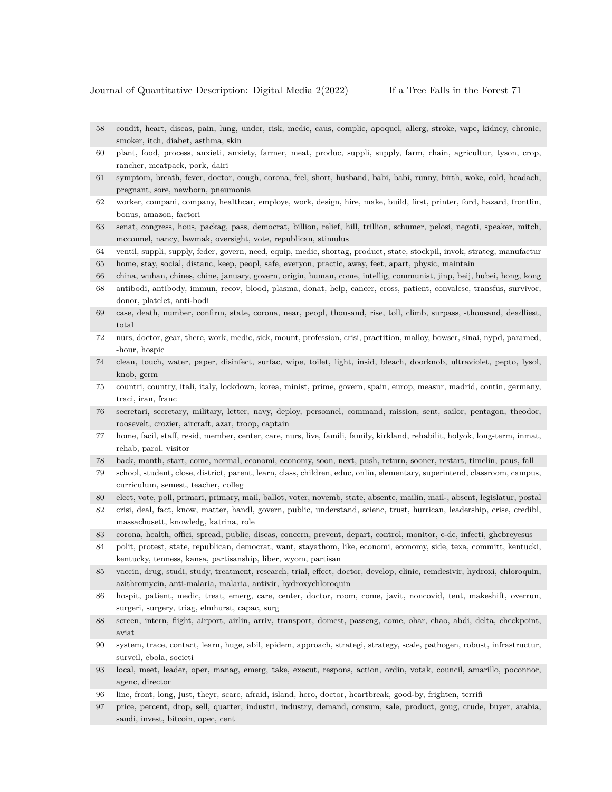- 58 condit, heart, diseas, pain, lung, under, risk, medic, caus, complic, apoquel, allerg, stroke, vape, kidney, chronic, smoker, itch, diabet, asthma, skin
- 60 plant, food, process, anxieti, anxiety, farmer, meat, produc, suppli, supply, farm, chain, agricultur, tyson, crop, rancher, meatpack, pork, dairi
- 61 symptom, breath, fever, doctor, cough, corona, feel, short, husband, babi, babi, runny, birth, woke, cold, headach, pregnant, sore, newborn, pneumonia
- 62 worker, compani, company, healthcar, employe, work, design, hire, make, build, first, printer, ford, hazard, frontlin, bonus, amazon, factori
- 63 senat, congress, hous, packag, pass, democrat, billion, relief, hill, trillion, schumer, pelosi, negoti, speaker, mitch, mcconnel, nancy, lawmak, oversight, vote, republican, stimulus
- 64 ventil, suppli, supply, feder, govern, need, equip, medic, shortag, product, state, stockpil, invok, strateg, manufactur
- 65 home, stay, social, distanc, keep, peopl, safe, everyon, practic, away, feet, apart, physic, maintain
- 66 china, wuhan, chines, chine, january, govern, origin, human, come, intellig, communist, jinp, beij, hubei, hong, kong
- 68 antibodi, antibody, immun, recov, blood, plasma, donat, help, cancer, cross, patient, convalesc, transfus, survivor, donor, platelet, anti-bodi
- 69 case, death, number, confirm, state, corona, near, peopl, thousand, rise, toll, climb, surpass, -thousand, deadliest, total
- 72 nurs, doctor, gear, there, work, medic, sick, mount, profession, crisi, practition, malloy, bowser, sinai, nypd, paramed, -hour, hospic
- 74 clean, touch, water, paper, disinfect, surfac, wipe, toilet, light, insid, bleach, doorknob, ultraviolet, pepto, lysol, knob, germ
- 75 countri, country, itali, italy, lockdown, korea, minist, prime, govern, spain, europ, measur, madrid, contin, germany, traci, iran, franc
- 76 secretari, secretary, military, letter, navy, deploy, personnel, command, mission, sent, sailor, pentagon, theodor, roosevelt, crozier, aircraft, azar, troop, captain
- 77 home, facil, staff, resid, member, center, care, nurs, live, famili, family, kirkland, rehabilit, holyok, long-term, inmat, rehab, parol, visitor
- 78 back, month, start, come, normal, economi, economy, soon, next, push, return, sooner, restart, timelin, paus, fall
- 79 school, student, close, district, parent, learn, class, children, educ, onlin, elementary, superintend, classroom, campus, curriculum, semest, teacher, colleg
- 80 elect, vote, poll, primari, primary, mail, ballot, voter, novemb, state, absente, mailin, mail-, absent, legislatur, postal
- 82 crisi, deal, fact, know, matter, handl, govern, public, understand, scienc, trust, hurrican, leadership, crise, credibl, massachusett, knowledg, katrina, role
- 83 corona, health, offici, spread, public, diseas, concern, prevent, depart, control, monitor, c-dc, infecti, ghebreyesus
- 84 polit, protest, state, republican, democrat, want, stayathom, like, economi, economy, side, texa, committ, kentucki, kentucky, tenness, kansa, partisanship, liber, wyom, partisan
- 85 vaccin, drug, studi, study, treatment, research, trial, effect, doctor, develop, clinic, remdesivir, hydroxi, chloroquin, azithromycin, anti-malaria, malaria, antivir, hydroxychloroquin
- 86 hospit, patient, medic, treat, emerg, care, center, doctor, room, come, javit, noncovid, tent, makeshift, overrun, surgeri, surgery, triag, elmhurst, capac, surg
- 88 screen, intern, flight, airport, airlin, arriv, transport, domest, passeng, come, ohar, chao, abdi, delta, checkpoint, aviat
- 90 system, trace, contact, learn, huge, abil, epidem, approach, strategi, strategy, scale, pathogen, robust, infrastructur, surveil, ebola, societi
- 93 local, meet, leader, oper, manag, emerg, take, execut, respons, action, ordin, votak, council, amarillo, poconnor, agenc, director
- 96 line, front, long, just, theyr, scare, afraid, island, hero, doctor, heartbreak, good-by, frighten, terrifi
- 97 price, percent, drop, sell, quarter, industri, industry, demand, consum, sale, product, goug, crude, buyer, arabia, saudi, invest, bitcoin, opec, cent